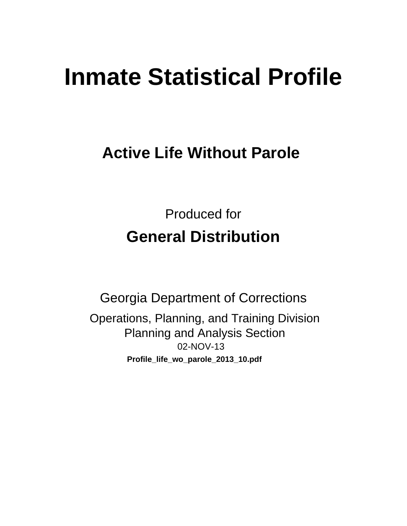# **Inmate Statistical Profile**

# **Active Life Without Parole**

**Produced for General Distribution** 

**Georgia Department of Corrections** Operations, Planning, and Training Division **Planning and Analysis Section** 02-NOV-13 Profile\_life\_wo\_parole\_2013\_10.pdf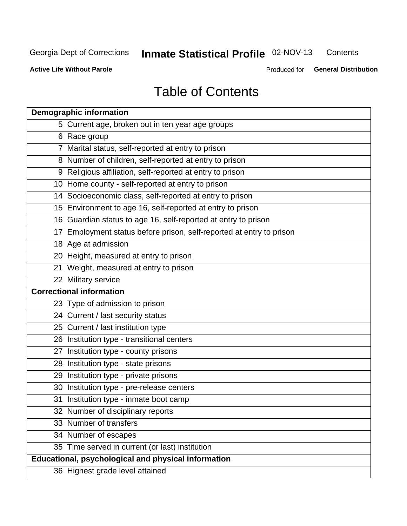#### Inmate Statistical Profile 02-NOV-13 Contents

**Active Life Without Parole** 

Produced for General Distribution

# **Table of Contents**

| <b>Demographic information</b>                                       |
|----------------------------------------------------------------------|
| 5 Current age, broken out in ten year age groups                     |
| 6 Race group                                                         |
| 7 Marital status, self-reported at entry to prison                   |
| 8 Number of children, self-reported at entry to prison               |
| 9 Religious affiliation, self-reported at entry to prison            |
| 10 Home county - self-reported at entry to prison                    |
| 14 Socioeconomic class, self-reported at entry to prison             |
| 15 Environment to age 16, self-reported at entry to prison           |
| 16 Guardian status to age 16, self-reported at entry to prison       |
| 17 Employment status before prison, self-reported at entry to prison |
| 18 Age at admission                                                  |
| 20 Height, measured at entry to prison                               |
| 21 Weight, measured at entry to prison                               |
| 22 Military service                                                  |
| <b>Correctional information</b>                                      |
| 23 Type of admission to prison                                       |
| 24 Current / last security status                                    |
| 25 Current / last institution type                                   |
| 26 Institution type - transitional centers                           |
| 27 Institution type - county prisons                                 |
| 28 Institution type - state prisons                                  |
| 29 Institution type - private prisons                                |
| 30 Institution type - pre-release centers                            |
| 31 Institution type - inmate boot camp                               |
| 32 Number of disciplinary reports                                    |
| 33 Number of transfers                                               |
| 34 Number of escapes                                                 |
| 35 Time served in current (or last) institution                      |
| Educational, psychological and physical information                  |
| 36 Highest grade level attained                                      |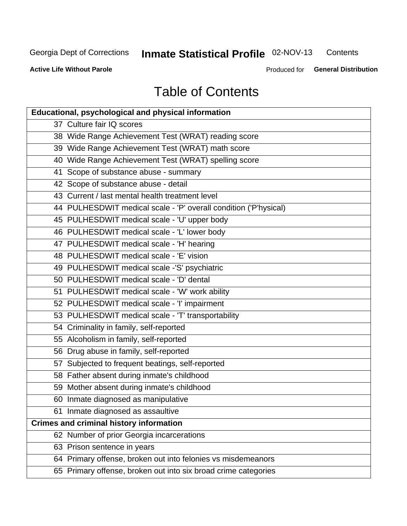# **Inmate Statistical Profile 02-NOV-13**

Contents

**Active Life Without Parole** 

Produced for General Distribution

# **Table of Contents**

| <b>Educational, psychological and physical information</b>       |
|------------------------------------------------------------------|
| 37 Culture fair IQ scores                                        |
| 38 Wide Range Achievement Test (WRAT) reading score              |
| 39 Wide Range Achievement Test (WRAT) math score                 |
| 40 Wide Range Achievement Test (WRAT) spelling score             |
| 41 Scope of substance abuse - summary                            |
| 42 Scope of substance abuse - detail                             |
| 43 Current / last mental health treatment level                  |
| 44 PULHESDWIT medical scale - 'P' overall condition ('P'hysical) |
| 45 PULHESDWIT medical scale - 'U' upper body                     |
| 46 PULHESDWIT medical scale - 'L' lower body                     |
| 47 PULHESDWIT medical scale - 'H' hearing                        |
| 48 PULHESDWIT medical scale - 'E' vision                         |
| 49 PULHESDWIT medical scale -'S' psychiatric                     |
| 50 PULHESDWIT medical scale - 'D' dental                         |
| 51 PULHESDWIT medical scale - 'W' work ability                   |
| 52 PULHESDWIT medical scale - 'I' impairment                     |
| 53 PULHESDWIT medical scale - 'T' transportability               |
| 54 Criminality in family, self-reported                          |
| 55 Alcoholism in family, self-reported                           |
| 56 Drug abuse in family, self-reported                           |
| 57 Subjected to frequent beatings, self-reported                 |
| 58 Father absent during inmate's childhood                       |
| 59 Mother absent during inmate's childhood                       |
| 60 Inmate diagnosed as manipulative                              |
| 61 Inmate diagnosed as assaultive                                |
| <b>Crimes and criminal history information</b>                   |
| 62 Number of prior Georgia incarcerations                        |
| 63 Prison sentence in years                                      |
| 64 Primary offense, broken out into felonies vs misdemeanors     |
| 65 Primary offense, broken out into six broad crime categories   |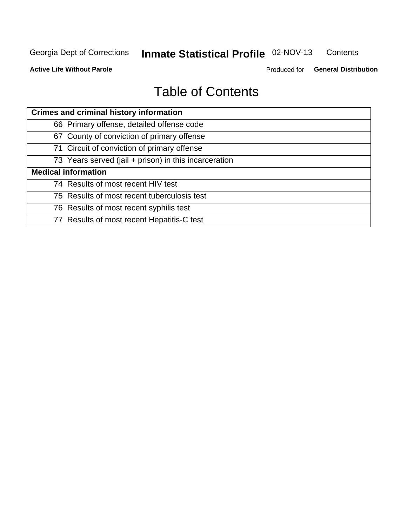#### Inmate Statistical Profile 02-NOV-13 Contents

**Active Life Without Parole** 

Produced for General Distribution

# **Table of Contents**

| <b>Crimes and criminal history information</b>        |
|-------------------------------------------------------|
| 66 Primary offense, detailed offense code             |
| 67 County of conviction of primary offense            |
| 71 Circuit of conviction of primary offense           |
| 73 Years served (jail + prison) in this incarceration |
| <b>Medical information</b>                            |
| 74 Results of most recent HIV test                    |
| 75 Results of most recent tuberculosis test           |
| 76 Results of most recent syphilis test               |
| 77 Results of most recent Hepatitis-C test            |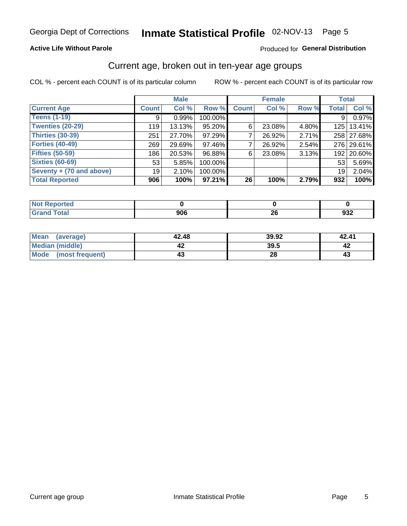# Inmate Statistical Profile 02-NOV-13 Page 5

### **Active Life Without Parole**

### Produced for General Distribution

### Current age, broken out in ten-year age groups

COL % - percent each COUNT is of its particular column

|                          |              | <b>Male</b> |         |              | <b>Female</b> |       |              | <b>Total</b> |
|--------------------------|--------------|-------------|---------|--------------|---------------|-------|--------------|--------------|
| <b>Current Age</b>       | <b>Count</b> | Col %       | Row %   | <b>Count</b> | Col %         | Row % | <b>Total</b> | Col %        |
| <b>Teens (1-19)</b>      | 9            | 0.99%       | 100.00% |              |               |       | 9            | 0.97%        |
| <b>Twenties (20-29)</b>  | 119          | 13.13%      | 95.20%  | 6            | 23.08%        | 4.80% |              | 125   13.41% |
| <b>Thirties (30-39)</b>  | 251          | 27.70%      | 97.29%  |              | 26.92%        | 2.71% |              | 258 27.68%   |
| <b>Forties (40-49)</b>   | 269          | 29.69%      | 97.46%  |              | 26.92%        | 2.54% |              | 276 29.61%   |
| <b>Fifties (50-59)</b>   | 186          | 20.53%      | 96.88%  | 6            | 23.08%        | 3.13% |              | 192 20.60%   |
| <b>Sixties (60-69)</b>   | 53           | 5.85%       | 100.00% |              |               |       | 53           | 5.69%        |
| Seventy + (70 and above) | 19           | 2.10%       | 100.00% |              |               |       | 19           | 2.04%        |
| <b>Total Reported</b>    | 906          | 100%        | 97.21%  | 26           | 100%          | 2.79% | 932          | 100%         |

| _____ | 00C | nc. | $\sim$ |
|-------|-----|-----|--------|
|       | JUU | ΔV  | 9JZ    |

| <b>Mean</b><br>(average) | 42.48 | 39.92 | 42.41 |
|--------------------------|-------|-------|-------|
| Median (middle)          |       | 39.5  |       |
| Mode<br>(most frequent)  |       | 28    | 4.    |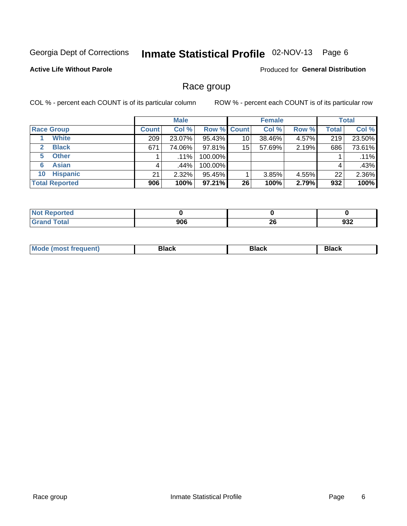#### Inmate Statistical Profile 02-NOV-13 Page 6

### **Active Life Without Parole**

Produced for General Distribution

### Race group

COL % - percent each COUNT is of its particular column

|                              |              | <b>Male</b> |                    |    | <b>Female</b> |       |              | <b>Total</b> |
|------------------------------|--------------|-------------|--------------------|----|---------------|-------|--------------|--------------|
| <b>Race Group</b>            | <b>Count</b> | Col %       | <b>Row % Count</b> |    | Col %         | Row % | <b>Total</b> | Col %        |
| <b>White</b>                 | 209          | 23.07%      | 95.43%             | 10 | 38.46%        | 4.57% | 219          | 23.50%       |
| <b>Black</b><br>$\mathbf{2}$ | 671          | 74.06%      | 97.81%             | 15 | 57.69%        | 2.19% | 686          | 73.61%       |
| <b>Other</b><br>5.           |              | $.11\%$     | 100.00%            |    |               |       |              | .11%         |
| <b>Asian</b><br>6            | 4            | .44%        | 100.00%            |    |               |       | 4            | .43%         |
| <b>Hispanic</b><br>10        | 21           | 2.32%       | 95.45%             |    | 3.85%         | 4.55% | 22           | 2.36%        |
| <b>Total Reported</b>        | 906          | 100%        | $97.21\%$          | 26 | 100%          | 2.79% | 932          | 100%         |

| لمنتشر بالتعبير<br>кек    |            |           |           |
|---------------------------|------------|-----------|-----------|
| $f$ $f \circ f$<br>______ | nne<br>JUU | oc.<br>ΔU | ш.<br>ສວ∠ |

| M | - - - | Piavn |
|---|-------|-------|
|   |       |       |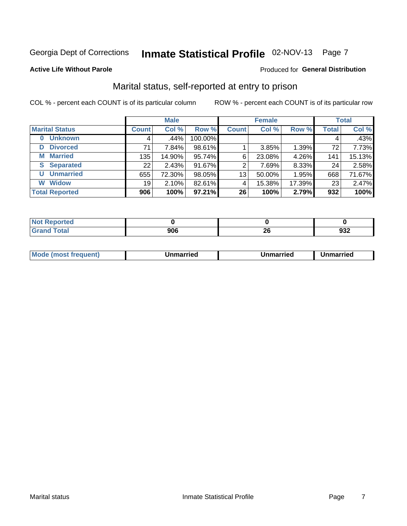# Inmate Statistical Profile 02-NOV-13 Page 7

#### **Active Life Without Parole**

#### Produced for General Distribution

### Marital status, self-reported at entry to prison

COL % - percent each COUNT is of its particular column

|                            | <b>Male</b>     |        |         | <b>Female</b> |        |        | <b>Total</b>    |        |
|----------------------------|-----------------|--------|---------|---------------|--------|--------|-----------------|--------|
| <b>Marital Status</b>      | <b>Count</b>    | Col %  | Row %   | <b>Count</b>  | Col %  | Row %  | <b>Total</b>    | Col %  |
| <b>Unknown</b><br>$\bf{0}$ | 4               | .44%   | 100.00% |               |        |        | 4               | .43%   |
| <b>Divorced</b><br>D       | 71              | 7.84%  | 98.61%  |               | 3.85%  | 1.39%  | 72 <sub>1</sub> | 7.73%  |
| <b>Married</b><br>М        | 135             | 14.90% | 95.74%  | 6             | 23.08% | 4.26%  | 141             | 15.13% |
| <b>Separated</b><br>S      | 22 <sub>1</sub> | 2.43%  | 91.67%  | 2             | 7.69%  | 8.33%  | 24              | 2.58%  |
| <b>Unmarried</b><br>U      | 655             | 72.30% | 98.05%  | 13            | 50.00% | 1.95%  | 668             | 71.67% |
| <b>Widow</b><br>W          | 19              | 2.10%  | 82.61%  | 4             | 15.38% | 17.39% | 23              | 2.47%  |
| <b>Total Reported</b>      | 906             | 100%   | 97.21%  | 26            | 100%   | 2.79%  | 932             | 100%   |

| <b>Not Reported</b> |     |    |           |
|---------------------|-----|----|-----------|
| <b>Total</b>        | 906 | ሳሪ | ດາາ<br>ூ∠ |

|  | M | . | Unmarried | າmarried<br>_____ |
|--|---|---|-----------|-------------------|
|--|---|---|-----------|-------------------|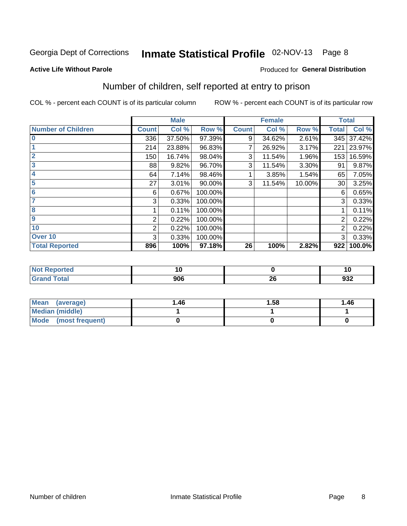# Inmate Statistical Profile 02-NOV-13 Page 8

#### **Active Life Without Parole**

#### Produced for General Distribution

### Number of children, self reported at entry to prison

COL % - percent each COUNT is of its particular column

|                           |                | <b>Male</b> |         |              | <b>Female</b> |        |              | <b>Total</b> |
|---------------------------|----------------|-------------|---------|--------------|---------------|--------|--------------|--------------|
| <b>Number of Children</b> | <b>Count</b>   | Col %       | Row %   | <b>Count</b> | Col %         | Row %  | <b>Total</b> | Col %        |
| $\bf{0}$                  | 336            | 37.50%      | 97.39%  | 9            | 34.62%        | 2.61%  | 345          | 37.42%       |
|                           | 214            | 23.88%      | 96.83%  | 7            | 26.92%        | 3.17%  | 221          | 23.97%       |
| $\overline{2}$            | 150            | 16.74%      | 98.04%  | 3            | 11.54%        | 1.96%  | 153          | 16.59%       |
| 3                         | 88             | 9.82%       | 96.70%  | 3            | 11.54%        | 3.30%  | 91           | 9.87%        |
| 4                         | 64             | 7.14%       | 98.46%  |              | 3.85%         | 1.54%  | 65           | 7.05%        |
| 5                         | 27             | 3.01%       | 90.00%  | 3            | 11.54%        | 10.00% | 30           | 3.25%        |
| $6\phantom{1}6$           | 6              | 0.67%       | 100.00% |              |               |        | 6            | 0.65%        |
| 7                         | 3              | 0.33%       | 100.00% |              |               |        | 3            | 0.33%        |
| 8                         |                | 0.11%       | 100.00% |              |               |        |              | 0.11%        |
| $\boldsymbol{9}$          | 2              | 0.22%       | 100.00% |              |               |        | 2            | 0.22%        |
| 10                        | $\overline{2}$ | 0.22%       | 100.00% |              |               |        | 2            | 0.22%        |
| Over 10                   | 3              | 0.33%       | 100.00% |              |               |        | 3            | 0.33%        |
| <b>Total Reported</b>     | 896            | 100%        | 97.18%  | 26           | 100%          | 2.82%  | 922          | 100.0%       |

| као    | ט ו |                 |             |
|--------|-----|-----------------|-------------|
| $\sim$ | nne | - -<br><u>r</u> | non<br>স্ত∠ |

| <b>Mean</b><br>(average) | 1.46 | 1.58 | 1.46 |
|--------------------------|------|------|------|
| <b>Median (middle)</b>   |      |      |      |
| Mode (most frequent)     |      |      |      |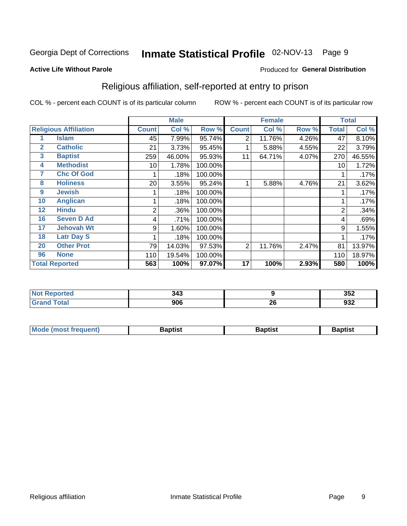# Inmate Statistical Profile 02-NOV-13 Page 9

#### **Active Life Without Parole**

### Produced for General Distribution

### Religious affiliation, self-reported at entry to prison

COL % - percent each COUNT is of its particular column

|              |                              |                | <b>Male</b> |         |                | <b>Female</b> |       |       | <b>Total</b> |
|--------------|------------------------------|----------------|-------------|---------|----------------|---------------|-------|-------|--------------|
|              | <b>Religious Affiliation</b> | <b>Count</b>   | Col %       | Row %   | <b>Count</b>   | Col %         | Row % | Total | Col %        |
|              | Islam                        | 45             | 7.99%       | 95.74%  | $\overline{2}$ | 11.76%        | 4.26% | 47    | 8.10%        |
| $\mathbf{2}$ | <b>Catholic</b>              | 21             | 3.73%       | 95.45%  |                | 5.88%         | 4.55% | 22    | 3.79%        |
| 3            | <b>Baptist</b>               | 259            | 46.00%      | 95.93%  | 11             | 64.71%        | 4.07% | 270   | 46.55%       |
| 4            | <b>Methodist</b>             | 10             | 1.78%       | 100.00% |                |               |       | 10    | 1.72%        |
| 7            | <b>Chc Of God</b>            |                | .18%        | 100.00% |                |               |       |       | .17%         |
| 8            | <b>Holiness</b>              | 20             | 3.55%       | 95.24%  |                | 5.88%         | 4.76% | 21    | 3.62%        |
| 9            | <b>Jewish</b>                |                | .18%        | 100.00% |                |               |       |       | .17%         |
| 10           | <b>Anglican</b>              |                | .18%        | 100.00% |                |               |       |       | .17%         |
| 12           | <b>Hindu</b>                 | $\overline{2}$ | .36%        | 100.00% |                |               |       | 2     | .34%         |
| 16           | <b>Seven D Ad</b>            | 4              | .71%        | 100.00% |                |               |       | 4     | .69%         |
| 17           | <b>Jehovah Wt</b>            | 9              | 1.60%       | 100.00% |                |               |       | 9     | 1.55%        |
| 18           | <b>Latr Day S</b>            |                | .18%        | 100.00% |                |               |       |       | .17%         |
| 20           | <b>Other Prot</b>            | 79             | 14.03%      | 97.53%  | 2              | 11.76%        | 2.47% | 81    | 13.97%       |
| 96           | <b>None</b>                  | 110            | 19.54%      | 100.00% |                |               |       | 110   | 18.97%       |
|              | <b>Total Reported</b>        | 563            | 100%        | 97.07%  | 17             | 100%          | 2.93% | 580   | 100%         |

| rtea<br>$\sim$ | <b>010</b><br>и<br>JTJ. |     | つにつ<br>ືບບ∠ |
|----------------|-------------------------|-----|-------------|
| ______         | nne                     | oc. | $\sim$      |
|                | 7UC                     | ΔV  | তত∠         |

| Mode (most frequent) | Baptist | <b>Baptist</b> | aptıst |
|----------------------|---------|----------------|--------|
|                      |         |                |        |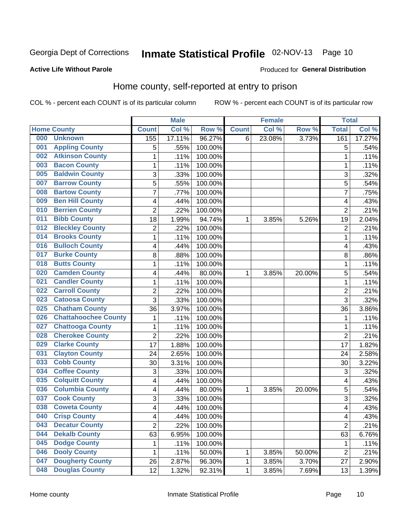# Inmate Statistical Profile 02-NOV-13 Page 10

#### **Active Life Without Parole**

### **Produced for General Distribution**

### Home county, self-reported at entry to prison

COL % - percent each COUNT is of its particular column

|     |                             |                | <b>Male</b> |         |              | <b>Female</b> |        | <b>Total</b>            |        |
|-----|-----------------------------|----------------|-------------|---------|--------------|---------------|--------|-------------------------|--------|
|     | <b>Home County</b>          | <b>Count</b>   | Col %       | Row %   | <b>Count</b> | Col %         | Row %  | <b>Total</b>            | Col %  |
| 000 | <b>Unknown</b>              | 155            | 17.11%      | 96.27%  | 6            | 23.08%        | 3.73%  | 161                     | 17.27% |
| 001 | <b>Appling County</b>       | 5              | .55%        | 100.00% |              |               |        | 5                       | .54%   |
| 002 | <b>Atkinson County</b>      | 1              | .11%        | 100.00% |              |               |        | 1                       | .11%   |
| 003 | <b>Bacon County</b>         | 1              | .11%        | 100.00% |              |               |        | 1                       | .11%   |
| 005 | <b>Baldwin County</b>       | 3              | .33%        | 100.00% |              |               |        | 3                       | .32%   |
| 007 | <b>Barrow County</b>        | 5              | .55%        | 100.00% |              |               |        | 5                       | .54%   |
| 008 | <b>Bartow County</b>        | $\overline{7}$ | .77%        | 100.00% |              |               |        | 7                       | .75%   |
| 009 | <b>Ben Hill County</b>      | 4              | .44%        | 100.00% |              |               |        | 4                       | .43%   |
| 010 | <b>Berrien County</b>       | $\overline{2}$ | .22%        | 100.00% |              |               |        | $\overline{2}$          | .21%   |
| 011 | <b>Bibb County</b>          | 18             | 1.99%       | 94.74%  | 1            | 3.85%         | 5.26%  | 19                      | 2.04%  |
| 012 | <b>Bleckley County</b>      | $\overline{c}$ | .22%        | 100.00% |              |               |        | $\overline{2}$          | .21%   |
| 014 | <b>Brooks County</b>        | 1              | .11%        | 100.00% |              |               |        | 1                       | .11%   |
| 016 | <b>Bulloch County</b>       | 4              | .44%        | 100.00% |              |               |        | 4                       | .43%   |
| 017 | <b>Burke County</b>         | 8              | .88%        | 100.00% |              |               |        | 8                       | .86%   |
| 018 | <b>Butts County</b>         | $\mathbf{1}$   | .11%        | 100.00% |              |               |        | 1                       | .11%   |
| 020 | <b>Camden County</b>        | 4              | .44%        | 80.00%  | 1            | 3.85%         | 20.00% | 5                       | .54%   |
| 021 | <b>Candler County</b>       | 1              | .11%        | 100.00% |              |               |        | 1                       | .11%   |
| 022 | <b>Carroll County</b>       | 2              | .22%        | 100.00% |              |               |        | $\overline{c}$          | .21%   |
| 023 | <b>Catoosa County</b>       | $\overline{3}$ | .33%        | 100.00% |              |               |        | 3                       | .32%   |
| 025 | <b>Chatham County</b>       | 36             | 3.97%       | 100.00% |              |               |        | 36                      | 3.86%  |
| 026 | <b>Chattahoochee County</b> | 1              | .11%        | 100.00% |              |               |        | 1                       | .11%   |
| 027 | <b>Chattooga County</b>     | 1              | .11%        | 100.00% |              |               |        | 1                       | .11%   |
| 028 | <b>Cherokee County</b>      | $\overline{2}$ | .22%        | 100.00% |              |               |        | $\overline{2}$          | .21%   |
| 029 | <b>Clarke County</b>        | 17             | 1.88%       | 100.00% |              |               |        | 17                      | 1.82%  |
| 031 | <b>Clayton County</b>       | 24             | 2.65%       | 100.00% |              |               |        | 24                      | 2.58%  |
| 033 | <b>Cobb County</b>          | 30             | 3.31%       | 100.00% |              |               |        | 30                      | 3.22%  |
| 034 | <b>Coffee County</b>        | 3              | .33%        | 100.00% |              |               |        | 3                       | .32%   |
| 035 | <b>Colquitt County</b>      | 4              | .44%        | 100.00% |              |               |        | 4                       | .43%   |
| 036 | <b>Columbia County</b>      | 4              | .44%        | 80.00%  | 1            | 3.85%         | 20.00% | 5                       | .54%   |
| 037 | <b>Cook County</b>          | 3              | .33%        | 100.00% |              |               |        | 3                       | .32%   |
| 038 | <b>Coweta County</b>        | 4              | .44%        | 100.00% |              |               |        | 4                       | .43%   |
| 040 | <b>Crisp County</b>         | 4              | .44%        | 100.00% |              |               |        | $\overline{\mathbf{4}}$ | .43%   |
| 043 | <b>Decatur County</b>       | $\overline{2}$ | .22%        | 100.00% |              |               |        | $\overline{2}$          | .21%   |
| 044 | <b>Dekalb County</b>        | 63             | 6.95%       | 100.00% |              |               |        | 63                      | 6.76%  |
| 045 | <b>Dodge County</b>         | 1              | .11%        | 100.00% |              |               |        | 1                       | .11%   |
| 046 | <b>Dooly County</b>         | 1              | .11%        | 50.00%  | 1            | 3.85%         | 50.00% | $\overline{2}$          | .21%   |
| 047 | <b>Dougherty County</b>     | 26             | 2.87%       | 96.30%  | 1            | 3.85%         | 3.70%  | 27                      | 2.90%  |
| 048 | <b>Douglas County</b>       | 12             | 1.32%       | 92.31%  | 1            | 3.85%         | 7.69%  | 13                      | 1.39%  |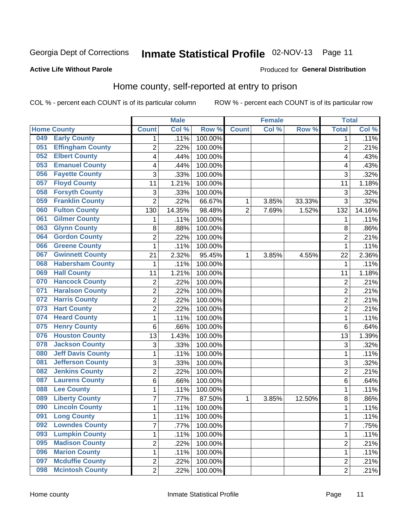# Inmate Statistical Profile 02-NOV-13 Page 11

#### **Active Life Without Parole**

### **Produced for General Distribution**

### Home county, self-reported at entry to prison

COL % - percent each COUNT is of its particular column

|     |                          |                         | <b>Male</b> |         |              | <b>Female</b> |        | <b>Total</b>   |         |
|-----|--------------------------|-------------------------|-------------|---------|--------------|---------------|--------|----------------|---------|
|     | <b>Home County</b>       | <b>Count</b>            | Col %       | Row %   | <b>Count</b> | Col %         | Row %  | <b>Total</b>   | Col %   |
| 049 | <b>Early County</b>      | 1                       | .11%        | 100.00% |              |               |        | 1              | .11%    |
| 051 | <b>Effingham County</b>  | $\overline{2}$          | .22%        | 100.00% |              |               |        | $\overline{2}$ | .21%    |
| 052 | <b>Elbert County</b>     | $\overline{\mathbf{4}}$ | .44%        | 100.00% |              |               |        | 4              | .43%    |
| 053 | <b>Emanuel County</b>    | 4                       | .44%        | 100.00% |              |               |        | 4              | .43%    |
| 056 | <b>Fayette County</b>    | 3                       | .33%        | 100.00% |              |               |        | 3              | .32%    |
| 057 | <b>Floyd County</b>      | 11                      | 1.21%       | 100.00% |              |               |        | 11             | 1.18%   |
| 058 | <b>Forsyth County</b>    | 3                       | .33%        | 100.00% |              |               |        | 3              | .32%    |
| 059 | <b>Franklin County</b>   | $\overline{2}$          | .22%        | 66.67%  | 1            | 3.85%         | 33.33% | 3              | .32%    |
| 060 | <b>Fulton County</b>     | 130                     | 14.35%      | 98.48%  | 2            | 7.69%         | 1.52%  | 132            | 14.16%  |
| 061 | <b>Gilmer County</b>     | 1                       | .11%        | 100.00% |              |               |        | 1              | .11%    |
| 063 | <b>Glynn County</b>      | 8                       | .88%        | 100.00% |              |               |        | 8              | .86%    |
| 064 | <b>Gordon County</b>     | $\overline{2}$          | .22%        | 100.00% |              |               |        | $\overline{2}$ | .21%    |
| 066 | <b>Greene County</b>     | $\mathbf{1}$            | .11%        | 100.00% |              |               |        | 1              | .11%    |
| 067 | <b>Gwinnett County</b>   | 21                      | 2.32%       | 95.45%  | 1            | 3.85%         | 4.55%  | 22             | 2.36%   |
| 068 | <b>Habersham County</b>  | $\mathbf{1}$            | .11%        | 100.00% |              |               |        | 1              | .11%    |
| 069 | <b>Hall County</b>       | 11                      | 1.21%       | 100.00% |              |               |        | 11             | 1.18%   |
| 070 | <b>Hancock County</b>    | 2                       | .22%        | 100.00% |              |               |        | $\overline{2}$ | .21%    |
| 071 | <b>Haralson County</b>   | $\overline{2}$          | .22%        | 100.00% |              |               |        | $\overline{2}$ | .21%    |
| 072 | <b>Harris County</b>     | $\overline{2}$          | .22%        | 100.00% |              |               |        | $\overline{c}$ | .21%    |
| 073 | <b>Hart County</b>       | $\overline{2}$          | .22%        | 100.00% |              |               |        | $\overline{2}$ | .21%    |
| 074 | <b>Heard County</b>      | $\mathbf{1}$            | .11%        | 100.00% |              |               |        | 1              | .11%    |
| 075 | <b>Henry County</b>      | $\,6$                   | .66%        | 100.00% |              |               |        | 6              | .64%    |
| 076 | <b>Houston County</b>    | 13                      | 1.43%       | 100.00% |              |               |        | 13             | 1.39%   |
| 078 | <b>Jackson County</b>    | 3                       | .33%        | 100.00% |              |               |        | 3              | .32%    |
| 080 | <b>Jeff Davis County</b> | 1                       | .11%        | 100.00% |              |               |        | 1              | .11%    |
| 081 | <b>Jefferson County</b>  | 3                       | .33%        | 100.00% |              |               |        | 3              | .32%    |
| 082 | <b>Jenkins County</b>    | $\overline{2}$          | .22%        | 100.00% |              |               |        | $\overline{2}$ | .21%    |
| 087 | <b>Laurens County</b>    | $\,6$                   | .66%        | 100.00% |              |               |        | 6              | .64%    |
| 088 | <b>Lee County</b>        | $\mathbf{1}$            | .11%        | 100.00% |              |               |        | 1              | .11%    |
| 089 | <b>Liberty County</b>    | $\overline{7}$          | .77%        | 87.50%  | 1            | 3.85%         | 12.50% | 8              | $.86\%$ |
| 090 | <b>Lincoln County</b>    | $\mathbf{1}$            | .11%        | 100.00% |              |               |        | 1              | .11%    |
| 091 | <b>Long County</b>       | 1                       | .11%        | 100.00% |              |               |        | 1              | .11%    |
| 092 | <b>Lowndes County</b>    | $\overline{7}$          | .77%        | 100.00% |              |               |        | $\overline{7}$ | .75%    |
| 093 | <b>Lumpkin County</b>    | $\mathbf 1$             | .11%        | 100.00% |              |               |        | 1              | .11%    |
| 095 | <b>Madison County</b>    | $\overline{2}$          | .22%        | 100.00% |              |               |        | $\overline{2}$ | .21%    |
| 096 | <b>Marion County</b>     | $\mathbf 1$             | .11%        | 100.00% |              |               |        | 1              | .11%    |
| 097 | <b>Mcduffie County</b>   | $\overline{2}$          | .22%        | 100.00% |              |               |        | $\overline{2}$ | .21%    |
| 098 | <b>Mcintosh County</b>   | $\overline{2}$          | .22%        | 100.00% |              |               |        | $\overline{2}$ | .21%    |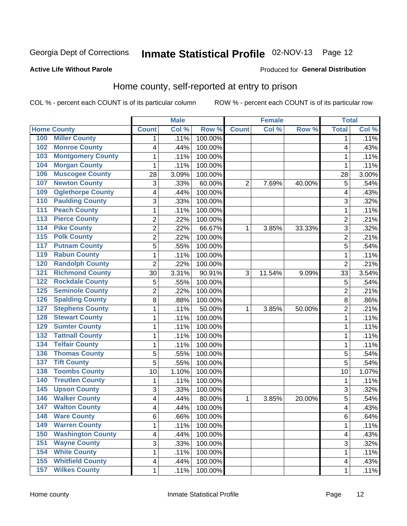# Inmate Statistical Profile 02-NOV-13 Page 12

### **Active Life Without Parole**

#### Produced for General Distribution

### Home county, self-reported at entry to prison

COL % - percent each COUNT is of its particular column

|                  |                          |                         | <b>Male</b> |         |                | <b>Female</b> |        | <b>Total</b>   |         |
|------------------|--------------------------|-------------------------|-------------|---------|----------------|---------------|--------|----------------|---------|
|                  | <b>Home County</b>       | <b>Count</b>            | Col %       | Row %   | <b>Count</b>   | Col %         | Row %  | <b>Total</b>   | Col %   |
| 100              | <b>Miller County</b>     | 1                       | .11%        | 100.00% |                |               |        | 1              | .11%    |
| 102              | <b>Monroe County</b>     | $\overline{\mathbf{4}}$ | .44%        | 100.00% |                |               |        | 4              | .43%    |
| 103              | <b>Montgomery County</b> | $\mathbf{1}$            | .11%        | 100.00% |                |               |        | 1              | .11%    |
| 104              | <b>Morgan County</b>     | 1                       | .11%        | 100.00% |                |               |        | 1              | .11%    |
| 106              | <b>Muscogee County</b>   | 28                      | 3.09%       | 100.00% |                |               |        | 28             | 3.00%   |
| 107              | <b>Newton County</b>     | 3                       | .33%        | 60.00%  | $\overline{2}$ | 7.69%         | 40.00% | 5              | .54%    |
| 109              | <b>Oglethorpe County</b> | $\overline{\mathbf{4}}$ | .44%        | 100.00% |                |               |        | 4              | .43%    |
| 110              | <b>Paulding County</b>   | 3                       | .33%        | 100.00% |                |               |        | 3              | .32%    |
| 111              | <b>Peach County</b>      | $\mathbf{1}$            | .11%        | 100.00% |                |               |        | 1              | .11%    |
| 113              | <b>Pierce County</b>     | $\overline{2}$          | .22%        | 100.00% |                |               |        | $\overline{2}$ | .21%    |
| 114              | <b>Pike County</b>       | $\overline{c}$          | .22%        | 66.67%  | 1              | 3.85%         | 33.33% | 3              | .32%    |
| $\overline{115}$ | <b>Polk County</b>       | $\overline{2}$          | .22%        | 100.00% |                |               |        | $\overline{2}$ | .21%    |
| 117              | <b>Putnam County</b>     | 5                       | .55%        | 100.00% |                |               |        | 5              | .54%    |
| 119              | <b>Rabun County</b>      | $\mathbf{1}$            | .11%        | 100.00% |                |               |        | 1              | .11%    |
| 120              | <b>Randolph County</b>   | $\overline{2}$          | .22%        | 100.00% |                |               |        | $\overline{2}$ | .21%    |
| 121              | <b>Richmond County</b>   | 30                      | 3.31%       | 90.91%  | 3              | 11.54%        | 9.09%  | 33             | 3.54%   |
| 122              | <b>Rockdale County</b>   | 5                       | .55%        | 100.00% |                |               |        | 5              | .54%    |
| 125              | <b>Seminole County</b>   | $\overline{2}$          | .22%        | 100.00% |                |               |        | $\overline{2}$ | .21%    |
| 126              | <b>Spalding County</b>   | 8                       | .88%        | 100.00% |                |               |        | 8              | .86%    |
| 127              | <b>Stephens County</b>   | $\mathbf{1}$            | .11%        | 50.00%  | 1              | 3.85%         | 50.00% | $\overline{2}$ | .21%    |
| 128              | <b>Stewart County</b>    | $\mathbf{1}$            | .11%        | 100.00% |                |               |        | 1              | .11%    |
| 129              | <b>Sumter County</b>     | $\mathbf{1}$            | .11%        | 100.00% |                |               |        | 1              | .11%    |
| 132              | <b>Tattnall County</b>   | $\mathbf{1}$            | .11%        | 100.00% |                |               |        | 1              | .11%    |
| 134              | <b>Telfair County</b>    | $\mathbf{1}$            | .11%        | 100.00% |                |               |        | 1              | .11%    |
| 136              | <b>Thomas County</b>     | 5                       | .55%        | 100.00% |                |               |        | 5              | .54%    |
| 137              | <b>Tift County</b>       | 5                       | .55%        | 100.00% |                |               |        | 5              | .54%    |
| 138              | <b>Toombs County</b>     | 10                      | 1.10%       | 100.00% |                |               |        | 10             | 1.07%   |
| 140              | <b>Treutlen County</b>   | $\mathbf{1}$            | .11%        | 100.00% |                |               |        | 1              | .11%    |
| 145              | <b>Upson County</b>      | 3                       | .33%        | 100.00% |                |               |        | 3              | .32%    |
| 146              | <b>Walker County</b>     | $\overline{\mathbf{4}}$ | .44%        | 80.00%  | 1              | 3.85%         | 20.00% | 5              | .54%    |
| 147              | <b>Walton County</b>     | $\overline{\mathbf{4}}$ | .44%        | 100.00% |                |               |        | 4              | .43%    |
| 148              | <b>Ware County</b>       | 6                       | .66%        | 100.00% |                |               |        | 6              | $.64\%$ |
| 149              | <b>Warren County</b>     | 1                       | .11%        | 100.00% |                |               |        | 1              | .11%    |
| 150              | <b>Washington County</b> | $\overline{\mathbf{4}}$ | .44%        | 100.00% |                |               |        | 4              | .43%    |
| 151              | <b>Wayne County</b>      | 3                       | .33%        | 100.00% |                |               |        | 3              | .32%    |
| 154              | <b>White County</b>      | 1                       | .11%        | 100.00% |                |               |        | 1              | .11%    |
| 155              | <b>Whitfield County</b>  | $\overline{\mathbf{4}}$ | .44%        | 100.00% |                |               |        | 4              | .43%    |
| 157              | <b>Wilkes County</b>     | $\mathbf 1$             | .11%        | 100.00% |                |               |        | 1              | .11%    |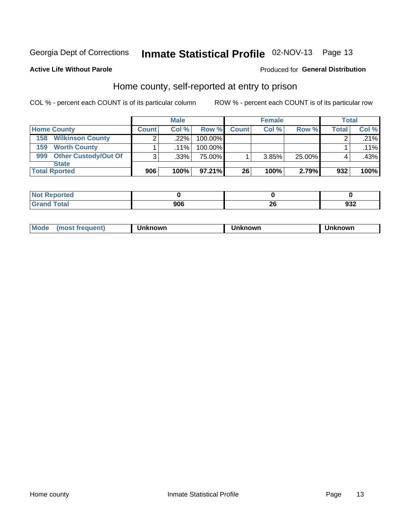# Inmate Statistical Profile 02-NOV-13 Page 13

#### **Active Life Without Parole**

#### Produced for General Distribution

### Home county, self-reported at entry to prison

COL % - percent each COUNT is of its particular column

|                                    |              | <b>Male</b> |         |              | <b>Female</b> |        | <b>Total</b> |         |
|------------------------------------|--------------|-------------|---------|--------------|---------------|--------|--------------|---------|
| <b>Home County</b>                 | <b>Count</b> | Col%        | Row %   | <b>Count</b> | Col %         | Row %  | <b>Total</b> | Col %   |
| <b>Wilkinson County</b><br>158     | ⌒            | $.22\%$     | 100.00% |              |               |        |              | .21%    |
| <b>Worth County</b><br>159         |              | $.11\%$     | 100.00% |              |               |        |              | $.11\%$ |
| <b>Other Custody/Out Of</b><br>999 | 3            | $.33\%$     | 75.00%  |              | 3.85%         | 25.00% |              | .43%    |
| <b>State</b>                       |              |             |         |              |               |        |              |         |
| <b>Total Rported</b>               | 906          | 100%        | 97.21%  | 26           | 100%          | 2.79%  | 932          | 100%    |

| <b>rted</b> |     |    |      |
|-------------|-----|----|------|
| Total       | nne | ZV | nn n |
| $\sim$      | ,uu | __ | 9JZ  |

| Mode<br>known<br>nown<br>nowr<br>reguent)<br>os<br>. |
|------------------------------------------------------|
|------------------------------------------------------|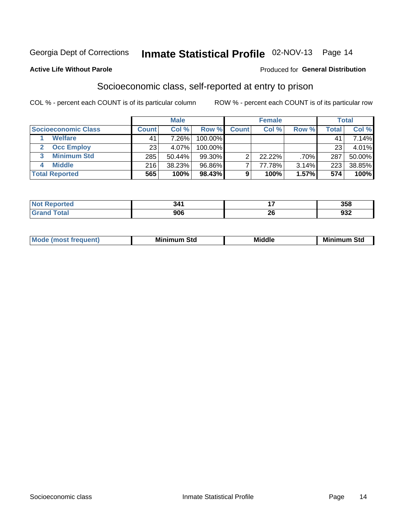### Inmate Statistical Profile 02-NOV-13 Page 14

#### **Active Life Without Parole**

#### Produced for General Distribution

### Socioeconomic class, self-reported at entry to prison

COL % - percent each COUNT is of its particular column

|                       |              | <b>Male</b> |            |              | <b>Female</b> |       |       | <b>Total</b> |
|-----------------------|--------------|-------------|------------|--------------|---------------|-------|-------|--------------|
| Socioeconomic Class   | <b>Count</b> | Col %       | Row %      | <b>Count</b> | Col %         | Row % | Total | Col %        |
| <b>Welfare</b>        | 41           | 7.26%       | 100.00%    |              |               |       | 41    | 7.14%        |
| <b>Occ Employ</b>     | 23           | 4.07%       | $100.00\%$ |              |               |       | 23    | 4.01%        |
| <b>Minimum Std</b>    | 285          | 50.44%      | $99.30\%$  |              | $22.22\%$     | .70%  | 287   | 50.00%       |
| <b>Middle</b>         | 216          | 38.23%      | 96.86%     |              | 77.78%        | 3.14% | 223   | 38.85%       |
| <b>Total Reported</b> | 565          | 100%        | 98.43%     |              | 100%          | 1.57% | 574   | 100%         |

|       | -24           | - -           | <b>OFO</b> |
|-------|---------------|---------------|------------|
|       | $\sim$ $\sim$ | $\sim$ $\sim$ | שע         |
| _____ | 906           | n,<br>Δv      | JJZ        |

|--|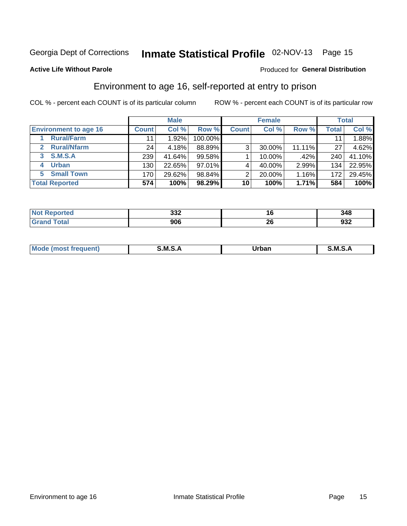### Inmate Statistical Profile 02-NOV-13 Page 15

### **Active Life Without Parole**

### **Produced for General Distribution**

### Environment to age 16, self-reported at entry to prison

COL % - percent each COUNT is of its particular column

|                                      |                  | <b>Male</b> |           |                | <b>Female</b> |        |              | <b>Total</b> |
|--------------------------------------|------------------|-------------|-----------|----------------|---------------|--------|--------------|--------------|
| <b>Environment to age 16</b>         | <b>Count</b>     | Col %       | Row %     | <b>Count</b>   | Col %         | Row %  | <b>Total</b> | Col %        |
| <b>Rural/Farm</b>                    | 11               | 1.92%       | 100.00%   |                |               |        |              | 1.88%        |
| <b>Rural/Nfarm</b><br>$\overline{2}$ | 24               | 4.18%       | 88.89%    | 3 <sub>1</sub> | 30.00%        | 11.11% | 27           | 4.62%        |
| 3 S.M.S.A                            | 239 <sub>1</sub> | 41.64%      | 99.58%    |                | 10.00%        | .42%   | 240          | 41.10%       |
| <b>Urban</b><br>4                    | 130              | 22.65%      | $97.01\%$ |                | 40.00%        | 2.99%  | 134          | 22.95%       |
| <b>Small Town</b><br>5               | 170              | 29.62%      | 98.84%    | 2              | 20.00%        | 1.16%  | 172          | 29.45%       |
| <b>Total Reported</b>                | 574              | 100%        | 98.29%    | 10             | 100%          | 1.71%  | 584          | 100%         |

| <b>orted</b><br><b>NOT</b><br>Redu | າາາ<br>ാാ∠ | ט ו      | 348        |
|------------------------------------|------------|----------|------------|
|                                    | 906        | 01<br>ZU | ה ה<br>99Z |

| Mo | M | urhar . | M      |
|----|---|---------|--------|
|    |   | _____   | ______ |
|    |   |         |        |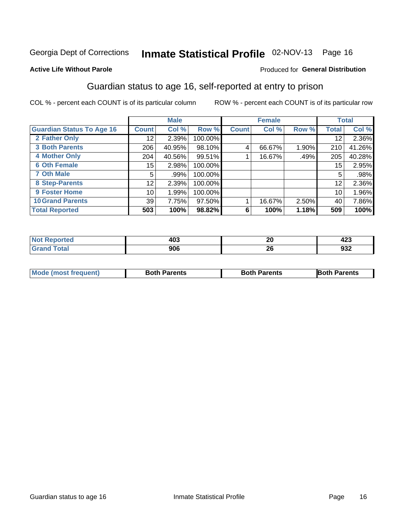# Inmate Statistical Profile 02-NOV-13 Page 16

### **Active Life Without Parole**

#### Produced for General Distribution

### Guardian status to age 16, self-reported at entry to prison

COL % - percent each COUNT is of its particular column

|                                  |                 | <b>Male</b> |         |              | <b>Female</b> |       |       | <b>Total</b> |
|----------------------------------|-----------------|-------------|---------|--------------|---------------|-------|-------|--------------|
| <b>Guardian Status To Age 16</b> | <b>Count</b>    | Col %       | Row %   | <b>Count</b> | Col %         | Row % | Total | Col %        |
| 2 Father Only                    | 12              | 2.39%       | 100.00% |              |               |       | 12    | 2.36%        |
| <b>3 Both Parents</b>            | 206             | 40.95%      | 98.10%  | 4            | 66.67%        | 1.90% | 210   | 41.26%       |
| <b>4 Mother Only</b>             | 204             | 40.56%      | 99.51%  |              | 16.67%        | .49%  | 205   | 40.28%       |
| <b>6 Oth Female</b>              | 15 <sub>1</sub> | 2.98%       | 100.00% |              |               |       | 15    | 2.95%        |
| <b>7 Oth Male</b>                | 5               | .99%        | 100.00% |              |               |       | 5     | .98%         |
| 8 Step-Parents                   | 12              | 2.39%       | 100.00% |              |               |       | 12    | 2.36%        |
| <b>9 Foster Home</b>             | 10              | 1.99%       | 100.00% |              |               |       | 10    | 1.96%        |
| <b>10 Grand Parents</b>          | 39              | 7.75%       | 97.50%  |              | 16.67%        | 2.50% | 40    | 7.86%        |
| <b>Total Reported</b>            | 503             | 100%        | 98.82%  | 6            | 100%          | 1.18% | 509   | 100%         |

| rted | 403 | nr.<br>ZU       | 100<br>449 |
|------|-----|-----------------|------------|
|      | 906 | 00<br>ZU<br>___ | 932        |

| <b>Mode (most frequent)</b> | <b>Both Parents</b> | <b>Both Parents</b> | <b>Both Parents</b> |
|-----------------------------|---------------------|---------------------|---------------------|
|                             |                     |                     |                     |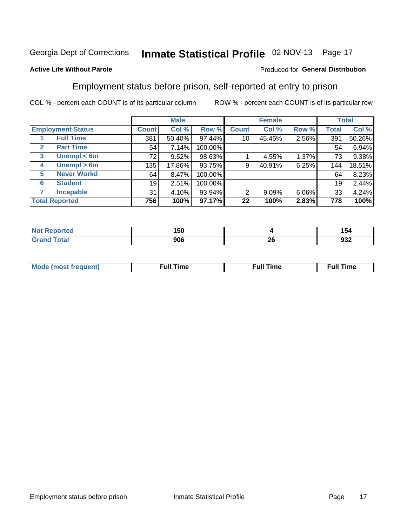# Inmate Statistical Profile 02-NOV-13 Page 17

### **Active Life Without Parole**

#### Produced for General Distribution

### Employment status before prison, self-reported at entry to prison

COL % - percent each COUNT is of its particular column

|                                  |              | <b>Male</b> |         |              | <b>Female</b> |       |              | <b>Total</b> |
|----------------------------------|--------------|-------------|---------|--------------|---------------|-------|--------------|--------------|
| <b>Employment Status</b>         | <b>Count</b> | Col %       | Row %   | <b>Count</b> | Col %         | Row % | <b>Total</b> | Col %        |
| <b>Full Time</b>                 | 381          | 50.40%      | 97.44%  | 10           | 45.45%        | 2.56% | 391          | 50.26%       |
| <b>Part Time</b><br>$\mathbf{2}$ | 54           | 7.14%       | 100.00% |              |               |       | 54           | 6.94%        |
| Unempl $<$ 6m<br>3               | 72           | 9.52%       | 98.63%  |              | 4.55%         | 1.37% | 73           | 9.38%        |
| $U$ nempl > 6m<br>4              | 135          | 17.86%      | 93.75%  | 9            | 40.91%        | 6.25% | 144          | 18.51%       |
| <b>Never Workd</b><br>5          | 64           | 8.47%       | 100.00% |              |               |       | 64           | 8.23%        |
| <b>Student</b><br>6              | 19           | 2.51%       | 100.00% |              |               |       | 19           | 2.44%        |
| <b>Incapable</b><br>7            | 31           | 4.10%       | 93.94%  | 2            | $9.09\%$      | 6.06% | 33           | 4.24%        |
| <b>Total Reported</b>            | 756          | 100%        | 97.17%  | 22           | 100%          | 2.83% | 778          | 100%         |

| чес. | 150 |         | .<br>154    |
|------|-----|---------|-------------|
|      | 906 | ົ<br>Zτ | ה כה<br>১১∠ |

| Mc | ∴ul! | ----<br>ıme<br>w |
|----|------|------------------|
|    |      |                  |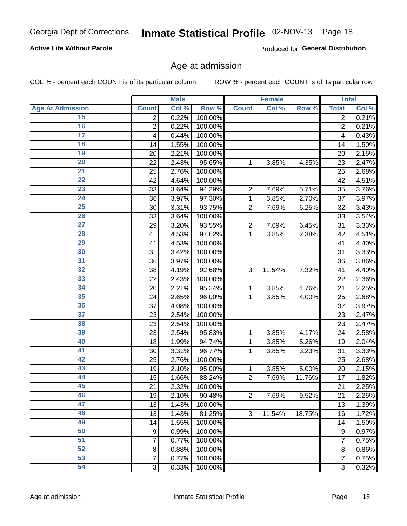# Inmate Statistical Profile 02-NOV-13 Page 18

### **Active Life Without Parole**

Produced for General Distribution

### Age at admission

COL % - percent each COUNT is of its particular column

|                         |                | <b>Male</b> |         |                | <b>Female</b> |        |                | <b>Total</b> |
|-------------------------|----------------|-------------|---------|----------------|---------------|--------|----------------|--------------|
| <b>Age At Admission</b> | <b>Count</b>   | Col %       | Row %   | <b>Count</b>   | Col %         | Row %  | <b>Total</b>   | Col %        |
| 15                      | 2              | 0.22%       | 100.00% |                |               |        | $\overline{2}$ | 0.21%        |
| 16                      | $\overline{2}$ | 0.22%       | 100.00% |                |               |        | $\overline{2}$ | 0.21%        |
| $\overline{17}$         | 4              | 0.44%       | 100.00% |                |               |        | 4              | 0.43%        |
| 18                      | 14             | 1.55%       | 100.00% |                |               |        | 14             | 1.50%        |
| 19                      | 20             | 2.21%       | 100.00% |                |               |        | 20             | 2.15%        |
| $\overline{20}$         | 22             | 2.43%       | 95.65%  | 1              | 3.85%         | 4.35%  | 23             | 2.47%        |
| 21                      | 25             | 2.76%       | 100.00% |                |               |        | 25             | 2.68%        |
| 22                      | 42             | 4.64%       | 100.00% |                |               |        | 42             | 4.51%        |
| 23                      | 33             | 3.64%       | 94.29%  | $\overline{2}$ | 7.69%         | 5.71%  | 35             | 3.76%        |
| 24                      | 36             | 3.97%       | 97.30%  | 1              | 3.85%         | 2.70%  | 37             | 3.97%        |
| $\overline{25}$         | 30             | 3.31%       | 93.75%  | $\overline{2}$ | 7.69%         | 6.25%  | 32             | 3.43%        |
| 26                      | 33             | 3.64%       | 100.00% |                |               |        | 33             | 3.54%        |
| $\overline{27}$         | 29             | 3.20%       | 93.55%  | $\overline{2}$ | 7.69%         | 6.45%  | 31             | 3.33%        |
| 28                      | 41             | 4.53%       | 97.62%  | 1              | 3.85%         | 2.38%  | 42             | 4.51%        |
| 29                      | 41             | 4.53%       | 100.00% |                |               |        | 41             | 4.40%        |
| 30                      | 31             | 3.42%       | 100.00% |                |               |        | 31             | 3.33%        |
| 31                      | 36             | 3.97%       | 100.00% |                |               |        | 36             | 3.86%        |
| 32                      | 38             | 4.19%       | 92.68%  | 3              | 11.54%        | 7.32%  | 41             | 4.40%        |
| 33                      | 22             | 2.43%       | 100.00% |                |               |        | 22             | 2.36%        |
| 34                      | 20             | 2.21%       | 95.24%  | 1              | 3.85%         | 4.76%  | 21             | 2.25%        |
| 35                      | 24             | 2.65%       | 96.00%  | 1              | 3.85%         | 4.00%  | 25             | 2.68%        |
| 36                      | 37             | 4.08%       | 100.00% |                |               |        | 37             | 3.97%        |
| $\overline{37}$         | 23             | 2.54%       | 100.00% |                |               |        | 23             | 2.47%        |
| 38                      | 23             | 2.54%       | 100.00% |                |               |        | 23             | 2.47%        |
| 39                      | 23             | 2.54%       | 95.83%  | 1              | 3.85%         | 4.17%  | 24             | 2.58%        |
| 40                      | 18             | 1.99%       | 94.74%  | 1              | 3.85%         | 5.26%  | 19             | 2.04%        |
| 41                      | 30             | 3.31%       | 96.77%  | 1              | 3.85%         | 3.23%  | 31             | 3.33%        |
| 42                      | 25             | 2.76%       | 100.00% |                |               |        | 25             | 2.68%        |
| 43                      | 19             | 2.10%       | 95.00%  | 1              | 3.85%         | 5.00%  | 20             | 2.15%        |
| 44                      | 15             | 1.66%       | 88.24%  | $\overline{2}$ | 7.69%         | 11.76% | 17             | 1.82%        |
| 45                      | 21             | 2.32%       | 100.00% |                |               |        | 21             | 2.25%        |
| 46                      | 19             | 2.10%       | 90.48%  | $\overline{2}$ | 7.69%         | 9.52%  | 21             | 2.25%        |
| 47                      | 13             | 1.43%       | 100.00% |                |               |        | 13             | 1.39%        |
| 48                      | 13             | 1.43%       | 81.25%  | 3              | 11.54%        | 18.75% | 16             | 1.72%        |
| 49                      | 14             | 1.55%       | 100.00% |                |               |        | 14             | 1.50%        |
| 50                      | 9              | 0.99%       | 100.00% |                |               |        | 9              | 0.97%        |
| $\overline{51}$         | 7              | 0.77%       | 100.00% |                |               |        | 7              | 0.75%        |
| 52                      | 8              | 0.88%       | 100.00% |                |               |        | 8              | 0.86%        |
| 53                      | 7              | 0.77%       | 100.00% |                |               |        | 7              | 0.75%        |
| 54                      | 3              | 0.33%       | 100.00% |                |               |        | 3              | 0.32%        |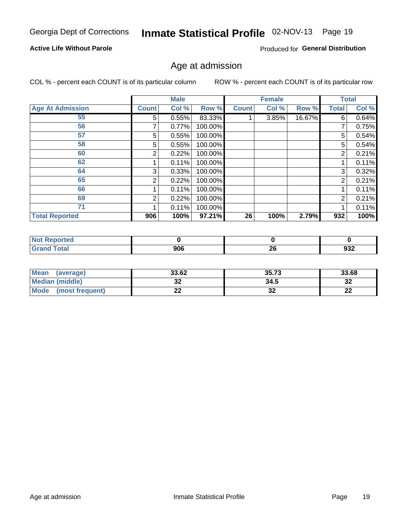# Inmate Statistical Profile 02-NOV-13 Page 19

### **Active Life Without Parole**

Produced for General Distribution

### Age at admission

COL % - percent each COUNT is of its particular column

|                         |              | <b>Male</b> |         |              | <b>Female</b> |        |                | <b>Total</b> |
|-------------------------|--------------|-------------|---------|--------------|---------------|--------|----------------|--------------|
| <b>Age At Admission</b> | <b>Count</b> | Col %       | Row %   | <b>Count</b> | Col %         | Row %  | Total          | Col %        |
| 55                      | 5.           | 0.55%       | 83.33%  |              | 3.85%         | 16.67% | 6              | 0.64%        |
| 56                      | 7            | 0.77%       | 100.00% |              |               |        | 7              | 0.75%        |
| 57                      | 5            | 0.55%       | 100.00% |              |               |        | 5              | 0.54%        |
| 58                      | 5            | 0.55%       | 100.00% |              |               |        | 5              | 0.54%        |
| 60                      | 2            | 0.22%       | 100.00% |              |               |        | 2              | 0.21%        |
| 62                      |              | 0.11%       | 100.00% |              |               |        |                | 0.11%        |
| 64                      | 3            | 0.33%       | 100.00% |              |               |        | 3              | 0.32%        |
| 65                      | 2            | 0.22%       | 100.00% |              |               |        | $\overline{2}$ | 0.21%        |
| 66                      |              | 0.11%       | 100.00% |              |               |        |                | 0.11%        |
| 69                      | 2            | 0.22%       | 100.00% |              |               |        | 2              | 0.21%        |
| 71                      |              | 0.11%       | 100.00% |              |               |        |                | 0.11%        |
| <b>Total Reported</b>   | 906          | 100%        | 97.21%  | 26           | 100%          | 2.79%  | 932            | 100%         |

| enorted     |     |          |                       |
|-------------|-----|----------|-----------------------|
| <b>otal</b> | 906 | ^^<br>Zu | <b>000</b><br><br>93Z |

| <b>Mean</b><br>(average)       | 33.62    | 35.73    | 33.68    |
|--------------------------------|----------|----------|----------|
| Median (middle)                | ົ<br>JŁ  | 34.5     | ົ<br>⊾ت  |
| <b>Mode</b><br>(most frequent) | ^^<br>-- | ^^<br>ЭZ | n-<br>44 |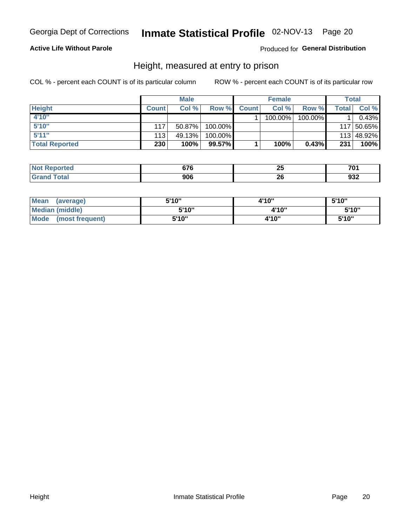# Inmate Statistical Profile 02-NOV-13 Page 20

### **Active Life Without Parole**

Produced for General Distribution

### Height, measured at entry to prison

COL % - percent each COUNT is of its particular column

|                       |              | <b>Male</b> |         |              | <b>Female</b> |         |       | Total      |
|-----------------------|--------------|-------------|---------|--------------|---------------|---------|-------|------------|
| <b>Height</b>         | <b>Count</b> | Col %       | Row %   | <b>Count</b> | Col %         | Row %   | Total | Col %      |
| 4'10"                 |              |             |         |              | 100.00%       | 100.00% |       | 0.43%      |
| 5'10''                | 117          | 50.87%      | 100.00% |              |               |         |       | 117 50.65% |
| 5'11''                | 113          | 49.13%      | 100.00% |              |               |         |       | 113 48.92% |
| <b>Total Reported</b> | 230          | 100%        | 99.57%  |              | 100%          | 0.43%   | 231   | 100%       |

| <b>Not</b><br>∖orted<br>ем | <b>C7C</b><br>07 U | . .<br>~<br>$\sim$ | 70 <sub>1</sub> |
|----------------------------|--------------------|--------------------|-----------------|
| <b>Total</b>               | 906                | oc                 | <b>000</b>      |
| ' Grano                    |                    | 44                 | ூ∠              |

| Mean (average)          | 5'10" | 4'10" | 5'10"  |  |
|-------------------------|-------|-------|--------|--|
| <b>Median (middle)</b>  | 5'10" | 4'10" | 5'10"  |  |
| Mode<br>(most frequent) | 5'10" | 4'10" | 5'10'' |  |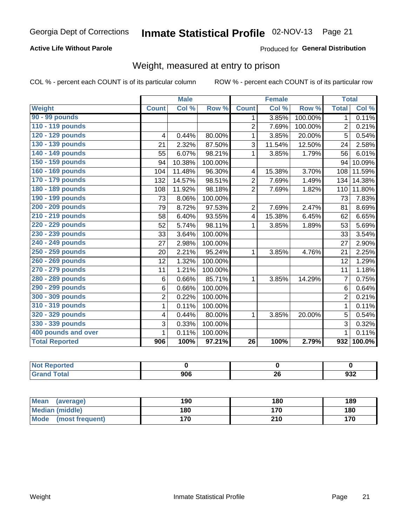# Inmate Statistical Profile 02-NOV-13 Page 21

### **Active Life Without Parole**

Produced for General Distribution

### Weight, measured at entry to prison

COL % - percent each COUNT is of its particular column

|                       |                | <b>Male</b> |         |                 | <b>Female</b> |         | <b>Total</b>   |        |
|-----------------------|----------------|-------------|---------|-----------------|---------------|---------|----------------|--------|
| <b>Weight</b>         | <b>Count</b>   | Col %       | Row %   | <b>Count</b>    | Col %         | Row %   | <b>Total</b>   | Col %  |
| 90 - 99 pounds        |                |             |         | $\mathbf 1$     | 3.85%         | 100.00% | 1              | 0.11%  |
| 110 - 119 pounds      |                |             |         | $\overline{2}$  | 7.69%         | 100.00% | $\overline{2}$ | 0.21%  |
| 120 - 129 pounds      | 4              | 0.44%       | 80.00%  | 1               | 3.85%         | 20.00%  | 5              | 0.54%  |
| 130 - 139 pounds      | 21             | 2.32%       | 87.50%  | 3               | 11.54%        | 12.50%  | 24             | 2.58%  |
| 140 - 149 pounds      | 55             | 6.07%       | 98.21%  | 1               | 3.85%         | 1.79%   | 56             | 6.01%  |
| 150 - 159 pounds      | 94             | 10.38%      | 100.00% |                 |               |         | 94             | 10.09% |
| 160 - 169 pounds      | 104            | 11.48%      | 96.30%  | 4               | 15.38%        | 3.70%   | 108            | 11.59% |
| 170 - 179 pounds      | 132            | 14.57%      | 98.51%  | $\overline{2}$  | 7.69%         | 1.49%   | 134            | 14.38% |
| 180 - 189 pounds      | 108            | 11.92%      | 98.18%  | $\overline{2}$  | 7.69%         | 1.82%   | 110            | 11.80% |
| 190 - 199 pounds      | 73             | 8.06%       | 100.00% |                 |               |         | 73             | 7.83%  |
| 200 - 209 pounds      | 79             | 8.72%       | 97.53%  | $\overline{2}$  | 7.69%         | 2.47%   | 81             | 8.69%  |
| 210 - 219 pounds      | 58             | 6.40%       | 93.55%  | 4               | 15.38%        | 6.45%   | 62             | 6.65%  |
| 220 - 229 pounds      | 52             | 5.74%       | 98.11%  | 1               | 3.85%         | 1.89%   | 53             | 5.69%  |
| 230 - 239 pounds      | 33             | 3.64%       | 100.00% |                 |               |         | 33             | 3.54%  |
| 240 - 249 pounds      | 27             | 2.98%       | 100.00% |                 |               |         | 27             | 2.90%  |
| 250 - 259 pounds      | 20             | 2.21%       | 95.24%  | 1               | 3.85%         | 4.76%   | 21             | 2.25%  |
| 260 - 269 pounds      | 12             | 1.32%       | 100.00% |                 |               |         | 12             | 1.29%  |
| 270 - 279 pounds      | 11             | 1.21%       | 100.00% |                 |               |         | 11             | 1.18%  |
| 280 - 289 pounds      | 6              | 0.66%       | 85.71%  | 1               | 3.85%         | 14.29%  | $\overline{7}$ | 0.75%  |
| 290 - 299 pounds      | 6              | 0.66%       | 100.00% |                 |               |         | 6              | 0.64%  |
| 300 - 309 pounds      | $\overline{c}$ | 0.22%       | 100.00% |                 |               |         | $\overline{2}$ | 0.21%  |
| 310 - 319 pounds      | 1              | 0.11%       | 100.00% |                 |               |         | 1              | 0.11%  |
| 320 - 329 pounds      | 4              | 0.44%       | 80.00%  | 1               | 3.85%         | 20.00%  | 5              | 0.54%  |
| 330 - 339 pounds      | 3              | 0.33%       | 100.00% |                 |               |         | 3              | 0.32%  |
| 400 pounds and over   | $\mathbf{1}$   | 0.11%       | 100.00% |                 |               |         | 1              | 0.11%  |
| <b>Total Reported</b> | 906            | 100%        | 97.21%  | $\overline{26}$ | 100%          | 2.79%   | 932            | 100.0% |

| <b>Reported</b><br><b>NOT</b><br>$\sim$ |     |    |            |
|-----------------------------------------|-----|----|------------|
| int                                     | nne | Zu | n20<br>ນວ∠ |

| Mean<br>(average)              | 190 | 180 | 189 |
|--------------------------------|-----|-----|-----|
| Median (middle)                | 180 | 170 | 180 |
| <b>Mode</b><br>(most frequent) | 170 | 210 | 170 |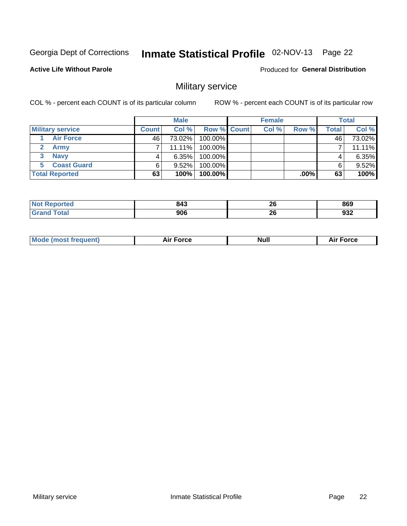# Inmate Statistical Profile 02-NOV-13 Page 22

#### **Active Life Without Parole**

Produced for General Distribution

### Military service

COL % - percent each COUNT is of its particular column

|                         |              | <b>Male</b> |             | <b>Female</b> |         |       | <b>Total</b> |
|-------------------------|--------------|-------------|-------------|---------------|---------|-------|--------------|
| <b>Military service</b> | <b>Count</b> | Col%        | Row % Count | Col %         | Row %   | Total | Col %        |
| <b>Air Force</b>        | 46'          | 73.02%      | 100.00%     |               |         | 46    | 73.02%       |
| <b>Army</b>             |              | $11.11\%$   | 100.00%     |               |         |       | 11.11%       |
| <b>Navy</b><br>3        |              | 6.35%       | 100.00%     |               |         |       | 6.35%        |
| <b>Coast Guard</b>      | 6            | 9.52%       | 100.00%     |               |         | 6     | 9.52%        |
| <b>Total Reported</b>   | 63           | 100%        | 100.00%     |               | $.00\%$ | 63    | 100%         |

| 843 | ኅረ<br>ZU | 869       |
|-----|----------|-----------|
| 906 | ጎር<br>ZO | ົາ<br>99Z |

| Mode (most frequent) | <b>Force</b><br>ыı | Null | ™orce<br>AI. |
|----------------------|--------------------|------|--------------|
|                      |                    |      |              |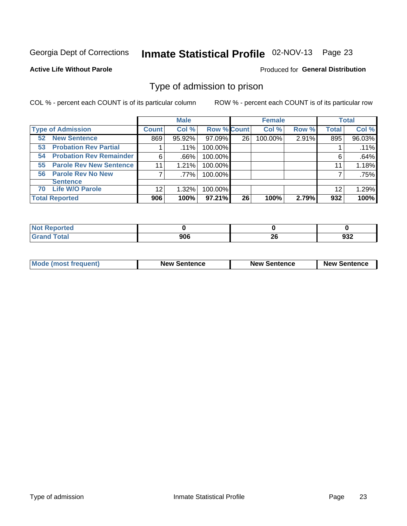# Inmate Statistical Profile 02-NOV-13 Page 23

#### **Active Life Without Parole**

#### Produced for General Distribution

### Type of admission to prison

COL % - percent each COUNT is of its particular column

|                                      |              | <b>Male</b> |                    |    | <b>Female</b> |       |              | <b>Total</b> |
|--------------------------------------|--------------|-------------|--------------------|----|---------------|-------|--------------|--------------|
| <b>Type of Admission</b>             | <b>Count</b> | Col %       | <b>Row % Count</b> |    | Col %         | Row % | <b>Total</b> | Col %        |
| <b>New Sentence</b><br>52            | 869          | 95.92%      | 97.09%             | 26 | 100.00%       | 2.91% | 895          | 96.03%       |
| <b>Probation Rev Partial</b><br>53   |              | $.11\%$     | 100.00%            |    |               |       |              | .11%         |
| <b>Probation Rev Remainder</b><br>54 | 6            | .66%        | 100.00%            |    |               |       | 6            | .64%         |
| <b>Parole Rev New Sentence</b><br>55 | 11           | 1.21%       | 100.00%            |    |               |       | 11           | 1.18%        |
| 56 Parole Rev No New                 | 7            | .77%        | 100.00%            |    |               |       |              | .75%         |
| <b>Sentence</b>                      |              |             |                    |    |               |       |              |              |
| <b>Life W/O Parole</b><br>70         | 12           | 1.32%       | 100.00%            |    |               |       | 12           | 1.29%        |
| <b>Total Reported</b>                | 906          | 100%        | 97.21%             | 26 | 100%          | 2.79% | 932          | 100%         |

| Reported<br>N. |             |    |                   |
|----------------|-------------|----|-------------------|
| <b>otal</b>    | nne<br>7U J | 26 | <b>000</b><br>ສວ∠ |

| <b>Mode (most frequent)</b> | <b>New Sentence</b> | <b>New Sentence</b> | <b>New Sentence</b> |
|-----------------------------|---------------------|---------------------|---------------------|
|                             |                     |                     |                     |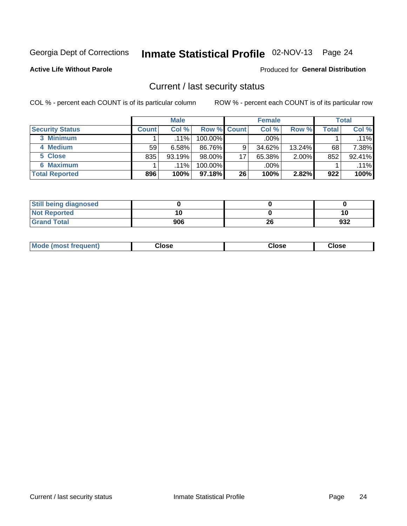# Inmate Statistical Profile 02-NOV-13 Page 24

**Active Life Without Parole** 

#### Produced for General Distribution

### Current / last security status

COL % - percent each COUNT is of its particular column

|                        |              | <b>Male</b> |                    |    | <b>Female</b> |           |       | <b>Total</b> |
|------------------------|--------------|-------------|--------------------|----|---------------|-----------|-------|--------------|
| <b>Security Status</b> | <b>Count</b> | Col%        | <b>Row % Count</b> |    | Col %         | Row %     | Total | Col %        |
| 3 Minimum              |              | $.11\%$     | 100.00%            |    | $.00\%$       |           |       | $.11\%$      |
| 4 Medium               | 59           | 6.58%       | 86.76%             | 9  | 34.62%        | $13.24\%$ | 68    | 7.38%        |
| 5 Close                | 835          | 93.19%      | $98.00\%$          | 17 | 65.38%        | $2.00\%$  | 852   | 92.41%       |
| <b>6 Maximum</b>       |              | $.11\%$     | 100.00%            |    | .00%          |           |       | $.11\%$      |
| <b>Total Reported</b>  | 896          | 100%        | $97.18\%$          | 26 | 100%          | 2.82%     | 922   | 100%         |

| <b>Still being diagnosed</b> |     |    |     |
|------------------------------|-----|----|-----|
| <b>Not Reported</b>          |     |    | 10  |
| <b>Grand Total</b>           | 906 | 26 | 932 |

| Mode<br>Close<br>: (most frequent)<br>oseت<br>Close<br>- - - -<br>- - - -<br>- - - - |
|--------------------------------------------------------------------------------------|
|--------------------------------------------------------------------------------------|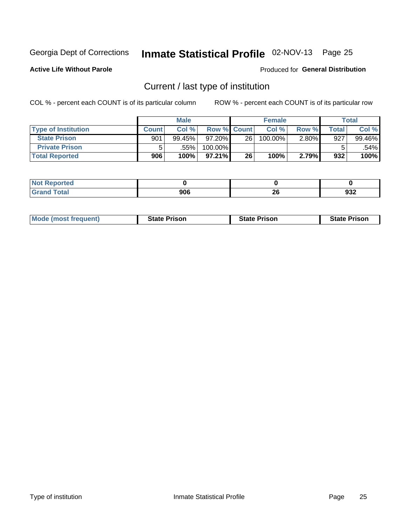# Inmate Statistical Profile 02-NOV-13 Page 25

**Active Life Without Parole** 

#### Produced for General Distribution

### Current / last type of institution

COL % - percent each COUNT is of its particular column

|                            |              | <b>Male</b> |                    |                 | <b>Female</b> |          |       | Total   |
|----------------------------|--------------|-------------|--------------------|-----------------|---------------|----------|-------|---------|
| <b>Type of Institution</b> | <b>Count</b> | $Col \%$    | <b>Row % Count</b> |                 | Col %         | Row %    | Total | Col %   |
| <b>State Prison</b>        | 901          | $99.45\%$   | $97.20\%$          | 26 <sup>1</sup> | 100.00%       | $2.80\%$ | 927   | 99.46%  |
| <b>Private Prison</b>      |              | .55%        | 100.00%            |                 |               |          |       | $.54\%$ |
| <b>Total Reported</b>      | 906          | 100%        | $97.21\%$          | 26              | 100%          | 2.79%    | 932   | 100%    |

| rtea |     |          |     |
|------|-----|----------|-----|
| otal | 906 | ሳሪ<br>ZO | 99Z |

| <b>Mode (most frequent)</b> | <b>State Prison</b> | <b>State Prison</b> | <b>State Prison</b> |
|-----------------------------|---------------------|---------------------|---------------------|
|                             |                     |                     |                     |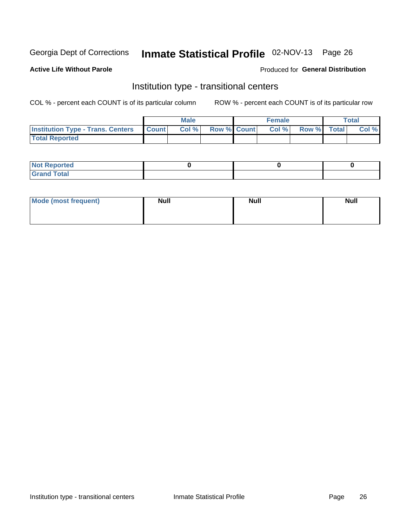# Inmate Statistical Profile 02-NOV-13 Page 26

#### **Active Life Without Parole**

### Produced for General Distribution

### Institution type - transitional centers

COL % - percent each COUNT is of its particular column

|                                          |                | <b>Male</b> |                    | <b>Female</b> |             | <b>Total</b> |
|------------------------------------------|----------------|-------------|--------------------|---------------|-------------|--------------|
| <b>Institution Type - Trans. Centers</b> | <b>I</b> Count | CoI%        | <b>Row % Count</b> | Col %         | Row % Total | Col %        |
| <b>Total Reported</b>                    |                |             |                    |               |             |              |

| <b>Reported</b><br><b>NOT</b>   |  |  |
|---------------------------------|--|--|
| $\sim$<br>C <sub>r</sub><br>--- |  |  |

| Mode (most frequent) | <b>Null</b> | <b>Null</b> | <b>Null</b> |
|----------------------|-------------|-------------|-------------|
|                      |             |             |             |
|                      |             |             |             |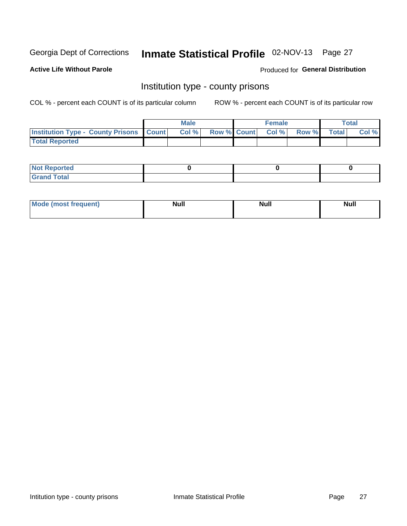# Inmate Statistical Profile 02-NOV-13 Page 27

**Active Life Without Parole** 

Produced for General Distribution

### Institution type - county prisons

COL % - percent each COUNT is of its particular column

|                                                    | <b>Male</b> |       |                          | <b>Female</b> |  |             | <b>Total</b> |       |
|----------------------------------------------------|-------------|-------|--------------------------|---------------|--|-------------|--------------|-------|
| <b>Institution Type - County Prisons   Count  </b> |             | Col % | <b>Row % Count Col %</b> |               |  | Row % Total |              | Col % |
| <b>Total Reported</b>                              |             |       |                          |               |  |             |              |       |

| <b>Not Reported</b>   |  |  |
|-----------------------|--|--|
| <b>Total</b><br>Granc |  |  |

| <b>Mode</b>      | <b>Null</b> | <b>Null</b> | <b>Null</b> |
|------------------|-------------|-------------|-------------|
| (most freauent). |             |             |             |
|                  |             |             |             |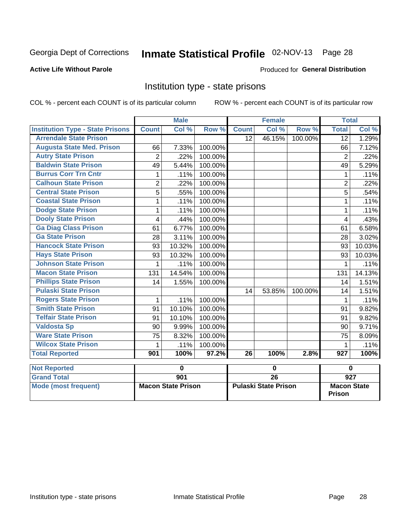# Inmate Statistical Profile 02-NOV-13 Page 28

#### **Active Life Without Parole**

#### Produced for General Distribution

### Institution type - state prisons

COL % - percent each COUNT is of its particular column

|                                         |                           | <b>Male</b> |         |                             | <b>Female</b> |         | <b>Total</b>                        |                  |
|-----------------------------------------|---------------------------|-------------|---------|-----------------------------|---------------|---------|-------------------------------------|------------------|
| <b>Institution Type - State Prisons</b> | <b>Count</b>              | Col %       | Row %   | <b>Count</b>                | Col %         | Row %   | <b>Total</b>                        | Col %            |
| <b>Arrendale State Prison</b>           |                           |             |         | 12 <sup>2</sup>             | 46.15%        | 100.00% | $\overline{12}$                     | 1.29%            |
| <b>Augusta State Med. Prison</b>        | 66                        | 7.33%       | 100.00% |                             |               |         | 66                                  | 7.12%            |
| <b>Autry State Prison</b>               | $\overline{2}$            | 22%         | 100.00% |                             |               |         | $\overline{2}$                      | .22%             |
| <b>Baldwin State Prison</b>             | 49                        | 5.44%       | 100.00% |                             |               |         | 49                                  | 5.29%            |
| <b>Burrus Corr Trn Cntr</b>             | 1                         | .11%        | 100.00% |                             |               |         | 1                                   | .11%             |
| <b>Calhoun State Prison</b>             | $\overline{2}$            | .22%        | 100.00% |                             |               |         | $\overline{2}$                      | .22%             |
| <b>Central State Prison</b>             | $\overline{5}$            | .55%        | 100.00% |                             |               |         | 5                                   | .54%             |
| <b>Coastal State Prison</b>             | 1                         | .11%        | 100.00% |                             |               |         | 1                                   | .11%             |
| <b>Dodge State Prison</b>               | 1                         | .11%        | 100.00% |                             |               |         | 1                                   | .11%             |
| <b>Dooly State Prison</b>               | 4                         | .44%        | 100.00% |                             |               |         | $\overline{4}$                      | .43%             |
| <b>Ga Diag Class Prison</b>             | 61                        | 6.77%       | 100.00% |                             |               |         | 61                                  | 6.58%            |
| <b>Ga State Prison</b>                  | 28                        | 3.11%       | 100.00% |                             |               |         | 28                                  | 3.02%            |
| <b>Hancock State Prison</b>             | 93                        | 10.32%      | 100.00% |                             |               |         | 93                                  | 10.03%           |
| <b>Hays State Prison</b>                | 93                        | 10.32%      | 100.00% |                             |               |         | 93                                  | 10.03%           |
| <b>Johnson State Prison</b>             | 1                         | .11%        | 100.00% |                             |               |         | 1                                   | .11%             |
| <b>Macon State Prison</b>               | 131                       | 14.54%      | 100.00% |                             |               |         | 131                                 | 14.13%           |
| <b>Phillips State Prison</b>            | 14                        | 1.55%       | 100.00% |                             |               |         | 14                                  | 1.51%            |
| <b>Pulaski State Prison</b>             |                           |             |         | 14                          | 53.85%        | 100.00% | 14                                  | 1.51%            |
| <b>Rogers State Prison</b>              | $\mathbf{1}$              | .11%        | 100.00% |                             |               |         | 1                                   | .11%             |
| <b>Smith State Prison</b>               | 91                        | 10.10%      | 100.00% |                             |               |         | 91                                  | 9.82%            |
| <b>Telfair State Prison</b>             | 91                        | 10.10%      | 100.00% |                             |               |         | 91                                  | 9.82%            |
| <b>Valdosta Sp</b>                      | 90                        | 9.99%       | 100.00% |                             |               |         | 90                                  | 9.71%            |
| <b>Ware State Prison</b>                | 75                        | 8.32%       | 100.00% |                             |               |         | 75                                  | 8.09%            |
| <b>Wilcox State Prison</b>              | 1                         | .11%        | 100.00% |                             |               |         | 1                                   | .11%             |
| <b>Total Reported</b>                   | 901                       | 100%        | 97.2%   | $\overline{26}$             | 100%          | 2.8%    | 927                                 | 100%             |
| <b>Not Reported</b>                     |                           | $\mathbf 0$ |         | $\mathbf 0$                 |               |         |                                     | $\mathbf 0$      |
| <b>Grand Total</b>                      |                           | 901         |         | $\overline{26}$             |               |         |                                     | $\overline{927}$ |
| <b>Mode (most frequent)</b>             | <b>Macon State Prison</b> |             |         | <b>Pulaski State Prison</b> |               |         | <b>Macon State</b><br><b>Prison</b> |                  |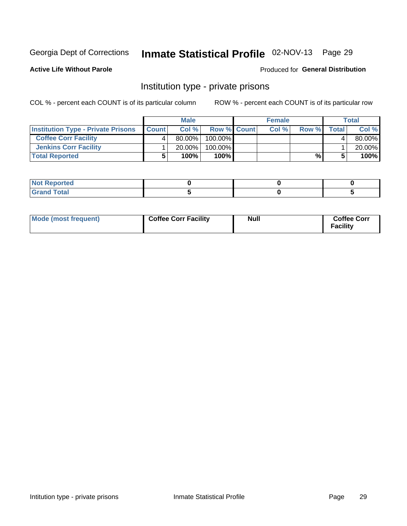# Inmate Statistical Profile 02-NOV-13 Page 29

**Active Life Without Parole** 

#### Produced for General Distribution

### Institution type - private prisons

COL % - percent each COUNT is of its particular column

|                                           | <b>Male</b>  |           |                    | <b>Female</b> |      |       | <b>Total</b> |        |
|-------------------------------------------|--------------|-----------|--------------------|---------------|------|-------|--------------|--------|
| <b>Institution Type - Private Prisons</b> | <b>Count</b> | Col %     | <b>Row % Count</b> |               | Col% | Row % | <b>Total</b> | Col %  |
| <b>Coffee Corr Facility</b>               |              | $80.00\%$ | $100.00\%$         |               |      |       |              | 80.00% |
| <b>Jenkins Corr Facility</b>              |              | $20.00\%$ | 100.00%            |               |      |       |              | 20.00% |
| <b>Total Reported</b>                     |              | 100%      | $100\%$            |               |      | %     |              | 100%   |

| portea<br>.<br>. |  |  |
|------------------|--|--|
| $\sim$<br>_      |  |  |

| Mode (most frequent) | <b>Coffee Corr Facility</b> | <b>Null</b> | <b>Coffee Corr</b><br><b>Facility</b> |
|----------------------|-----------------------------|-------------|---------------------------------------|
|----------------------|-----------------------------|-------------|---------------------------------------|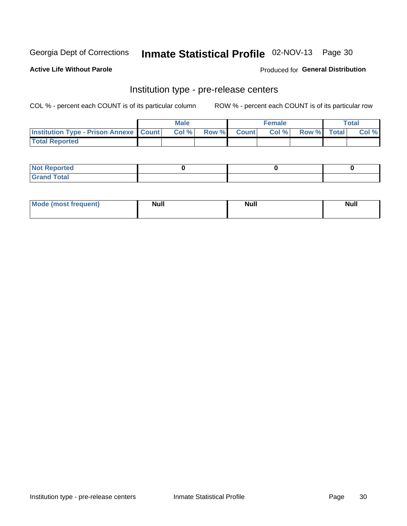## Inmate Statistical Profile 02-NOV-13 Page 30

**Active Life Without Parole** 

Produced for General Distribution

# Institution type - pre-release centers

COL % - percent each COUNT is of its particular column

|                                                   | <b>Male</b> |       |              |       | <b>Female</b> | <b>Total</b>       |  |       |
|---------------------------------------------------|-------------|-------|--------------|-------|---------------|--------------------|--|-------|
| <b>Institution Type - Prison Annexe   Count  </b> |             | Col % | <b>Row %</b> | Count | Col %         | <b>Row %</b> Total |  | Col % |
| <b>Total Reported</b>                             |             |       |              |       |               |                    |  |       |

| <b>Reported</b><br>I NOT |  |  |
|--------------------------|--|--|
| <b>Total</b><br>$C$ ren  |  |  |

| <b>Mo</b><br>frequent)<br>(most | <b>Null</b> | <b>Null</b> | <b>Null</b> |
|---------------------------------|-------------|-------------|-------------|
|                                 |             |             |             |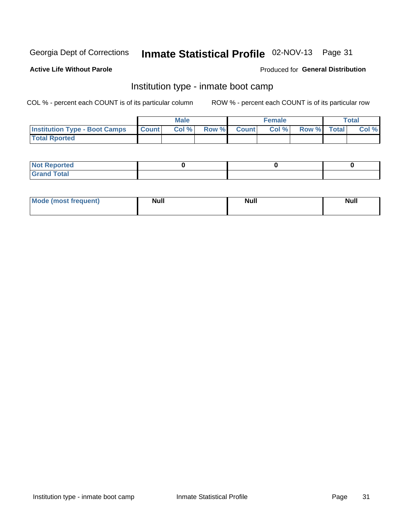# Inmate Statistical Profile 02-NOV-13 Page 31

### **Active Life Without Parole**

#### Produced for General Distribution

### Institution type - inmate boot camp

COL % - percent each COUNT is of its particular column

|                                      |              | <b>Male</b> |             | <b>Female</b> |             | Total |
|--------------------------------------|--------------|-------------|-------------|---------------|-------------|-------|
| <b>Institution Type - Boot Camps</b> | <b>Count</b> | Col %       | Row % Count | Col%          | Row % Total | Col % |
| <b>Total Rported</b>                 |              |             |             |               |             |       |

| <b>Not Reported</b>            |  |  |
|--------------------------------|--|--|
| <b>Total</b><br>C <sub>r</sub> |  |  |

| <b>I Mode (most frequent)</b> | <b>Null</b> | <b>Null</b> | <b>Null</b> |
|-------------------------------|-------------|-------------|-------------|
|                               |             |             |             |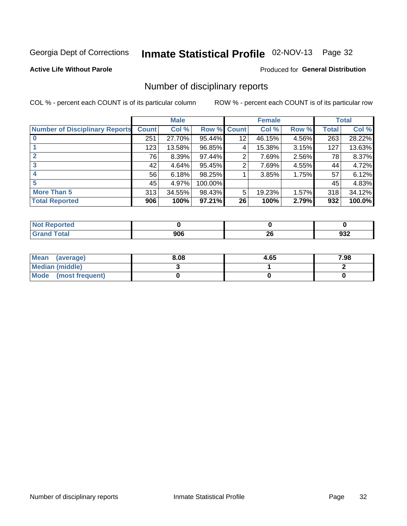# Inmate Statistical Profile 02-NOV-13 Page 32

#### **Active Life Without Parole**

#### Produced for General Distribution

### Number of disciplinary reports

COL % - percent each COUNT is of its particular column

|                                       |              | <b>Male</b> |             |    | <b>Female</b> |       |       | <b>Total</b> |
|---------------------------------------|--------------|-------------|-------------|----|---------------|-------|-------|--------------|
| <b>Number of Disciplinary Reports</b> | <b>Count</b> | Col %       | Row % Count |    | Col %         | Row % | Total | Col %        |
|                                       | 251          | 27.70%      | 95.44%      | 12 | 46.15%        | 4.56% | 263   | 28.22%       |
|                                       | 123          | 13.58%      | 96.85%      | 4  | 15.38%        | 3.15% | 127   | 13.63%       |
| $\mathbf{2}$                          | 76           | 8.39%       | 97.44%      | 2  | 7.69%         | 2.56% | 78    | 8.37%        |
| 3                                     | 42           | 4.64%       | 95.45%      | 2  | 7.69%         | 4.55% | 44    | 4.72%        |
|                                       | 56           | 6.18%       | 98.25%      |    | 3.85%         | 1.75% | 57    | 6.12%        |
| 5                                     | 45           | 4.97%       | 100.00%     |    |               |       | 45    | 4.83%        |
| <b>More Than 5</b>                    | 313          | 34.55%      | 98.43%      | 5  | 19.23%        | 1.57% | 318   | 34.12%       |
| <b>Total Reported</b>                 | 906          | 100%        | 97.21%      | 26 | 100%          | 2.79% | 932   | 100.0%       |

| วrted<br>NO |     |           |     |
|-------------|-----|-----------|-----|
| Total       | 906 | ne.<br>ZU | JJZ |

| Mean (average)       | 8.08 | 4.65 | 7.98 |
|----------------------|------|------|------|
| Median (middle)      |      |      |      |
| Mode (most frequent) |      |      |      |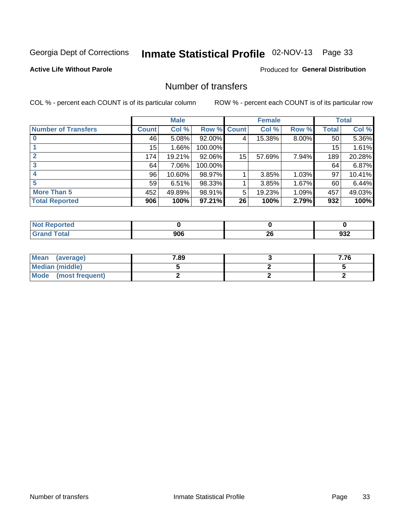# Inmate Statistical Profile 02-NOV-13 Page 33

### **Active Life Without Parole**

#### Produced for General Distribution

### Number of transfers

COL % - percent each COUNT is of its particular column

|                            |         | <b>Male</b> |         |              | <b>Female</b> |          |              | <b>Total</b> |
|----------------------------|---------|-------------|---------|--------------|---------------|----------|--------------|--------------|
| <b>Number of Transfers</b> | Count l | Col %       | Row %   | <b>Count</b> | Col %         | Row %    | <b>Total</b> | Col %        |
|                            | 46      | 5.08%       | 92.00%  | 4            | 15.38%        | $8.00\%$ | 50           | 5.36%        |
|                            | 15      | 1.66%       | 100.00% |              |               |          | 15           | 1.61%        |
|                            | 174     | 19.21%      | 92.06%  | 15           | 57.69%        | 7.94%    | 189          | 20.28%       |
| 3                          | 64      | 7.06%       | 100.00% |              |               |          | 64           | 6.87%        |
|                            | 96      | 10.60%      | 98.97%  |              | 3.85%         | 1.03%    | 97           | 10.41%       |
| 5                          | 59      | 6.51%       | 98.33%  |              | 3.85%         | 1.67%    | 60           | 6.44%        |
| <b>More Than 5</b>         | 452     | 49.89%      | 98.91%  | 5            | 19.23%        | 1.09%    | 457          | 49.03%       |
| <b>Total Reported</b>      | 906     | 100%        | 97.21%  | 26           | 100%          | 2.79%    | 932          | 100%         |

| prted<br>NOT F    |     |                 |            |
|-------------------|-----|-----------------|------------|
| <sup>-</sup> otal | 906 | ne.<br>ZV<br>__ | . .<br>JJZ |

| Mean (average)       | 7.89 | 7.76 |
|----------------------|------|------|
| Median (middle)      |      |      |
| Mode (most frequent) |      |      |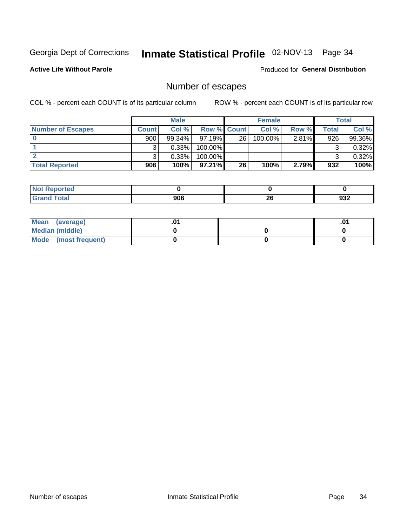# Inmate Statistical Profile 02-NOV-13 Page 34

**Active Life Without Parole** 

Produced for General Distribution

### Number of escapes

COL % - percent each COUNT is of its particular column

|                          | <b>Male</b>  |           |                    | <b>Female</b> |            |          | Total |        |
|--------------------------|--------------|-----------|--------------------|---------------|------------|----------|-------|--------|
| <b>Number of Escapes</b> | <b>Count</b> | Col%      | <b>Row % Count</b> |               | Col %      | Row %    | Total | Col %  |
|                          | 900          | $99.34\%$ | $97.19\%$          | 26            | $100.00\%$ | $2.81\%$ | 926   | 99.36% |
|                          |              | 0.33%     | 100.00%            |               |            |          |       | 0.32%  |
|                          |              | 0.33%     | $100.00\%$         |               |            |          |       | 0.32%  |
| <b>Total Reported</b>    | 906          | 100%      | $97.21\%$          | 26            | 100%       | 2.79%    | 932   | 100%   |

| orted<br><b>NO</b><br>. Repor |     |     |      |
|-------------------------------|-----|-----|------|
| <b>f</b> otal                 | 906 | oc. | ົາ   |
| Grand                         |     | ZU  | ັງລ∠ |

| Mean (average)       |  | .01 |
|----------------------|--|-----|
| Median (middle)      |  |     |
| Mode (most frequent) |  |     |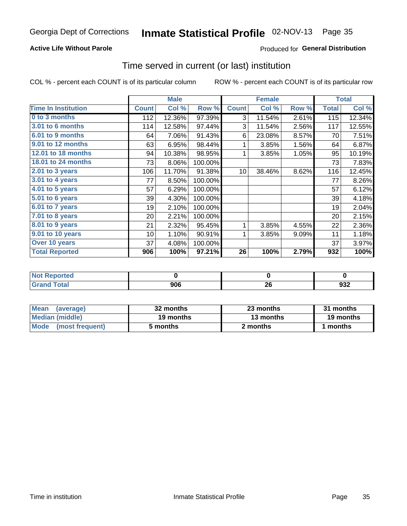# Inmate Statistical Profile 02-NOV-13 Page 35

### **Active Life Without Parole**

### **Produced for General Distribution**

### Time served in current (or last) institution

COL % - percent each COUNT is of its particular column

|                            |              | <b>Male</b> |         |                 | <b>Female</b> |       |              | <b>Total</b> |
|----------------------------|--------------|-------------|---------|-----------------|---------------|-------|--------------|--------------|
| <b>Time In Institution</b> | <b>Count</b> | Col %       | Row %   | <b>Count</b>    | Col %         | Row % | <b>Total</b> | Col %        |
| 0 to 3 months              | 112          | 12.36%      | 97.39%  | 3               | 11.54%        | 2.61% | 115          | 12.34%       |
| <b>3.01 to 6 months</b>    | 114          | 12.58%      | 97.44%  | 3               | 11.54%        | 2.56% | 117          | 12.55%       |
| 6.01 to 9 months           | 64           | 7.06%       | 91.43%  | 6               | 23.08%        | 8.57% | 70           | 7.51%        |
| 9.01 to 12 months          | 63           | 6.95%       | 98.44%  | 1               | 3.85%         | 1.56% | 64           | 6.87%        |
| 12.01 to 18 months         | 94           | 10.38%      | 98.95%  | 1               | 3.85%         | 1.05% | 95           | 10.19%       |
| <b>18.01 to 24 months</b>  | 73           | 8.06%       | 100.00% |                 |               |       | 73           | 7.83%        |
| $2.01$ to 3 years          | 106          | 11.70%      | 91.38%  | 10 <sup>1</sup> | 38.46%        | 8.62% | 116          | 12.45%       |
| 3.01 to 4 years            | 77           | 8.50%       | 100.00% |                 |               |       | 77           | 8.26%        |
| 4.01 to 5 years            | 57           | 6.29%       | 100.00% |                 |               |       | 57           | 6.12%        |
| 5.01 to 6 years            | 39           | 4.30%       | 100.00% |                 |               |       | 39           | 4.18%        |
| 6.01 to 7 years            | 19           | 2.10%       | 100.00% |                 |               |       | 19           | 2.04%        |
| 7.01 to 8 years            | 20           | 2.21%       | 100.00% |                 |               |       | 20           | 2.15%        |
| 8.01 to 9 years            | 21           | 2.32%       | 95.45%  | 1               | 3.85%         | 4.55% | 22           | 2.36%        |
| 9.01 to 10 years           | 10           | 1.10%       | 90.91%  | 1               | 3.85%         | 9.09% | 11           | 1.18%        |
| Over 10 years              | 37           | 4.08%       | 100.00% |                 |               |       | 37           | 3.97%        |
| <b>Total Reported</b>      | 906          | 100%        | 97.21%  | 26              | 100%          | 2.79% | 932          | 100%         |

| <b>borted</b><br>NOT F |     |              |                          |
|------------------------|-----|--------------|--------------------------|
| $T0$ tal               | 906 | ∠∪<br>$\sim$ | <u>__</u><br>ສວ∠<br>$ -$ |

| <b>Mean</b><br>(average) | 32 months | 23 months | 31 months |  |
|--------------------------|-----------|-----------|-----------|--|
| Median (middle)          | 19 months | 13 months | 19 months |  |
| Mode (most frequent)     | 5 months  | 2 months  | 1 months  |  |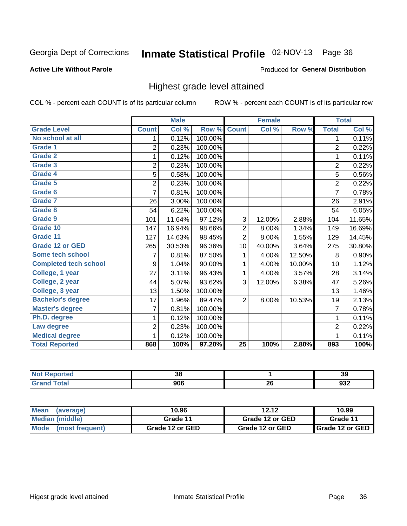# Inmate Statistical Profile 02-NOV-13 Page 36

#### **Active Life Without Parole**

#### Produced for General Distribution

### Highest grade level attained

COL % - percent each COUNT is of its particular column

|                              |                | <b>Male</b> |         |                 | <b>Female</b> |        |                         | <b>Total</b> |
|------------------------------|----------------|-------------|---------|-----------------|---------------|--------|-------------------------|--------------|
| <b>Grade Level</b>           | <b>Count</b>   | Col %       | Row %   | <b>Count</b>    | Col %         | Row %  | <b>Total</b>            | Col %        |
| No school at all             | 1              | 0.12%       | 100.00% |                 |               |        | 1                       | 0.11%        |
| Grade 1                      | $\overline{2}$ | 0.23%       | 100.00% |                 |               |        | $\overline{c}$          | 0.22%        |
| <b>Grade 2</b>               | 1              | 0.12%       | 100.00% |                 |               |        | 1                       | 0.11%        |
| Grade 3                      | $\overline{2}$ | 0.23%       | 100.00% |                 |               |        | $\overline{\mathbf{c}}$ | 0.22%        |
| Grade 4                      | 5              | 0.58%       | 100.00% |                 |               |        | 5                       | 0.56%        |
| Grade 5                      | $\overline{2}$ | 0.23%       | 100.00% |                 |               |        | $\overline{c}$          | 0.22%        |
| Grade 6                      | $\overline{7}$ | 0.81%       | 100.00% |                 |               |        | $\overline{7}$          | 0.78%        |
| Grade 7                      | 26             | 3.00%       | 100.00% |                 |               |        | 26                      | 2.91%        |
| Grade 8                      | 54             | 6.22%       | 100.00% |                 |               |        | 54                      | 6.05%        |
| Grade 9                      | 101            | 11.64%      | 97.12%  | 3               | 12.00%        | 2.88%  | 104                     | 11.65%       |
| Grade 10                     | 147            | 16.94%      | 98.66%  | $\overline{c}$  | 8.00%         | 1.34%  | 149                     | 16.69%       |
| Grade 11                     | 127            | 14.63%      | 98.45%  | $\overline{2}$  | 8.00%         | 1.55%  | 129                     | 14.45%       |
| <b>Grade 12 or GED</b>       | 265            | 30.53%      | 96.36%  | 10              | 40.00%        | 3.64%  | 275                     | 30.80%       |
| <b>Some tech school</b>      | 7              | 0.81%       | 87.50%  | 1               | 4.00%         | 12.50% | 8                       | 0.90%        |
| <b>Completed tech school</b> | 9              | 1.04%       | 90.00%  | 1               | 4.00%         | 10.00% | 10                      | 1.12%        |
| College, 1 year              | 27             | 3.11%       | 96.43%  | 1               | 4.00%         | 3.57%  | 28                      | 3.14%        |
| College, 2 year              | 44             | 5.07%       | 93.62%  | 3               | 12.00%        | 6.38%  | 47                      | 5.26%        |
| College, 3 year              | 13             | 1.50%       | 100.00% |                 |               |        | 13                      | 1.46%        |
| <b>Bachelor's degree</b>     | 17             | 1.96%       | 89.47%  | $\overline{2}$  | 8.00%         | 10.53% | 19                      | 2.13%        |
| <b>Master's degree</b>       | $\overline{7}$ | 0.81%       | 100.00% |                 |               |        | 7                       | 0.78%        |
| Ph.D. degree                 | 1              | 0.12%       | 100.00% |                 |               |        | 1                       | 0.11%        |
| Law degree                   | $\overline{2}$ | 0.23%       | 100.00% |                 |               |        | $\overline{2}$          | 0.22%        |
| <b>Medical degree</b>        |                | 0.12%       | 100.00% |                 |               |        | 1                       | 0.11%        |
| <b>Total Reported</b>        | 868            | 100%        | 97.20%  | $\overline{25}$ | 100%          | 2.80%  | 893                     | 100%         |

| $\bullet$ at $\bullet$ and $\bullet$ | ົ<br>၁၀ |            | $\mathbf{C}$<br>ು |
|--------------------------------------|---------|------------|-------------------|
| <b>Fotal</b>                         | 906     | - 20<br>ZU | ດາາ<br>JJ∠        |

| <b>Mean</b><br>(average) | 10.96           | 12.12           | 10.99             |
|--------------------------|-----------------|-----------------|-------------------|
| Median (middle)          | Grade 11        | Grade 12 or GED | Grade 11          |
| Mode<br>(most frequent)  | Grade 12 or GED | Grade 12 or GED | I Grade 12 or GED |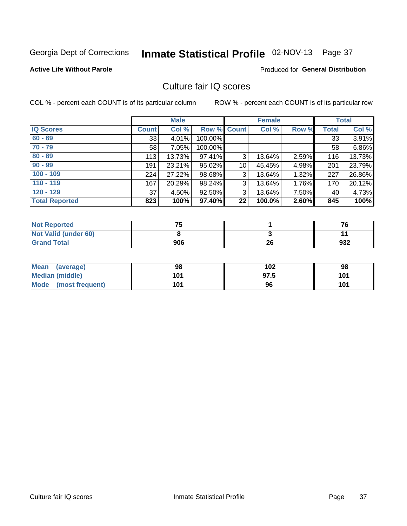# Inmate Statistical Profile 02-NOV-13 Page 37

### **Active Life Without Parole**

### Produced for General Distribution

## Culture fair IQ scores

COL % - percent each COUNT is of its particular column

|                       |              | <b>Male</b> |                    |                 | <b>Female</b> |       |              | <b>Total</b> |
|-----------------------|--------------|-------------|--------------------|-----------------|---------------|-------|--------------|--------------|
| <b>IQ Scores</b>      | <b>Count</b> | Col %       | <b>Row % Count</b> |                 | Col %         | Row % | <b>Total</b> | Col %        |
| $60 - 69$             | 33           | 4.01%       | 100.00%            |                 |               |       | 33           | 3.91%        |
| $70 - 79$             | 58           | 7.05%       | 100.00%            |                 |               |       | 58           | 6.86%        |
| $80 - 89$             | 113          | 13.73%      | 97.41%             | 3               | 13.64%        | 2.59% | 116          | 13.73%       |
| $90 - 99$             | 191          | 23.21%      | 95.02%             | 10 <sup>1</sup> | 45.45%        | 4.98% | 201          | 23.79%       |
| $100 - 109$           | 224          | 27.22%      | 98.68%             | 3               | 13.64%        | 1.32% | 227          | 26.86%       |
| $110 - 119$           | 167          | 20.29%      | 98.24%             | 3               | 13.64%        | 1.76% | 170          | 20.12%       |
| $120 - 129$           | 37           | 4.50%       | 92.50%             | 3               | 13.64%        | 7.50% | 40           | 4.73%        |
| <b>Total Reported</b> | 823          | 100%        | 97.40%             | 22              | 100.0%        | 2.60% | 845          | 100%         |

| <b>Not Reported</b>         | 75  |    | 76  |
|-----------------------------|-----|----|-----|
| <b>Not Valid (under 60)</b> |     |    |     |
| <b>Grand Total</b>          | 906 | 26 | 932 |

| Mean (average)       | 98  | 102  | 98  |
|----------------------|-----|------|-----|
| Median (middle)      | 101 | 97.5 | 101 |
| Mode (most frequent) | 101 | 96   | 101 |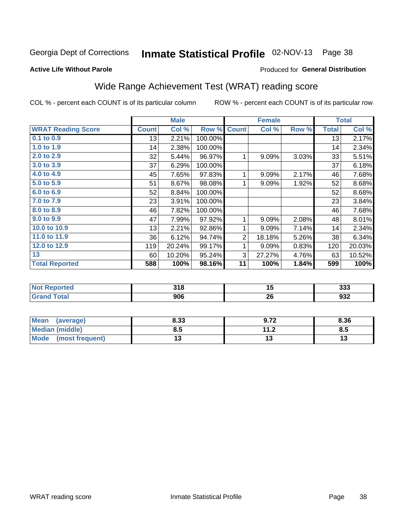# Inmate Statistical Profile 02-NOV-13 Page 38

### **Active Life Without Parole**

### Produced for General Distribution

## Wide Range Achievement Test (WRAT) reading score

COL % - percent each COUNT is of its particular column

|                           |              | <b>Male</b> |         |              | <b>Female</b> |       |              | <b>Total</b> |
|---------------------------|--------------|-------------|---------|--------------|---------------|-------|--------------|--------------|
| <b>WRAT Reading Score</b> | <b>Count</b> | Col %       | Row %   | <b>Count</b> | Col %         | Row % | <b>Total</b> | Col %        |
| 0.1 to 0.9                | 13           | 2.21%       | 100.00% |              |               |       | 13           | 2.17%        |
| 1.0 to $1.9$              | 14           | 2.38%       | 100.00% |              |               |       | 14           | 2.34%        |
| 2.0 to 2.9                | 32           | 5.44%       | 96.97%  | 1            | 9.09%         | 3.03% | 33           | 5.51%        |
| 3.0 to 3.9                | 37           | 6.29%       | 100.00% |              |               |       | 37           | 6.18%        |
| 4.0 to 4.9                | 45           | 7.65%       | 97.83%  | 1            | 9.09%         | 2.17% | 46           | 7.68%        |
| 5.0 to 5.9                | 51           | 8.67%       | 98.08%  | 1            | 9.09%         | 1.92% | 52           | 8.68%        |
| 6.0 to 6.9                | 52           | 8.84%       | 100.00% |              |               |       | 52           | 8.68%        |
| 7.0 to 7.9                | 23           | 3.91%       | 100.00% |              |               |       | 23           | 3.84%        |
| 8.0 to 8.9                | 46           | 7.82%       | 100.00% |              |               |       | 46           | 7.68%        |
| 9.0 to 9.9                | 47           | 7.99%       | 97.92%  | 1            | 9.09%         | 2.08% | 48           | 8.01%        |
| 10.0 to 10.9              | 13           | 2.21%       | 92.86%  | 1            | 9.09%         | 7.14% | 14           | 2.34%        |
| 11.0 to $11.9$            | 36           | 6.12%       | 94.74%  | $\sqrt{2}$   | 18.18%        | 5.26% | 38           | 6.34%        |
| 12.0 to 12.9              | 119          | 20.24%      | 99.17%  | 1            | 9.09%         | 0.83% | 120          | 20.03%       |
| 13                        | 60           | 10.20%      | 95.24%  | 3            | 27.27%        | 4.76% | 63           | 10.52%       |
| <b>Total Reported</b>     | 588          | 100%        | 98.16%  | 11           | 100%          | 1.84% | 599          | 100%         |
|                           |              |             |         |              |               |       |              |              |
| <b>Not Reported</b>       |              | 318         |         |              | 15            |       |              | 333          |
| <b>Grand Total</b>        |              | 906         |         |              | 26            |       |              | 932          |

| Mean<br>(average)    | 8.33 | 9.72                 | 8.36 |
|----------------------|------|----------------------|------|
| Median (middle)      | ช.ว  | 11 J<br>. . Z        | 8.5  |
| Mode (most frequent) | .,   | $\ddot{\phantom{0}}$ | יי   |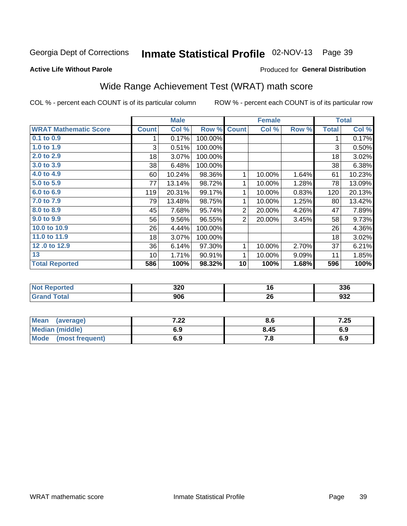# Inmate Statistical Profile 02-NOV-13 Page 39

### **Active Life Without Parole**

### Produced for General Distribution

## Wide Range Achievement Test (WRAT) math score

COL % - percent each COUNT is of its particular column

|                                     |                 | <b>Male</b> |         |                | <b>Female</b>  |       |              | <b>Total</b> |
|-------------------------------------|-----------------|-------------|---------|----------------|----------------|-------|--------------|--------------|
| <b>WRAT Mathematic Score</b>        | <b>Count</b>    | Col %       | Row %   | <b>Count</b>   | Col %          | Row % | <b>Total</b> | Col %        |
| $0.1$ to $0.9$                      | 1               | 0.17%       | 100.00% |                |                |       | 1            | 0.17%        |
| 1.0 to 1.9                          | 3               | 0.51%       | 100.00% |                |                |       | 3            | 0.50%        |
| 2.0 to 2.9                          | 18              | 3.07%       | 100.00% |                |                |       | 18           | 3.02%        |
| 3.0 to 3.9                          | 38              | 6.48%       | 100.00% |                |                |       | 38           | 6.38%        |
| 4.0 to 4.9                          | 60              | 10.24%      | 98.36%  | 1              | 10.00%         | 1.64% | 61           | 10.23%       |
| 5.0 to 5.9                          | 77              | 13.14%      | 98.72%  | 1              | 10.00%         | 1.28% | 78           | 13.09%       |
| 6.0 to 6.9                          | 119             | 20.31%      | 99.17%  | 1              | 10.00%         | 0.83% | 120          | 20.13%       |
| 7.0 to 7.9                          | 79              | 13.48%      | 98.75%  | 1              | 10.00%         | 1.25% | 80           | 13.42%       |
| 8.0 to 8.9                          | 45              | 7.68%       | 95.74%  | $\overline{2}$ | 20.00%         | 4.26% | 47           | 7.89%        |
| 9.0 to 9.9                          | 56              | 9.56%       | 96.55%  | $\overline{2}$ | 20.00%         | 3.45% | 58           | 9.73%        |
| 10.0 to 10.9                        | 26              | 4.44%       | 100.00% |                |                |       | 26           | 4.36%        |
| 11.0 to 11.9                        | 18              | 3.07%       | 100.00% |                |                |       | 18           | 3.02%        |
| 12.0 to 12.9                        | 36              | 6.14%       | 97.30%  | $\mathbf 1$    | 10.00%         | 2.70% | 37           | 6.21%        |
| 13                                  | 10 <sup>1</sup> | 1.71%       | 90.91%  | 1              | 10.00%         | 9.09% | 11           | 1.85%        |
| <b>Total Reported</b>               | 586             | 100%        | 98.32%  | 10             | 100%           | 1.68% | 596          | 100%         |
|                                     |                 |             |         |                |                |       |              |              |
| <b>All and Photographs and Call</b> |                 | $\sim$      |         |                | $\overline{A}$ |       |              | $\sim$       |

| eported | 320 | יי  | nne<br>აათ  |
|---------|-----|-----|-------------|
|         | ስስረ | nr. | nn <i>r</i> |
|         | YUC | 40  | 99Z         |

| Mean<br>(average)              | ר ה<br>$\mathbf{z}$ | o.o  | 7.25 |
|--------------------------------|---------------------|------|------|
| <b>Median (middle)</b>         | 6.9                 | 8.45 | 6.9  |
| <b>Mode</b><br>(most frequent) | 6.9                 | 7. a | 6.9  |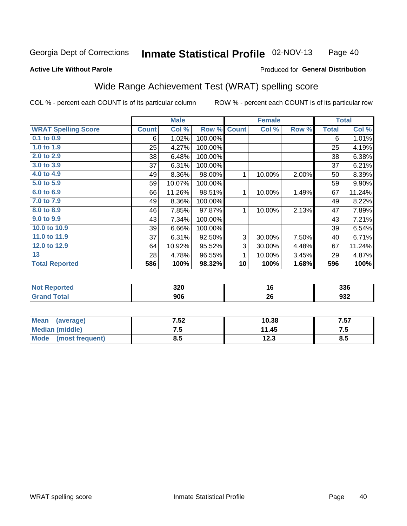#### Inmate Statistical Profile 02-NOV-13 Page 40

### **Active Life Without Parole**

### Produced for General Distribution

## Wide Range Achievement Test (WRAT) spelling score

COL % - percent each COUNT is of its particular column

|                            |              | <b>Male</b> |         |              | <b>Female</b> |       |              | <b>Total</b> |
|----------------------------|--------------|-------------|---------|--------------|---------------|-------|--------------|--------------|
| <b>WRAT Spelling Score</b> | <b>Count</b> | Col %       | Row %   | <b>Count</b> | Col %         | Row % | <b>Total</b> | Col $%$      |
| 0.1 to 0.9                 | 6            | 1.02%       | 100.00% |              |               |       | 6            | 1.01%        |
| 1.0 to 1.9                 | 25           | 4.27%       | 100.00% |              |               |       | 25           | 4.19%        |
| 2.0 to 2.9                 | 38           | 6.48%       | 100.00% |              |               |       | 38           | 6.38%        |
| 3.0 to 3.9                 | 37           | 6.31%       | 100.00% |              |               |       | 37           | 6.21%        |
| 4.0 to 4.9                 | 49           | 8.36%       | 98.00%  | 1            | 10.00%        | 2.00% | 50           | 8.39%        |
| 5.0 to 5.9                 | 59           | 10.07%      | 100.00% |              |               |       | 59           | 9.90%        |
| 6.0 to 6.9                 | 66           | 11.26%      | 98.51%  | 1            | 10.00%        | 1.49% | 67           | 11.24%       |
| 7.0 to 7.9                 | 49           | 8.36%       | 100.00% |              |               |       | 49           | 8.22%        |
| 8.0 to 8.9                 | 46           | 7.85%       | 97.87%  | 1            | 10.00%        | 2.13% | 47           | 7.89%        |
| 9.0 to 9.9                 | 43           | 7.34%       | 100.00% |              |               |       | 43           | 7.21%        |
| 10.0 to 10.9               | 39           | 6.66%       | 100.00% |              |               |       | 39           | 6.54%        |
| 11.0 to 11.9               | 37           | 6.31%       | 92.50%  | 3            | 30.00%        | 7.50% | 40           | 6.71%        |
| 12.0 to 12.9               | 64           | 10.92%      | 95.52%  | 3            | 30.00%        | 4.48% | 67           | 11.24%       |
| 13                         | 28           | 4.78%       | 96.55%  | 1            | 10.00%        | 3.45% | 29           | 4.87%        |
| <b>Total Reported</b>      | 586          | 100%        | 98.32%  | 10           | 100%          | 1.68% | 596          | 100%         |
|                            |              |             |         |              |               |       |              |              |
| <b>Not Reported</b>        |              | 320         |         |              | 16            |       |              | 336          |

| . Jiai | 906 | ጎር<br>ZU | .<br>JJL |
|--------|-----|----------|----------|
|        |     |          |          |
|        |     |          |          |

| Mode (most frequent)     | o.J  | 12.3  | ช.ว  |
|--------------------------|------|-------|------|
| <b>Median (middle)</b>   | ن. ا | 11.45 | ں. ا |
| <b>Mean</b><br>(average) | 7.52 | 10.38 | 7.57 |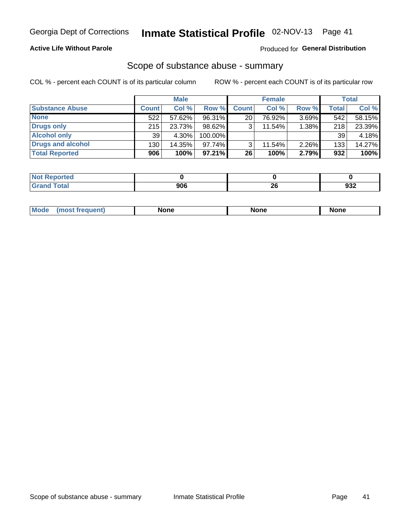### **Active Life Without Parole**

### Produced for General Distribution

### Scope of substance abuse - summary

COL % - percent each COUNT is of its particular column

|                        |              | <b>Male</b> |           |              | <b>Female</b> |       |              | <b>Total</b> |
|------------------------|--------------|-------------|-----------|--------------|---------------|-------|--------------|--------------|
| <b>Substance Abuse</b> | <b>Count</b> | Col %       | Row %     | <b>Count</b> | Col %         | Row % | <b>Total</b> | Col %        |
| <b>None</b>            | 522          | 57.62%      | 96.31%    | 20           | 76.92%        | 3.69% | 542          | 58.15%       |
| <b>Drugs only</b>      | 215          | 23.73%      | 98.62%    |              | 11.54%        | 1.38% | 218          | 23.39%       |
| <b>Alcohol only</b>    | 39           | $4.30\%$    | 100.00%   |              |               |       | 39           | 4.18%        |
| Drugs and alcohol      | 130          | 14.35%      | $97.74\%$ |              | 11.54%        | 2.26% | 133          | 14.27%       |
| <b>Total Reported</b>  | 906          | 100%        | $97.21\%$ | 26           | 100%          | 2.79% | 932          | 100%         |

| <b>Reported</b><br>' Not     |     |    |     |
|------------------------------|-----|----|-----|
| <b>Total</b><br><b>Grand</b> | nne | ZU | JJZ |

| <b>Moc</b><br>None<br><b>None</b><br><b>None</b><br>owenn |
|-----------------------------------------------------------|
|-----------------------------------------------------------|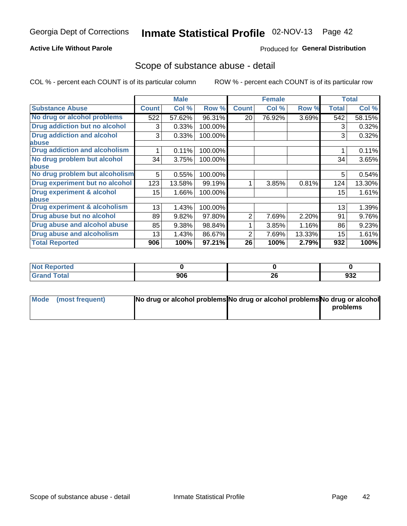### **Active Life Without Parole**

### Produced for General Distribution

### Scope of substance abuse - detail

COL % - percent each COUNT is of its particular column

|                                         |              | <b>Male</b> |         |              | <b>Female</b> |        |              | <b>Total</b> |
|-----------------------------------------|--------------|-------------|---------|--------------|---------------|--------|--------------|--------------|
| <b>Substance Abuse</b>                  | <b>Count</b> | Col %       | Row %   | <b>Count</b> | Col %         | Row %  | <b>Total</b> | Col %        |
| No drug or alcohol problems             | 522          | 57.62%      | 96.31%  | 20           | 76.92%        | 3.69%  | 542          | 58.15%       |
| Drug addiction but no alcohol           | 3            | 0.33%       | 100.00% |              |               |        | 3            | 0.32%        |
| <b>Drug addiction and alcohol</b>       | 3            | 0.33%       | 100.00% |              |               |        | 3            | 0.32%        |
| abuse                                   |              |             |         |              |               |        |              |              |
| <b>Drug addiction and alcoholism</b>    |              | 0.11%       | 100.00% |              |               |        |              | 0.11%        |
| No drug problem but alcohol             | 34           | 3.75%       | 100.00% |              |               |        | 34           | 3.65%        |
| abuse                                   |              |             |         |              |               |        |              |              |
| No drug problem but alcoholism          | 5            | 0.55%       | 100.00% |              |               |        | 5            | 0.54%        |
| Drug experiment but no alcohol          | 123          | 13.58%      | 99.19%  |              | 3.85%         | 0.81%  | 124          | 13.30%       |
| <b>Drug experiment &amp; alcohol</b>    | 15           | 1.66%       | 100.00% |              |               |        | 15           | 1.61%        |
| abuse                                   |              |             |         |              |               |        |              |              |
| <b>Drug experiment &amp; alcoholism</b> | 13           | 1.43%       | 100.00% |              |               |        | 13           | 1.39%        |
| Drug abuse but no alcohol               | 89           | 9.82%       | 97.80%  | 2            | 7.69%         | 2.20%  | 91           | 9.76%        |
| Drug abuse and alcohol abuse            | 85           | 9.38%       | 98.84%  |              | 3.85%         | 1.16%  | 86           | 9.23%        |
| <b>Drug abuse and alcoholism</b>        | 13           | 1.43%       | 86.67%  | 2            | 7.69%         | 13.33% | 15           | 1.61%        |
| <b>Total Reported</b>                   | 906          | 100%        | 97.21%  | 26           | 100%          | 2.79%  | 932          | 100%         |

| ported<br><b>NOT</b> |     |    |      |
|----------------------|-----|----|------|
| $\sim$               | 906 | ንር | no c |
| _____                |     | ZO | 93Z  |

| Mode (most frequent) | No drug or alcohol problems No drug or alcohol problems No drug or alcohol |          |
|----------------------|----------------------------------------------------------------------------|----------|
|                      |                                                                            | problems |
|                      |                                                                            |          |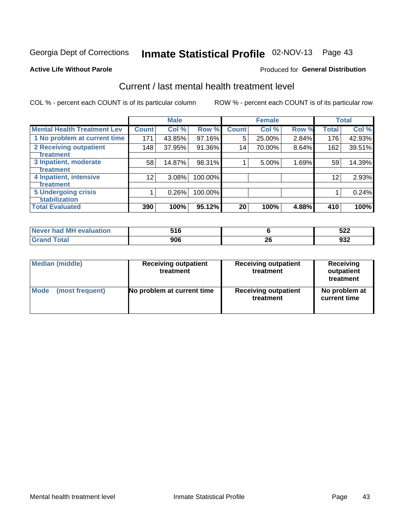# Inmate Statistical Profile 02-NOV-13 Page 43

### **Active Life Without Parole**

### **Produced for General Distribution**

## Current / last mental health treatment level

COL % - percent each COUNT is of its particular column

|                                    |              | <b>Male</b> |         |              | <b>Female</b> |       |              | <b>Total</b> |
|------------------------------------|--------------|-------------|---------|--------------|---------------|-------|--------------|--------------|
| <b>Mental Health Treatment Lev</b> | <b>Count</b> | Col %       | Row %   | <b>Count</b> | Col %         | Row % | <b>Total</b> | Col %        |
| 1 No problem at current time       | 171          | 43.85%      | 97.16%  | 5            | 25.00%        | 2.84% | 176          | 42.93%       |
| <b>2 Receiving outpatient</b>      | 148          | 37.95%      | 91.36%  | 14           | 70.00%        | 8.64% | 162          | 39.51%       |
| <b>Treatment</b>                   |              |             |         |              |               |       |              |              |
| 3 Inpatient, moderate              | 58           | 14.87%      | 98.31%  |              | 5.00%         | 1.69% | 59           | 14.39%       |
| Treatment                          |              |             |         |              |               |       |              |              |
| 4 Inpatient, intensive             | 12           | 3.08%       | 100.00% |              |               |       | 12           | 2.93%        |
| Treatment                          |              |             |         |              |               |       |              |              |
| <b>5 Undergoing crisis</b>         |              | 0.26%       | 100.00% |              |               |       |              | 0.24%        |
| <b>stabilization</b>               |              |             |         |              |               |       |              |              |
| <b>Total Evaluated</b>             | 390          | 100%        | 95.12%  | 20           | 100%          | 4.88% | 410          | 100%         |

| Never had MF<br>evaluation | 54 G<br>JIV |           | r <u>n n</u><br>JZZ |
|----------------------------|-------------|-----------|---------------------|
| Cotol                      | 906         | n r<br>ZU | ฮง∠                 |

| Median (middle) | <b>Receiving outpatient</b><br>treatment | <b>Receiving outpatient</b><br>treatment | <b>Receiving</b><br>outpatient<br>treatment |  |  |
|-----------------|------------------------------------------|------------------------------------------|---------------------------------------------|--|--|
| Mode            | No problem at current time               | <b>Receiving outpatient</b>              | No problem at                               |  |  |
| (most frequent) |                                          | treatment                                | current time                                |  |  |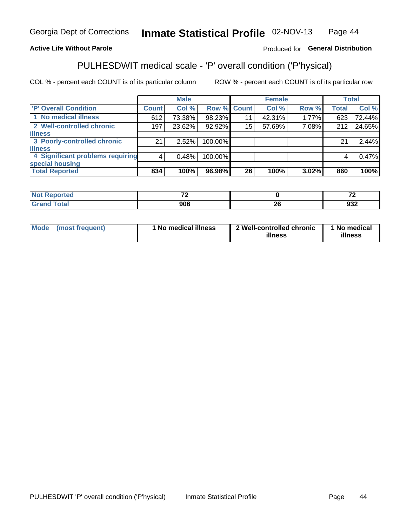#### Inmate Statistical Profile 02-NOV-13 Page 44

### **Active Life Without Parole**

### Produced for General Distribution

## PULHESDWIT medical scale - 'P' overall condition ('P'hysical)

COL % - percent each COUNT is of its particular column

|                                  |       | <b>Male</b> |                    |    | <b>Female</b> |       |              | <b>Total</b> |
|----------------------------------|-------|-------------|--------------------|----|---------------|-------|--------------|--------------|
| 'P' Overall Condition            | Count | Col %       | <b>Row % Count</b> |    | Col %         | Row % | <b>Total</b> | Col %        |
| 1 No medical illness             | 612   | 73.38%      | 98.23%             | 11 | 42.31%        | 1.77% | 623          | 72.44%       |
| 2 Well-controlled chronic        | 197   | 23.62%      | 92.92%             | 15 | 57.69%        | 7.08% | 212          | 24.65%       |
| <b>illness</b>                   |       |             |                    |    |               |       |              |              |
| 3 Poorly-controlled chronic      | 21    | 2.52%       | 100.00%            |    |               |       | 21           | $2.44\%$     |
| <b>illness</b>                   |       |             |                    |    |               |       |              |              |
| 4 Significant problems requiring | 4     | 0.48%       | 100.00%            |    |               |       | 4            | 0.47%        |
| special housing                  |       |             |                    |    |               |       |              |              |
| <b>Total Reported</b>            | 834   | 100%        | 96.98%             | 26 | 100%          | 3.02% | 860          | 100%         |

| $\rightarrow$<br>$\cdot$ $-$ |                                 | $\rightarrow$<br>. . |
|------------------------------|---------------------------------|----------------------|
| 906                          | - -<br>$\overline{\phantom{0}}$ | $\sim$<br>ອວ∠        |

| <b>Mode</b> | (most frequent) | 1 No medical illness | 2 Well-controlled chronic<br>illness | 1 No medical<br>illness |
|-------------|-----------------|----------------------|--------------------------------------|-------------------------|
|-------------|-----------------|----------------------|--------------------------------------|-------------------------|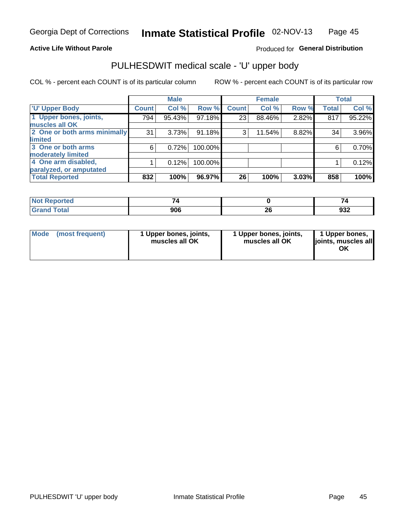### **Active Life Without Parole**

### Produced for General Distribution

# PULHESDWIT medical scale - 'U' upper body

COL % - percent each COUNT is of its particular column

|                              |               | <b>Male</b> |         |              | <b>Female</b> |       |              | <b>Total</b> |
|------------------------------|---------------|-------------|---------|--------------|---------------|-------|--------------|--------------|
| <b>U' Upper Body</b>         | <b>Count!</b> | Col %       | Row %   | <b>Count</b> | Col %         | Row % | <b>Total</b> | Col %        |
| 1 Upper bones, joints,       | 794           | 95.43%      | 97.18%  | 23           | 88.46%        | 2.82% | 817          | 95.22%       |
| muscles all OK               |               |             |         |              |               |       |              |              |
| 2 One or both arms minimally | 31            | 3.73%       | 91.18%  | 3            | 11.54%        | 8.82% | 34           | 3.96%        |
| limited                      |               |             |         |              |               |       |              |              |
| 3 One or both arms           | 6             | 0.72%       | 100.00% |              |               |       | 6            | 0.70%        |
| <b>moderately limited</b>    |               |             |         |              |               |       |              |              |
| 4 One arm disabled,          |               | 0.12%       | 100.00% |              |               |       |              | 0.12%        |
| paralyzed, or amputated      |               |             |         |              |               |       |              |              |
| <b>Total Reported</b>        | 832           | 100%        | 96.97%  | 26           | 100%          | 3.03% | 858          | 100%         |

| <b>Not Reported</b>   |     |         |     |
|-----------------------|-----|---------|-----|
| <b>Total</b><br>Grand | 906 | ^^<br>£ | 932 |

| Mode | (most frequent) | 1 Upper bones, joints,<br>muscles all OK | 1 Upper bones, joints,<br>muscles all OK | 1 Upper bones,<br>ljoints, muscles all<br>OK |
|------|-----------------|------------------------------------------|------------------------------------------|----------------------------------------------|
|------|-----------------|------------------------------------------|------------------------------------------|----------------------------------------------|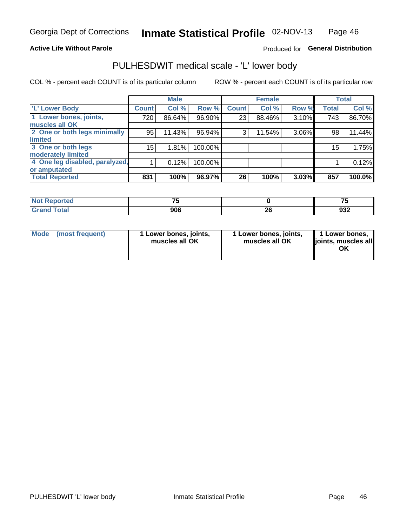### **Active Life Without Parole**

### Produced for General Distribution

## PULHESDWIT medical scale - 'L' lower body

COL % - percent each COUNT is of its particular column

|                                |              | <b>Male</b> |           |              | <b>Female</b> |       |                 | <b>Total</b> |
|--------------------------------|--------------|-------------|-----------|--------------|---------------|-------|-----------------|--------------|
| 'L' Lower Body                 | <b>Count</b> | Col %       | Row %     | <b>Count</b> | Col %         | Row % | <b>Total</b>    | Col %        |
| 1 Lower bones, joints,         | 720          | 86.64%      | $96.90\%$ | 23           | 88.46%        | 3.10% | 743             | 86.70%       |
| muscles all OK                 |              |             |           |              |               |       |                 |              |
| 2 One or both legs minimally   | 95           | 11.43%      | 96.94%    | 3            | 11.54%        | 3.06% | 98              | 11.44%       |
| limited                        |              |             |           |              |               |       |                 |              |
| 3 One or both legs             | 15           | 1.81%       | 100.00%   |              |               |       | 15 <sub>1</sub> | 1.75%        |
| moderately limited             |              |             |           |              |               |       |                 |              |
| 4 One leg disabled, paralyzed, |              | 0.12%       | 100.00%   |              |               |       |                 | 0.12%        |
| or amputated                   |              |             |           |              |               |       |                 |              |
| <b>Total Reported</b>          | 831          | 100%        | $96.97\%$ | 26           | 100%          | 3.03% | 857             | 100.0%       |

| <b>Not Reported</b>   | --  |         |     |
|-----------------------|-----|---------|-----|
| <b>Total</b><br>oranu | 906 | ^^<br>£ | 932 |

|  | Mode (most frequent) | 1 Lower bones, joints,<br>muscles all OK | 1 Lower bones, joints,<br>muscles all OK | 1 Lower bones,<br>ljoints, muscles all<br>ΟK |
|--|----------------------|------------------------------------------|------------------------------------------|----------------------------------------------|
|--|----------------------|------------------------------------------|------------------------------------------|----------------------------------------------|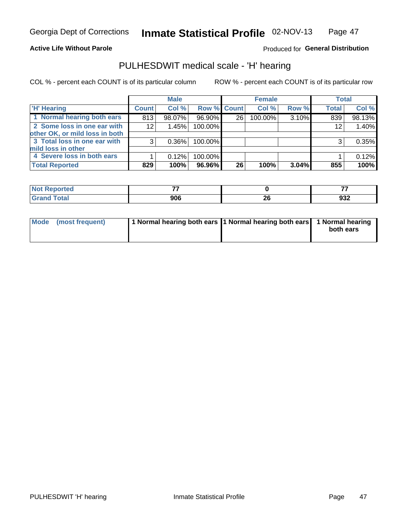### **Active Life Without Parole**

### Produced for General Distribution

## PULHESDWIT medical scale - 'H' hearing

COL % - percent each COUNT is of its particular column

|                                |              | <b>Male</b> |                    |    | <b>Female</b> |       | <b>Total</b> |        |
|--------------------------------|--------------|-------------|--------------------|----|---------------|-------|--------------|--------|
| <b>H' Hearing</b>              | <b>Count</b> | Col %       | <b>Row % Count</b> |    | Col %         | Row % | <b>Total</b> | Col %  |
| 1 Normal hearing both ears     | 813          | 98.07%      | 96.90%             | 26 | 100.00%       | 3.10% | 839          | 98.13% |
| 2 Some loss in one ear with    | 12           | 1.45%       | 100.00%            |    |               |       | 12           | 1.40%  |
| other OK, or mild loss in both |              |             |                    |    |               |       |              |        |
| 3 Total loss in one ear with   | 3            | 0.36%       | 100.00%            |    |               |       | 3            | 0.35%  |
| mild loss in other             |              |             |                    |    |               |       |              |        |
| 4 Severe loss in both ears     |              | 0.12%       | 100.00%            |    |               |       |              | 0.12%  |
| <b>Total Reported</b>          | 829          | 100%        | 96.96%             | 26 | 100%          | 3.04% | 855          | 100%   |

| 'N<br>Teo                   | --          |         |             |
|-----------------------------|-------------|---------|-------------|
| $\sim$ $\sim$ $\sim$ $\sim$ | nn <i>r</i> | ״<br>ZO | ה כה<br>งง∠ |

| Mode (most frequent) | 1 Normal hearing both ears 1 Normal hearing both ears 1 Normal hearing | both ears |
|----------------------|------------------------------------------------------------------------|-----------|
|                      |                                                                        |           |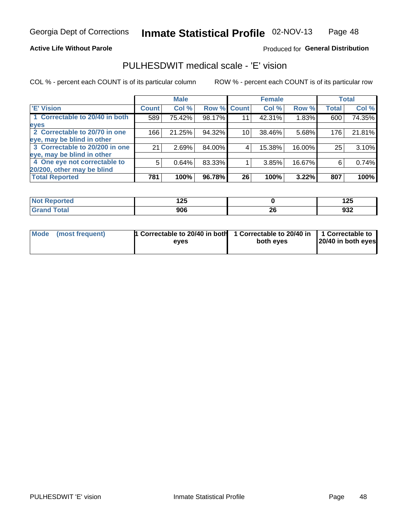### **Active Life Without Parole**

### Produced for General Distribution

## PULHESDWIT medical scale - 'E' vision

COL % - percent each COUNT is of its particular column

|                                |              | <b>Male</b> |        |                 | <b>Female</b> |        |              | <b>Total</b> |
|--------------------------------|--------------|-------------|--------|-----------------|---------------|--------|--------------|--------------|
| <b>E' Vision</b>               | <b>Count</b> | Col %       | Row %  | <b>Count</b>    | Col %         | Row %  | <b>Total</b> | Col %        |
| 1 Correctable to 20/40 in both | 589          | 75.42%      | 98.17% | 11              | 42.31%        | 1.83%  | 600          | 74.35%       |
| eyes                           |              |             |        |                 |               |        |              |              |
| 2 Correctable to 20/70 in one  | 166          | 21.25%      | 94.32% | 10 <sub>1</sub> | 38.46%        | 5.68%  | 176          | 21.81%       |
| eye, may be blind in other     |              |             |        |                 |               |        |              |              |
| 3 Correctable to 20/200 in one | 21           | 2.69%       | 84.00% |                 | 15.38%        | 16.00% | 25           | 3.10%        |
| eye, may be blind in other     |              |             |        |                 |               |        |              |              |
| 4 One eye not correctable to   | 5            | 0.64%       | 83.33% |                 | 3.85%         | 16.67% | 6            | 0.74%        |
| 20/200, other may be blind     |              |             |        |                 |               |        |              |              |
| <b>Total Reported</b>          | 781          | 100%        | 96.78% | 26              | 100%          | 3.22%  | 807          | 100%         |

| orted<br>NOT F<br>. | ィクに<br>14J |                 | .<br>╹┻┙   |
|---------------------|------------|-----------------|------------|
| <b>Total</b>        | 906        | ሳሪ<br>4.<br>___ | nor<br>ວວ∠ |

| Mode (most frequent) | <sup>1</sup> Correctable to 20/40 in both 1 Correctable to 20/40 in 1 Correctable to<br>eves | both eyes | 20/40 in both eyes |  |
|----------------------|----------------------------------------------------------------------------------------------|-----------|--------------------|--|
|                      |                                                                                              |           |                    |  |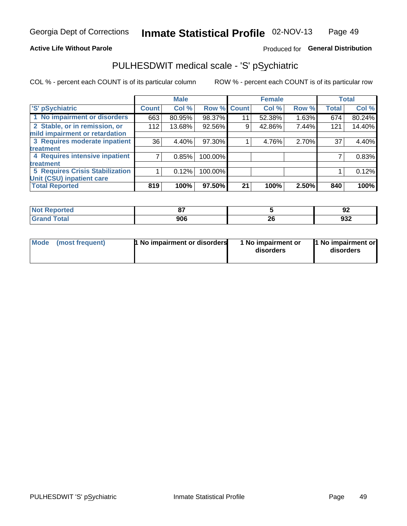### **Active Life Without Parole**

### Produced for General Distribution

## PULHESDWIT medical scale - 'S' pSychiatric

COL % - percent each COUNT is of its particular column

|                                        |              | <b>Male</b> |         |             | <b>Female</b> |       |              | <b>Total</b> |
|----------------------------------------|--------------|-------------|---------|-------------|---------------|-------|--------------|--------------|
| 'S' pSychiatric                        | <b>Count</b> | Col %       |         | Row % Count | Col %         | Row % | <b>Total</b> | Col %        |
| 1 No impairment or disorders           | 663          | 80.95%      | 98.37%  | 11          | 52.38%        | 1.63% | 674          | 80.24%       |
| 2 Stable, or in remission, or          | 112          | 13.68%      | 92.56%  | 9           | 42.86%        | 7.44% | 121          | 14.40%       |
| mild impairment or retardation         |              |             |         |             |               |       |              |              |
| 3 Requires moderate inpatient          | 36           | 4.40%       | 97.30%  |             | 4.76%         | 2.70% | 37           | 4.40%        |
| treatment                              |              |             |         |             |               |       |              |              |
| 4 Requires intensive inpatient         |              | 0.85%       | 100.00% |             |               |       |              | 0.83%        |
| treatment                              |              |             |         |             |               |       |              |              |
| <b>5 Requires Crisis Stabilization</b> |              | 0.12%       | 100.00% |             |               |       |              | 0.12%        |
| Unit (CSU) inpatient care              |              |             |         |             |               |       |              |              |
| <b>Total Reported</b>                  | 819          | 100%        | 97.50%  | 21          | 100%          | 2.50% | 840          | 100%         |

| norted<br>NOT<br>кемо | $\sim$ |          | ^^<br>JŁ |
|-----------------------|--------|----------|----------|
| <b>Total</b>          | 906    | n,<br>ZU | 932      |

| <b>Mode</b> | (most frequent) | 1 No impairment or disorders | 1 No impairment or<br>disorders | 1 No impairment or<br>disorders |
|-------------|-----------------|------------------------------|---------------------------------|---------------------------------|
|-------------|-----------------|------------------------------|---------------------------------|---------------------------------|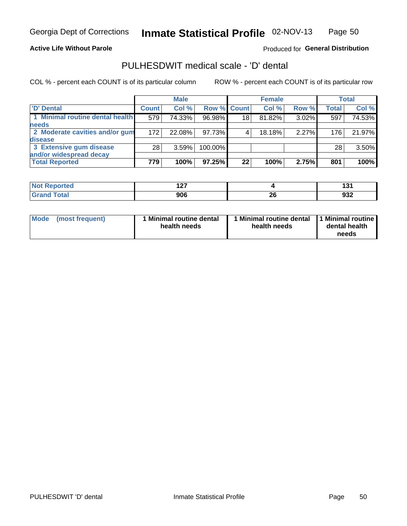### **Active Life Without Parole**

Produced for General Distribution

## PULHESDWIT medical scale - 'D' dental

COL % - percent each COUNT is of its particular column

|                                 |              | <b>Male</b> |             |    | <b>Female</b> |          |                  | <b>Total</b> |
|---------------------------------|--------------|-------------|-------------|----|---------------|----------|------------------|--------------|
| 'D' Dental                      | <b>Count</b> | Col %       | Row % Count |    | Col %         | Row %    | <b>Total</b>     | Col %        |
| 1 Minimal routine dental health | 579          | 74.33%      | 96.98%      | 18 | 81.82%        | $3.02\%$ | 597              | 74.53%       |
| <b>needs</b>                    |              |             |             |    |               |          |                  |              |
| 2 Moderate cavities and/or gum  | 172          | 22.08%      | 97.73%      |    | 18.18%        | 2.27%    | 176 <sub>1</sub> | 21.97%       |
| disease                         |              |             |             |    |               |          |                  |              |
| 3 Extensive gum disease         | 28           | 3.59%       | 100.00%     |    |               |          | 28               | 3.50%        |
| and/or widespread decay         |              |             |             |    |               |          |                  |              |
| <b>Total Reported</b>           | 779          | 100%        | $97.25\%$   | 22 | $100\%$       | 2.75%    | 801              | 100%         |

| ortea<br>NOT F<br> | - -<br>. |          | . .<br>יי |
|--------------------|----------|----------|-----------|
| <sup>-</sup> otal  | 906      | ኅረ<br>ZQ | 932       |

| <b>Mode</b>     | Minimal routine dental | 1 Minimal routine dental 1 Minimal routine | dental health |
|-----------------|------------------------|--------------------------------------------|---------------|
| (most frequent) | health needs           | health needs                               | needs         |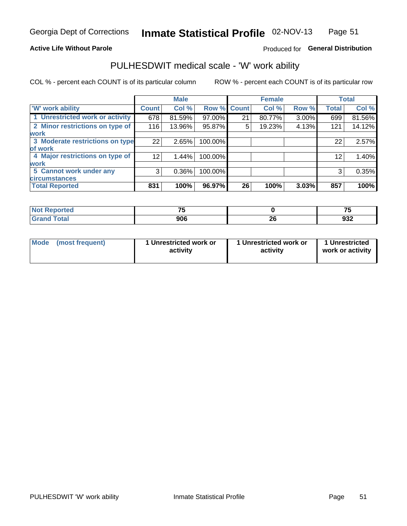### **Active Life Without Parole**

### Produced for General Distribution

## PULHESDWIT medical scale - 'W' work ability

COL % - percent each COUNT is of its particular column

|                                 |                 | <b>Male</b> |         |             | <b>Female</b> |       |              | <b>Total</b> |
|---------------------------------|-----------------|-------------|---------|-------------|---------------|-------|--------------|--------------|
| <b>W' work ability</b>          | <b>Count</b>    | Col %       |         | Row % Count | Col %         | Row % | <b>Total</b> | Col %        |
| 1 Unrestricted work or activity | 678             | 81.59%      | 97.00%  | 21          | 80.77%        | 3.00% | 699          | 81.56%       |
| 2 Minor restrictions on type of | 116             | 13.96%      | 95.87%  | 5           | 19.23%        | 4.13% | 121          | 14.12%       |
| <b>work</b>                     |                 |             |         |             |               |       |              |              |
| 3 Moderate restrictions on type | 22              | 2.65%       | 100.00% |             |               |       | 22           | 2.57%        |
| lof work                        |                 |             |         |             |               |       |              |              |
| 4 Major restrictions on type of | 12 <sub>1</sub> | $1.44\%$    | 100.00% |             |               |       | 12           | 1.40%        |
| <b>work</b>                     |                 |             |         |             |               |       |              |              |
| 5 Cannot work under any         | 3               | $0.36\%$    | 100.00% |             |               |       | 3            | 0.35%        |
| <b>circumstances</b>            |                 |             |         |             |               |       |              |              |
| <b>Total Reported</b>           | 831             | 100%        | 96.97%  | 26          | 100%          | 3.03% | 857          | 100%         |

| <b>Not Reported</b>  | --<br>$\sim$ |          | --<br>. . |
|----------------------|--------------|----------|-----------|
| <b>Total</b><br>Cron | 906          | ሳሪ<br>ZU | 932       |

| Mode            | 1 Unrestricted work or | 1 Unrestricted work or | 1 Unrestricted   |
|-----------------|------------------------|------------------------|------------------|
| (most frequent) | activity               | activity               | work or activity |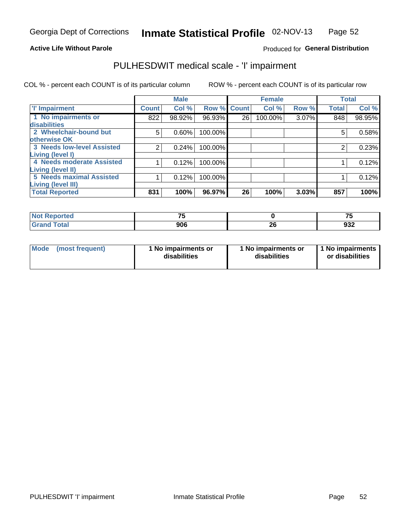### **Active Life Without Parole**

### Produced for General Distribution

## PULHESDWIT medical scale - 'I' impairment

|                                                       |              | <b>Male</b> |             |    | <b>Female</b> |       |              | <b>Total</b> |
|-------------------------------------------------------|--------------|-------------|-------------|----|---------------|-------|--------------|--------------|
| <b>T' Impairment</b>                                  | <b>Count</b> | Col %       | Row % Count |    | Col %         | Row % | <b>Total</b> | Col %        |
| 1 No impairments or<br><b>disabilities</b>            | 822          | 98.92%      | 96.93%      | 26 | 100.00%       | 3.07% | 848          | 98.95%       |
| 2 Wheelchair-bound but                                | 5            | 0.60%       | 100.00%     |    |               |       | 5            | 0.58%        |
| otherwise OK<br><b>3 Needs low-level Assisted</b>     | 2            | 0.24%       | 100.00%     |    |               |       | 2            | 0.23%        |
| Living (level I)                                      |              |             |             |    |               |       |              |              |
| 4 Needs moderate Assisted<br><b>Living (level II)</b> |              | 0.12%       | 100.00%     |    |               |       |              | 0.12%        |
| 5 Needs maximal Assisted                              |              | 0.12%       | 100.00%     |    |               |       |              | 0.12%        |
| <b>Living (level III)</b><br><b>Total Reported</b>    | 831          | 100%        | 96.97%      | 26 | 100%          | 3.03% | 857          | 100%         |

| Reported     | --<br>ں ۔<br>$\sim$ |   |     |
|--------------|---------------------|---|-----|
| <b>Total</b> | 906                 | ∼ | 932 |

| Mode | (most frequent) | 1 No impairments or<br>disabilities | 1 No impairments or<br>disabilities | 1 No impairments<br>or disabilities |
|------|-----------------|-------------------------------------|-------------------------------------|-------------------------------------|
|------|-----------------|-------------------------------------|-------------------------------------|-------------------------------------|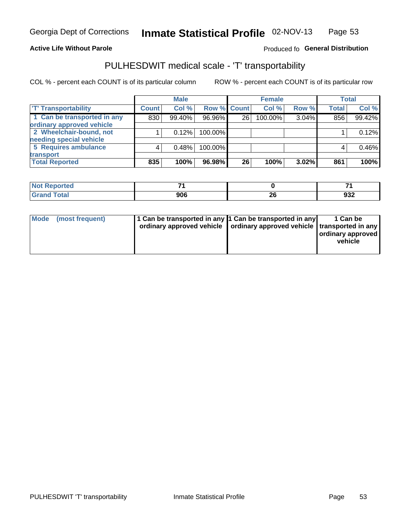### **Active Life Without Parole**

### Produced fo General Distribution

## PULHESDWIT medical scale - 'T' transportability

COL % - percent each COUNT is of its particular column

|                             |              | <b>Male</b> |             |    | <b>Female</b> |       |              | <b>Total</b> |
|-----------------------------|--------------|-------------|-------------|----|---------------|-------|--------------|--------------|
| <b>T' Transportability</b>  | <b>Count</b> | Col %       | Row % Count |    | Col %         | Row % | <b>Total</b> | Col %        |
| 1 Can be transported in any | 830          | 99.40%      | 96.96%      | 26 | 100.00%       | 3.04% | 856          | 99.42%       |
| ordinary approved vehicle   |              |             |             |    |               |       |              |              |
| 2 Wheelchair-bound, not     |              | 0.12%       | 100.00%     |    |               |       |              | 0.12%        |
| needing special vehicle     |              |             |             |    |               |       |              |              |
| 5 Requires ambulance        |              | 0.48%       | 100.00%     |    |               |       |              | 0.46%        |
| transport                   |              |             |             |    |               |       |              |              |
| <b>Total Reported</b>       | 835          | 100%        | 96.98%      | 26 | 100%          | 3.02% | 861          | 100%         |

| Reported     |     |                | →.         |
|--------------|-----|----------------|------------|
| <b>Total</b> | 906 | ^^<br>ZU<br>__ | nor<br>ອວ∠ |

| Mode (most frequent) | 1 Can be transported in any 1 Can be transported in any | ordinary approved vehicle   ordinary approved vehicle   transported in any | 1 Can be<br>ordinary approved<br>vehicle |
|----------------------|---------------------------------------------------------|----------------------------------------------------------------------------|------------------------------------------|
|                      |                                                         |                                                                            |                                          |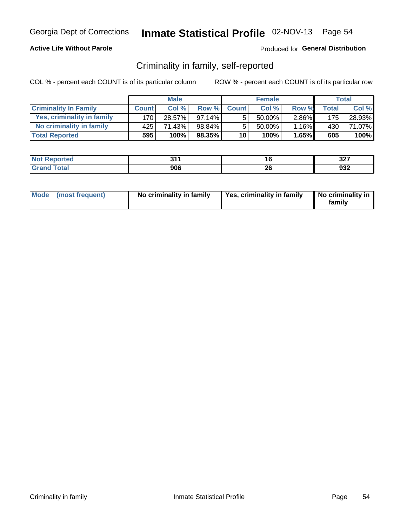### **Active Life Without Parole**

### Produced for General Distribution

## Criminality in family, self-reported

COL % - percent each COUNT is of its particular column

|                              | <b>Male</b>  |        | <b>Female</b> |                 |        | Total    |       |        |
|------------------------------|--------------|--------|---------------|-----------------|--------|----------|-------|--------|
| <b>Criminality In Family</b> | <b>Count</b> | Col%   | Row %         | <b>Count</b>    | Col %  | Row %    | Total | Col %  |
| Yes, criminality in family   | 170          | 28.57% | $97.14\%$     | 5               | 50.00% | $2.86\%$ | 175   | 28.93% |
| No criminality in family     | 425          | 71.43% | 98.84%        | 5               | 50.00% | $1.16\%$ | 430   | 71.07% |
| <b>Total Reported</b>        | 595          | 100%   | 98.35%        | 10 <sup>1</sup> | 100%   | 1.65%    | 605   | 100%   |

| <b>Not Reported</b> | 54.<br>, |           | 227<br><b>J</b> |
|---------------------|----------|-----------|-----------------|
| <b>Total</b>        | 906      | nc.<br>zu | 932             |

|  | Mode (most frequent) | No criminality in family | Yes, criminality in family | No criminality in<br>family |
|--|----------------------|--------------------------|----------------------------|-----------------------------|
|--|----------------------|--------------------------|----------------------------|-----------------------------|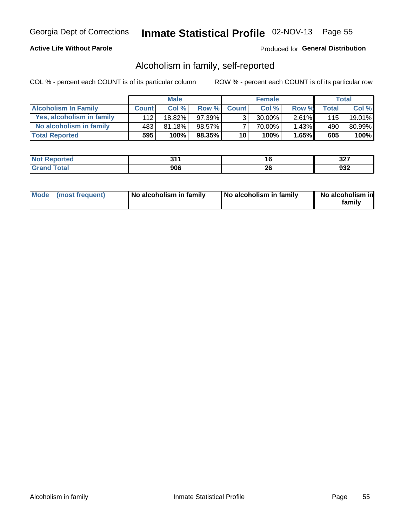### **Active Life Without Parole**

### Produced for General Distribution

## Alcoholism in family, self-reported

COL % - percent each COUNT is of its particular column

|                             | <b>Male</b>  |           | <b>Female</b> |                 |        | Total    |       |        |
|-----------------------------|--------------|-----------|---------------|-----------------|--------|----------|-------|--------|
| <b>Alcoholism In Family</b> | <b>Count</b> | Col%      | Row %         | <b>Count</b>    | Col %  | Row %    | Total | Col %  |
| Yes, alcoholism in family   | 112          | $18.82\%$ | 97.39%        | ર               | 30.00% | $2.61\%$ | 115   | 19.01% |
| No alcoholism in family     | 483          | 81.18%    | 98.57%        |                 | 70.00% | $1.43\%$ | 490   | 80.99% |
| <b>Total Reported</b>       | 595          | 100%      | 98.35%        | 10 <sup>1</sup> | 100%   | $1.65\%$ | 605   | 100%   |

| <b>Not Reported</b> | -94 | ı u | າາາ<br>JZ 1        |
|---------------------|-----|-----|--------------------|
| <b>Grand Total</b>  | 906 | ZV  | <b>000</b><br>ີວວ∠ |

|  | Mode (most frequent) | No alcoholism in family | No alcoholism in family | No alcoholism in<br>family |
|--|----------------------|-------------------------|-------------------------|----------------------------|
|--|----------------------|-------------------------|-------------------------|----------------------------|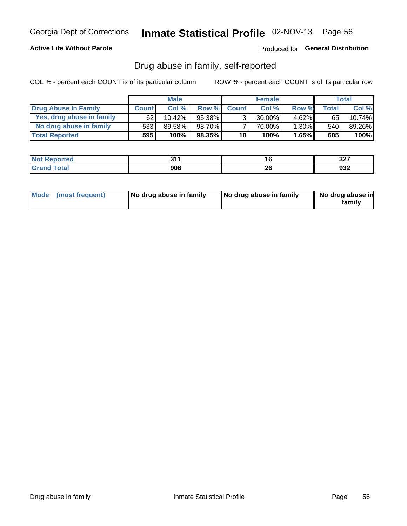### **Active Life Without Parole**

Produced for General Distribution

## Drug abuse in family, self-reported

COL % - percent each COUNT is of its particular column

|                           | <b>Male</b>  |        | <b>Female</b> |                 |           | Total    |              |           |
|---------------------------|--------------|--------|---------------|-----------------|-----------|----------|--------------|-----------|
| Drug Abuse In Family      | <b>Count</b> | Col%   | Row %         | <b>Count</b>    | Col%      | Row %    | <b>Total</b> | Col %     |
| Yes, drug abuse in family | 62           | 10.42% | 95.38%        | 3 <sub>1</sub>  | $30.00\%$ | $4.62\%$ | 65           | $10.74\%$ |
| No drug abuse in family   | 533          | 89.58% | 98.70%        |                 | 70.00%    | $1.30\%$ | 540          | 89.26%    |
| <b>Total Reported</b>     | 595          | 100%   | 98.35%        | 10 <sub>1</sub> | 100%      | 1.65%    | 605          | $100\%$   |

| <b>Not Reported</b> | 54. | ιu       | 227<br>JZ 1 |
|---------------------|-----|----------|-------------|
| <b>Total</b>        | 906 | ^^<br>ZU | nne<br>ஏப∠  |

|  | Mode (most frequent) | No drug abuse in family | No drug abuse in family | No drug abuse in<br>familv |
|--|----------------------|-------------------------|-------------------------|----------------------------|
|--|----------------------|-------------------------|-------------------------|----------------------------|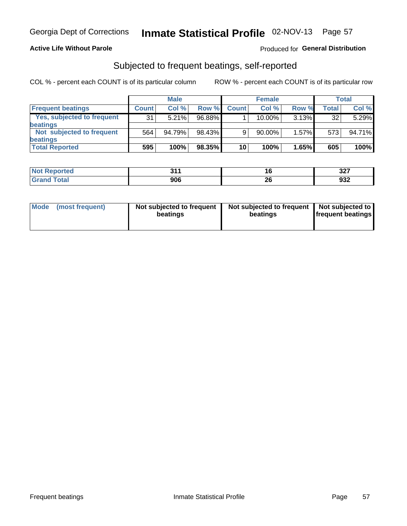### **Active Life Without Parole**

### Produced for General Distribution

## Subjected to frequent beatings, self-reported

COL % - percent each COUNT is of its particular column

|                                   | <b>Male</b>  |        | <b>Female</b> |              |        | Total    |       |        |
|-----------------------------------|--------------|--------|---------------|--------------|--------|----------|-------|--------|
| <b>Frequent beatings</b>          | <b>Count</b> | Col %  | Row %         | <b>Count</b> | Col %  | Row %    | Total | Col %  |
| <b>Yes, subjected to frequent</b> | 31           | 5.21%  | 96.88%        |              | 10.00% | 3.13%    | 32    | 5.29%  |
| beatings                          |              |        |               |              |        |          |       |        |
| Not subjected to frequent         | 564          | 94.79% | 98.43%        | 9            | 90.00% | $1.57\%$ | 573   | 94.71% |
| beatings                          |              |        |               |              |        |          |       |        |
| <b>Total Reported</b>             | 595          | 100%   | 98.35%        | 10           | 100%   | 1.65%    | 605   | 100%   |

| <b>Not Reported</b> | 24  |          | っっっ  |
|---------------------|-----|----------|------|
|                     | .   | טו       | 32 I |
| Total               | 906 | ^^<br>70 | 932  |

| Mode | (most frequent) | Not subjected to frequent<br>beatings | Not subjected to frequent   Not subjected to<br>beatings | <b>frequent beatings</b> |
|------|-----------------|---------------------------------------|----------------------------------------------------------|--------------------------|
|      |                 |                                       |                                                          |                          |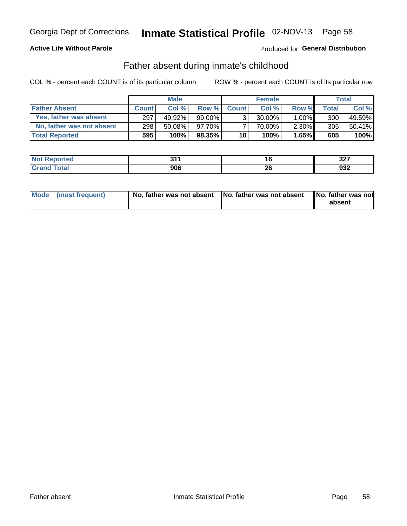### **Active Life Without Parole**

### Produced for General Distribution

## Father absent during inmate's childhood

COL % - percent each COUNT is of its particular column

|                           | <b>Male</b>  |           | <b>Female</b> |              |           | <b>Total</b> |              |        |
|---------------------------|--------------|-----------|---------------|--------------|-----------|--------------|--------------|--------|
| <b>Father Absent</b>      | <b>Count</b> | Col%      | <b>Row %</b>  | <b>Count</b> | Col%      | Row %        | <b>Total</b> | Col %  |
| Yes, father was absent    | 297          | 49.92%    | $99.00\%$     | 3            | $30.00\%$ | $1.00\%$     | 300          | 49.59% |
| No, father was not absent | 298          | $50.08\%$ | 97.70%I       |              | 70.00%    | $2.30\%$     | 305          | 50.41% |
| <b>Total Reported</b>     | 595          | 100%      | $98.35\%$     | 10           | 100%      | 1.65%        | 605          | 100%   |

| <b>Not Reported</b> | 54.<br>, |           | 227<br><b>J</b> |
|---------------------|----------|-----------|-----------------|
| <b>Total</b>        | 906      | nc.<br>zu | 932             |

| Mode (most frequent) |  | No, father was not absent No, father was not absent No, father was not | absent |
|----------------------|--|------------------------------------------------------------------------|--------|
|----------------------|--|------------------------------------------------------------------------|--------|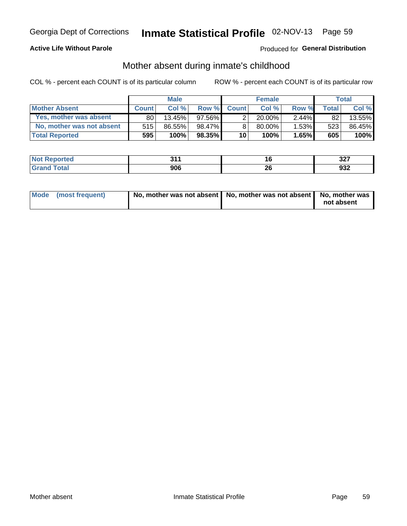### **Active Life Without Parole**

### Produced for General Distribution

## Mother absent during inmate's childhood

COL % - percent each COUNT is of its particular column

|                           | <b>Male</b>  |           | <b>Female</b> |                 |           | Total    |       |        |
|---------------------------|--------------|-----------|---------------|-----------------|-----------|----------|-------|--------|
| <b>Mother Absent</b>      | <b>Count</b> | Col%      | Row %         | <b>Count</b>    | Col%      | Row %    | Total | Col %  |
| Yes, mother was absent    | 80           | $13.45\%$ | $97.56\%$     | 2               | $20.00\%$ | $2.44\%$ | 82    | 13.55% |
| No, mother was not absent | 515          | 86.55%    | 98.47%        | 8               | 80.00%    | 1.53%    | 523   | 86.45% |
| <b>Total Reported</b>     | 595          | 100%      | $98.35\%$     | 10 <sup>1</sup> | 100%      | 1.65%    | 605   | 100%   |

| Not<br>Reported | 54. |                 | 227<br>34 I |
|-----------------|-----|-----------------|-------------|
| <b>otal</b>     | 906 | ኅረ<br>ZQ<br>___ | 932         |

| Mode (most frequent) | No, mother was not absent   No, mother was not absent   No, mother was | not absent |
|----------------------|------------------------------------------------------------------------|------------|
|                      |                                                                        |            |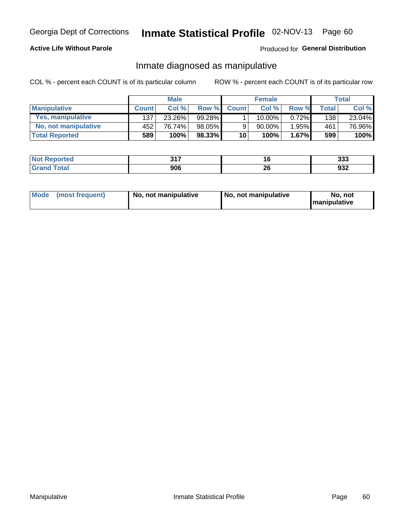### **Active Life Without Parole**

### Produced for General Distribution

## Inmate diagnosed as manipulative

COL % - percent each COUNT is of its particular column

|                          | <b>Male</b>  |        | <b>Female</b> |              |        | Total |              |        |
|--------------------------|--------------|--------|---------------|--------------|--------|-------|--------------|--------|
| <b>Manipulative</b>      | <b>Count</b> | Col %  | Row %         | <b>Count</b> | Col %  | Row % | <b>Total</b> | Col %  |
| <b>Yes, manipulative</b> | 137          | 23.26% | 99.28%        |              | 10.00% | 0.72% | 138          | 23.04% |
| No, not manipulative     | 452          | 76.74% | 98.05%        | 9            | 90.00% | 1.95% | 461          | 76.96% |
| <b>Total Reported</b>    | 589          | 100%   | $98.33\%$     | 10           | 100%   | 1.67% | 599          | 100%   |

| <b>Not Reported</b> | 247<br>, , , |    | 333 |
|---------------------|--------------|----|-----|
| <b>Total</b>        | 906          | ኅር | 932 |

|  | Mode (most frequent) | No, not manipulative | No, not manipulative | No. not<br><b>I</b> manipulative |
|--|----------------------|----------------------|----------------------|----------------------------------|
|--|----------------------|----------------------|----------------------|----------------------------------|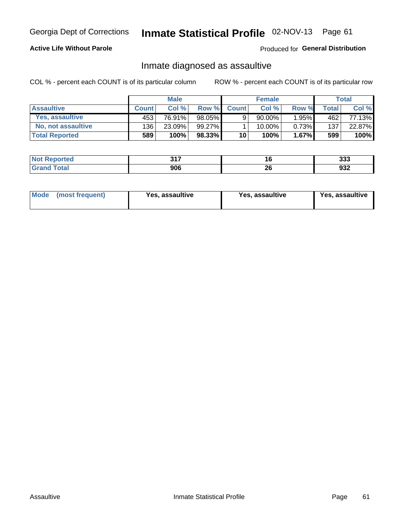# Inmate Statistical Profile 02-NOV-13 Page 61

### **Active Life Without Parole**

Produced for General Distribution

## Inmate diagnosed as assaultive

COL % - percent each COUNT is of its particular column

|                       | <b>Male</b>  |        | <b>Female</b> |              |             | Total    |       |        |
|-----------------------|--------------|--------|---------------|--------------|-------------|----------|-------|--------|
| <b>Assaultive</b>     | <b>Count</b> | Col%   | Row %         | <b>Count</b> | Col%        | Row %    | Total | Col %  |
| Yes, assaultive       | 453          | 76.91% | 98.05%        | 9            | $90.00\%$   | $1.95\%$ | 462   | 77.13% |
| No, not assaultive    | 136          | 23.09% | 99.27%        |              | $10.00\%$ . | 0.73%    | 137   | 22.87% |
| <b>Total Reported</b> | 589          | 100%   | $98.33\%$     | 10           | 100%        | 1.67%    | 599   | 100%   |

| <b>Not Reported</b> | 247 | I.O      | $\sim$<br>ააა |
|---------------------|-----|----------|---------------|
| <b>Total</b>        | 906 | ^^<br>ZV | nne<br>ີວວ∠   |

| Mode (most frequent)<br>Yes, assaultive | Yes, assaultive | <b>Yes, assaultive</b> |
|-----------------------------------------|-----------------|------------------------|
|-----------------------------------------|-----------------|------------------------|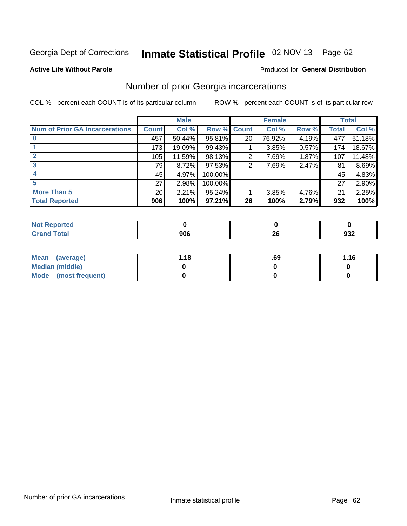## Inmate Statistical Profile 02-NOV-13 Page 62

### **Active Life Without Parole**

### Produced for General Distribution

## Number of prior Georgia incarcerations

COL % - percent each COUNT is of its particular column

|                                       |                 | <b>Male</b> |             |                 | <b>Female</b> |       |       | <b>Total</b> |
|---------------------------------------|-----------------|-------------|-------------|-----------------|---------------|-------|-------|--------------|
| <b>Num of Prior GA Incarcerations</b> | <b>Count</b>    | Col %       | Row % Count |                 | Col %         | Row % | Total | Col %        |
|                                       | 457             | 50.44%      | 95.81%      | 20 <sub>1</sub> | 76.92%        | 4.19% | 477   | 51.18%       |
|                                       | 173             | 19.09%      | 99.43%      |                 | 3.85%         | 0.57% | 174   | 18.67%       |
|                                       | 105             | 11.59%      | 98.13%      | 2               | 7.69%         | 1.87% | 107   | 11.48%       |
| 3                                     | 79              | 8.72%       | $97.53\%$   | 2               | 7.69%         | 2.47% | 81    | 8.69%        |
| 4                                     | 45              | 4.97%       | 100.00%     |                 |               |       | 45    | 4.83%        |
| 5                                     | 27              | 2.98%       | 100.00%     |                 |               |       | 27    | 2.90%        |
| <b>More Than 5</b>                    | 20 <sub>1</sub> | 2.21%       | $95.24\%$   |                 | 3.85%         | 4.76% | 21    | 2.25%        |
| <b>Total Reported</b>                 | 906             | 100%        | $97.21\%$   | 26              | 100%          | 2.79% | 932   | 100%         |

| <b>orteo</b><br>m. |       |      |
|--------------------|-------|------|
| <b>otal</b>        | <br>… | ה רח |
| $\mathbf{v}$ and   | --    | ສວ∠  |

| Mean (average)       | l.18 | .69 | 1.16 |
|----------------------|------|-----|------|
| Median (middle)      |      |     |      |
| Mode (most frequent) |      |     |      |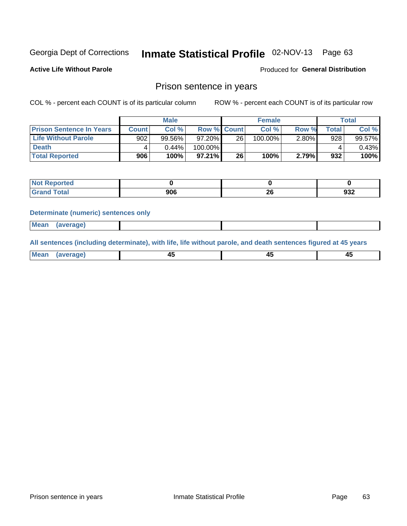# Inmate Statistical Profile 02-NOV-13 Page 63

**Active Life Without Parole** 

Produced for General Distribution

### Prison sentence in years

COL % - percent each COUNT is of its particular column

ROW % - percent each COUNT is of its particular row

|                                 |              | <b>Male</b> |                    |    | <b>Female</b> |          |             | Total  |
|---------------------------------|--------------|-------------|--------------------|----|---------------|----------|-------------|--------|
| <b>Prison Sentence In Years</b> | <b>Count</b> | Col %       | <b>Row % Count</b> |    | Col %         | Row %    | $\tau$ otal | Col %  |
| <b>Life Without Parole</b>      | 902          | 99.56%      | 97.20%             | 26 | 100.00%       | $2.80\%$ | 928         | 99.57% |
| <b>Death</b>                    | 4            | 0.44%       | 100.00%            |    |               |          |             | 0.43%  |
| <b>Total Reported</b>           | 906          | 100%        | $97.21\%$          | 26 | 100%          | 2.79%    | 932         | 100%   |

| Reported<br>NOT |     |     |     |
|-----------------|-----|-----|-----|
| <b>Total</b>    | 906 | - - | 932 |

### **Determinate (numeric) sentences only**

| ' Mea<br><b>Service</b> A<br>ЯМА. |  |  |  |
|-----------------------------------|--|--|--|
|                                   |  |  |  |

All sentences (including determinate), with life, life without parole, and death sentences figured at 45 years

| l Mea<br>'апе<br>.<br> | ᠇<br>$\sim$ | $\sim$ |  |
|------------------------|-------------|--------|--|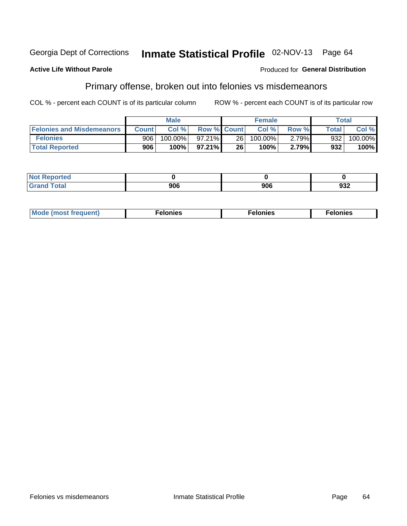### **Active Life Without Parole**

### Produced for General Distribution

## Primary offense, broken out into felonies vs misdemeanors

COL % - percent each COUNT is of its particular column

|                                  |              | <b>Male</b> |                    |                 | <b>Female</b> |       |              | Total   |
|----------------------------------|--------------|-------------|--------------------|-----------------|---------------|-------|--------------|---------|
| <b>Felonies and Misdemeanors</b> | <b>Count</b> | Col%        | <b>Row % Count</b> |                 | Col%          | Row % | <b>Total</b> | Col %   |
| <b>Felonies</b>                  | 906          | 100.00%     | $97.21\%$          | <b>26</b>       | 100.00%       | 2.79% | 932          | 100.00% |
| <b>Total Reported</b>            | 906          | $100\%$     | $97.21\%$          | 26 <sup>1</sup> | 100%          | 2.79% | 932          | 100%    |

| <b>Not Reported</b>          |     |     |
|------------------------------|-----|-----|
| <b>Total</b><br>Grand<br>uuu | 906 | 932 |

| Mode (most frequent)<br>elonies | Felonies | Felonies |
|---------------------------------|----------|----------|
|---------------------------------|----------|----------|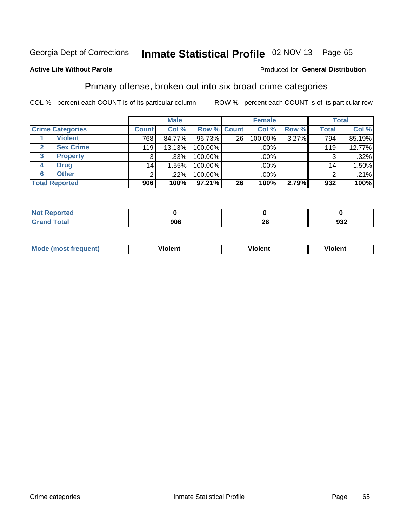## Inmate Statistical Profile 02-NOV-13 Page 65

### **Active Life Without Parole**

### Produced for General Distribution

## Primary offense, broken out into six broad crime categories

COL % - percent each COUNT is of its particular column

|                         |                 | <b>Male</b> |             |    | <b>Female</b> |       |              | <b>Total</b> |
|-------------------------|-----------------|-------------|-------------|----|---------------|-------|--------------|--------------|
| <b>Crime Categories</b> | <b>Count</b>    | Col %       | Row % Count |    | Col %         | Row % | <b>Total</b> | Col %        |
| <b>Violent</b>          | 768             | 84.77%      | 96.73%      | 26 | 100.00%       | 3.27% | 794          | 85.19%       |
| <b>Sex Crime</b>        | 119             | 13.13%      | 100.00%     |    | .00%          |       | 119          | 12.77%       |
| 3<br><b>Property</b>    | 3               | .33%        | 100.00%     |    | .00%          |       |              | $.32\%$      |
| <b>Drug</b><br>4        | 14 <sub>1</sub> | 1.55%       | 100.00%     |    | .00%          |       | 14.          | 1.50%        |
| <b>Other</b><br>6       | 2               | .22%        | 100.00%     |    | $.00\%$       |       |              | $.21\%$      |
| <b>Total Reported</b>   | 906             | 100%        | 97.21%      | 26 | 100%          | 2.79% | 932          | 100%         |

| <b>rted</b><br>$\rightarrow$ 101 $\kappa$ epite |     |          |     |
|-------------------------------------------------|-----|----------|-----|
|                                                 | 906 | Zu<br>__ | 932 |

| M | . | 40 O |
|---|---|------|
|   |   |      |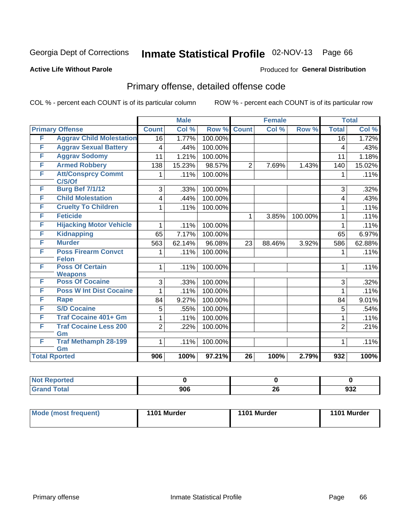# Inmate Statistical Profile 02-NOV-13 Page 66

### **Active Life Without Parole**

### Produced for General Distribution

## Primary offense, detailed offense code

COL % - percent each COUNT is of its particular column

|                      |                                            |                 | <b>Male</b> |         |                 | <b>Female</b> |         |                 | <b>Total</b> |
|----------------------|--------------------------------------------|-----------------|-------------|---------|-----------------|---------------|---------|-----------------|--------------|
|                      | <b>Primary Offense</b>                     | <b>Count</b>    | Col %       | Row %   | <b>Count</b>    | Col %         | Row %   | <b>Total</b>    | Col %        |
| F                    | <b>Aggrav Child Molestation</b>            | $\overline{16}$ | 1.77%       | 100.00% |                 |               |         | $\overline{16}$ | 1.72%        |
| F                    | <b>Aggrav Sexual Battery</b>               | 4               | .44%        | 100.00% |                 |               |         | 4               | .43%         |
| F                    | <b>Aggrav Sodomy</b>                       | 11              | 1.21%       | 100.00% |                 |               |         | 11              | 1.18%        |
| F                    | <b>Armed Robbery</b>                       | 138             | 15.23%      | 98.57%  | $\overline{2}$  | 7.69%         | 1.43%   | 140             | 15.02%       |
| F                    | <b>Att/Consprcy Commt</b><br>C/S/Of        | 1               | .11%        | 100.00% |                 |               |         | 1               | .11%         |
| F                    | <b>Burg Bef 7/1/12</b>                     | 3               | .33%        | 100.00% |                 |               |         | 3               | .32%         |
| F                    | <b>Child Molestation</b>                   | 4               | .44%        | 100.00% |                 |               |         | 4               | .43%         |
| F                    | <b>Cruelty To Children</b>                 | 1               | .11%        | 100.00% |                 |               |         | 1               | .11%         |
| F                    | <b>Feticide</b>                            |                 |             |         | 1               | 3.85%         | 100.00% | 1               | .11%         |
| F                    | <b>Hijacking Motor Vehicle</b>             | 1               | .11%        | 100.00% |                 |               |         | 1               | .11%         |
| F                    | <b>Kidnapping</b>                          | 65              | 7.17%       | 100.00% |                 |               |         | 65              | 6.97%        |
| F                    | <b>Murder</b>                              | 563             | 62.14%      | 96.08%  | 23              | 88.46%        | 3.92%   | 586             | 62.88%       |
| F                    | <b>Poss Firearm Convct</b><br><b>Felon</b> | 1               | .11%        | 100.00% |                 |               |         | 1               | .11%         |
| F                    | <b>Poss Of Certain</b><br><b>Weapons</b>   | 1               | .11%        | 100.00% |                 |               |         | 1               | .11%         |
| F                    | <b>Poss Of Cocaine</b>                     | 3               | .33%        | 100.00% |                 |               |         | 3               | .32%         |
| F                    | <b>Poss W Int Dist Cocaine</b>             | 1               | .11%        | 100.00% |                 |               |         | 1               | .11%         |
| F                    | <b>Rape</b>                                | 84              | 9.27%       | 100.00% |                 |               |         | 84              | 9.01%        |
| F                    | <b>S/D Cocaine</b>                         | 5               | .55%        | 100.00% |                 |               |         | 5               | .54%         |
| F                    | <b>Traf Cocaine 401+ Gm</b>                |                 | .11%        | 100.00% |                 |               |         |                 | .11%         |
| F                    | <b>Traf Cocaine Less 200</b><br>Gm         | $\overline{2}$  | .22%        | 100.00% |                 |               |         | $\overline{2}$  | .21%         |
| F                    | <b>Traf Methamph 28-199</b><br>Gm          | 1               | .11%        | 100.00% |                 |               |         | 1               | .11%         |
| <b>Total Rported</b> |                                            | 906             | 100%        | 97.21%  | $\overline{26}$ | 100%          | 2.79%   | 932             | 100%         |

| oorted<br>- IN 4 |     |    |                   |
|------------------|-----|----|-------------------|
| <b>otal</b>      | 906 | 26 | <b>000</b><br>ອວ∠ |

| <b>Mode (most frequent)</b> | 1101 Murder | 1101 Murder | 1101 Murder |
|-----------------------------|-------------|-------------|-------------|
|                             |             |             |             |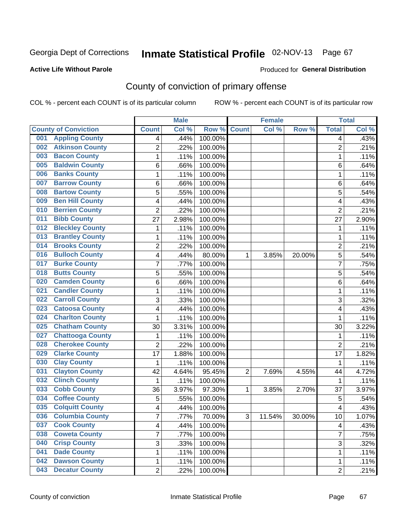### **Active Life Without Parole**

### Produced for **General Distribution**

## County of conviction of primary offense

|                                |                         | <b>Male</b> |         |                | <b>Female</b> |           |                | <b>Total</b> |
|--------------------------------|-------------------------|-------------|---------|----------------|---------------|-----------|----------------|--------------|
| <b>County of Conviction</b>    | <b>Count</b>            | Col %       | Row %   | <b>Count</b>   | Col %         | Row %     | <b>Total</b>   | Col %        |
| <b>Appling County</b><br>001   | 4                       | .44%        | 100.00% |                |               |           | 4              | .43%         |
| <b>Atkinson County</b><br>002  | $\overline{2}$          | .22%        | 100.00% |                |               |           | $\overline{2}$ | .21%         |
| <b>Bacon County</b><br>003     | $\mathbf{1}$            | .11%        | 100.00% |                |               |           | 1              | .11%         |
| <b>Baldwin County</b><br>005   | 6                       | .66%        | 100.00% |                |               |           | 6              | .64%         |
| <b>Banks County</b><br>006     | 1                       | .11%        | 100.00% |                |               |           | $\mathbf{1}$   | .11%         |
| <b>Barrow County</b><br>007    | 6                       | .66%        | 100.00% |                |               |           | 6              | .64%         |
| <b>Bartow County</b><br>008    | 5                       | .55%        | 100.00% |                |               |           | 5              | .54%         |
| <b>Ben Hill County</b><br>009  | 4                       | .44%        | 100.00% |                |               |           | 4              | .43%         |
| <b>Berrien County</b><br>010   | $\overline{2}$          | .22%        | 100.00% |                |               |           | $\overline{2}$ | .21%         |
| <b>Bibb County</b><br>011      | 27                      | 2.98%       | 100.00% |                |               |           | 27             | 2.90%        |
| <b>Bleckley County</b><br>012  | 1                       | .11%        | 100.00% |                |               |           | 1              | .11%         |
| <b>Brantley County</b><br>013  | 1                       | .11%        | 100.00% |                |               |           | 1              | .11%         |
| <b>Brooks County</b><br>014    | $\overline{c}$          | .22%        | 100.00% |                |               |           | $\overline{2}$ | .21%         |
| <b>Bulloch County</b><br>016   | 4                       | .44%        | 80.00%  | 1              | 3.85%         | 20.00%    | 5              | .54%         |
| <b>Burke County</b><br>017     | $\overline{7}$          | .77%        | 100.00% |                |               |           | $\overline{7}$ | .75%         |
| <b>Butts County</b><br>018     | 5                       | .55%        | 100.00% |                |               |           | 5              | .54%         |
| <b>Camden County</b><br>020    | 6                       | .66%        | 100.00% |                |               |           | 6              | .64%         |
| <b>Candler County</b><br>021   | $\mathbf{1}$            | .11%        | 100.00% |                |               |           | $\mathbf{1}$   | .11%         |
| <b>Carroll County</b><br>022   | 3                       | .33%        | 100.00% |                |               |           | 3              | .32%         |
| <b>Catoosa County</b><br>023   | 4                       | .44%        | 100.00% |                |               |           | 4              | .43%         |
| <b>Charlton County</b><br>024  | 1                       | .11%        | 100.00% |                |               |           | 1              | .11%         |
| <b>Chatham County</b><br>025   | 30                      | 3.31%       | 100.00% |                |               |           | 30             | 3.22%        |
| <b>Chattooga County</b><br>027 | 1                       | .11%        | 100.00% |                |               |           | 1              | .11%         |
| <b>Cherokee County</b><br>028  | $\overline{2}$          | .22%        | 100.00% |                |               |           | $\overline{2}$ | .21%         |
| <b>Clarke County</b><br>029    | 17                      | 1.88%       | 100.00% |                |               |           | 17             | 1.82%        |
| <b>Clay County</b><br>030      | $\mathbf{1}$            | .11%        | 100.00% |                |               |           | 1              | .11%         |
| <b>Clayton County</b><br>031   | 42                      | 4.64%       | 95.45%  | $\overline{2}$ | 7.69%         | 4.55%     | 44             | 4.72%        |
| <b>Clinch County</b><br>032    | 1                       | .11%        | 100.00% |                |               |           | 1              | .11%         |
| <b>Cobb County</b><br>033      | 36                      | 3.97%       | 97.30%  | 1              | 3.85%         | 2.70%     | 37             | 3.97%        |
| <b>Coffee County</b><br>034    | 5                       | .55%        | 100.00% |                |               |           | 5              | .54%         |
| <b>Colquitt County</b><br>035  | 4                       | .44%        | 100.00% |                |               |           | 4              | .43%         |
| <b>Columbia County</b><br>036  | 7                       | .77%        | 70.00%  | 3              | 11.54%        | $30.00\%$ | 10             | $1.07\%$     |
| <b>Cook County</b><br>037      | $\overline{\mathbf{4}}$ | .44%        | 100.00% |                |               |           | 4              | .43%         |
| <b>Coweta County</b><br>038    | 7                       | .77%        | 100.00% |                |               |           | $\overline{7}$ | .75%         |
| <b>Crisp County</b><br>040     | 3                       | .33%        | 100.00% |                |               |           | 3              | .32%         |
| <b>Dade County</b><br>041      | 1                       | .11%        | 100.00% |                |               |           | $\mathbf{1}$   | .11%         |
| <b>Dawson County</b><br>042    | 1                       | .11%        | 100.00% |                |               |           | 1              | .11%         |
| <b>Decatur County</b><br>043   | $\overline{2}$          | .22%        | 100.00% |                |               |           | $\overline{2}$ | .21%         |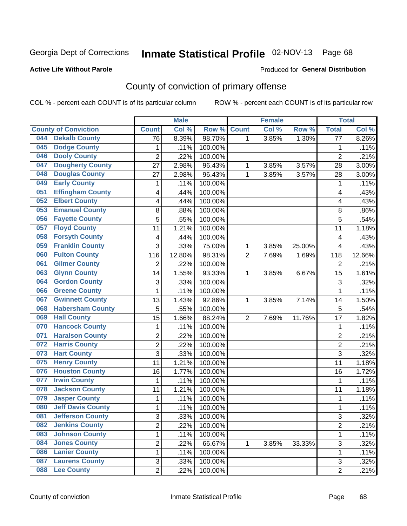### **Active Life Without Parole**

### Produced for **General Distribution**

## County of conviction of primary offense

|            |                             |                 | <b>Male</b>         |         |                | <b>Female</b> |        |                 | <b>Total</b> |
|------------|-----------------------------|-----------------|---------------------|---------|----------------|---------------|--------|-----------------|--------------|
|            | <b>County of Conviction</b> | <b>Count</b>    | Col%                | Row %   | <b>Count</b>   | Col %         | Row %  | <b>Total</b>    | Col %        |
| 044        | <b>Dekalb County</b>        | $\overline{76}$ | 8.39%               | 98.70%  | 1              | 3.85%         | 1.30%  | $\overline{77}$ | 8.26%        |
| 045        | <b>Dodge County</b>         | $\mathbf{1}$    | .11%                | 100.00% |                |               |        | 1               | .11%         |
| 046        | <b>Dooly County</b>         | $\overline{2}$  | .22%                | 100.00% |                |               |        | $\overline{2}$  | .21%         |
| 047        | <b>Dougherty County</b>     | 27              | 2.98%               | 96.43%  | 1              | 3.85%         | 3.57%  | 28              | 3.00%        |
| 048        | <b>Douglas County</b>       | 27              | 2.98%               | 96.43%  | $\mathbf{1}$   | 3.85%         | 3.57%  | 28              | 3.00%        |
| 049        | <b>Early County</b>         | 1               | .11%                | 100.00% |                |               |        | $\mathbf{1}$    | .11%         |
| 051        | <b>Effingham County</b>     | 4               | .44%                | 100.00% |                |               |        | 4               | .43%         |
| 052        | <b>Elbert County</b>        | 4               | .44%                | 100.00% |                |               |        | 4               | .43%         |
| 053        | <b>Emanuel County</b>       | 8               | .88%                | 100.00% |                |               |        | 8               | .86%         |
| 056        | <b>Fayette County</b>       | 5               | .55%                | 100.00% |                |               |        | 5               | .54%         |
| 057        | <b>Floyd County</b>         | 11              | 1.21%               | 100.00% |                |               |        | 11              | 1.18%        |
| 058        | <b>Forsyth County</b>       | 4               | .44%                | 100.00% |                |               |        | 4               | .43%         |
| 059        | <b>Franklin County</b>      | 3               | .33%                | 75.00%  | 1              | 3.85%         | 25.00% | 4               | .43%         |
| 060        | <b>Fulton County</b>        | 116             | 12.80%              | 98.31%  | $\overline{2}$ | 7.69%         | 1.69%  | 118             | 12.66%       |
| 061        | <b>Gilmer County</b>        | $\overline{2}$  | .22%                | 100.00% |                |               |        | $\overline{2}$  | .21%         |
| 063        | <b>Glynn County</b>         | 14              | 1.55%               | 93.33%  | 1              | 3.85%         | 6.67%  | 15              | 1.61%        |
| 064        | <b>Gordon County</b>        | 3               | .33%                | 100.00% |                |               |        | 3               | .32%         |
| 066        | <b>Greene County</b>        | $\mathbf{1}$    | .11%                | 100.00% |                |               |        | $\mathbf{1}$    | .11%         |
| 067        | <b>Gwinnett County</b>      | 13              | 1.43%               | 92.86%  | 1              | 3.85%         | 7.14%  | 14              | 1.50%        |
| 068        | <b>Habersham County</b>     | 5               | .55%                | 100.00% |                |               |        | 5               | .54%         |
| 069        | <b>Hall County</b>          | 15              | 1.66%               | 88.24%  | $\overline{2}$ | 7.69%         | 11.76% | 17              | 1.82%        |
| 070        | <b>Hancock County</b>       | $\mathbf{1}$    | .11%                | 100.00% |                |               |        | $\mathbf{1}$    | .11%         |
| 071        | <b>Haralson County</b>      | $\overline{2}$  | .22%                | 100.00% |                |               |        | $\overline{2}$  | .21%         |
| 072        | <b>Harris County</b>        | $\overline{2}$  | .22%                | 100.00% |                |               |        | $\overline{2}$  | .21%         |
| 073        | <b>Hart County</b>          | 3               | .33%                | 100.00% |                |               |        | 3               | .32%         |
| 075        | <b>Henry County</b>         | 11              | 1.21%               | 100.00% |                |               |        | 11              | 1.18%        |
| 076        | <b>Houston County</b>       | 16              | 1.77%               | 100.00% |                |               |        | 16              | 1.72%        |
| 077        | <b>Irwin County</b>         | 1               | .11%                | 100.00% |                |               |        | 1               | .11%         |
| 078        | <b>Jackson County</b>       | 11              | $\overline{1.21\%}$ | 100.00% |                |               |        | 11              | 1.18%        |
| 079        | <b>Jasper County</b>        | 1               | .11%                | 100.00% |                |               |        | $\mathbf{1}$    | .11%         |
| 080        | <b>Jeff Davis County</b>    | $\mathbf{1}$    | .11%                | 100.00% |                |               |        | 1               | .11%         |
| 081        | <b>Jefferson County</b>     | 3               | .33%                | 100.00% |                |               |        | 3               | .32%         |
| 082        | <b>Jenkins County</b>       | $\overline{2}$  | .22%                | 100.00% |                |               |        | $\overline{2}$  | .21%         |
| 083        | <b>Johnson County</b>       | 1               | .11%                | 100.00% |                |               |        | $\mathbf{1}$    | .11%         |
| 084        | <b>Jones County</b>         | $\overline{2}$  | .22%                | 66.67%  | 1              | 3.85%         | 33.33% | 3               | .32%         |
| 086        | <b>Lanier County</b>        | 1               | .11%                | 100.00% |                |               |        | 1               | .11%         |
| 087        | <b>Laurens County</b>       | 3               | .33%                | 100.00% |                |               |        | 3               | .32%         |
| <b>088</b> | <b>Lee County</b>           | $\overline{2}$  | .22%                | 100.00% |                |               |        | $\overline{2}$  | .21%         |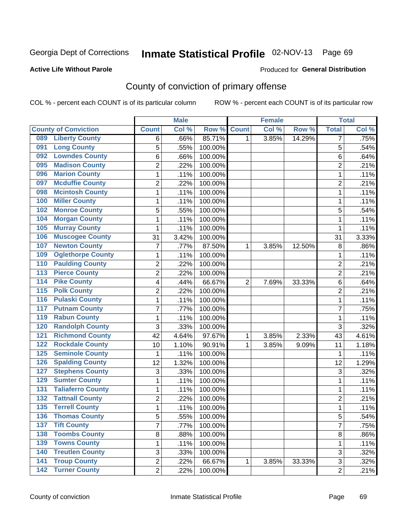### **Active Life Without Parole**

### Produced for **General Distribution**

## County of conviction of primary offense

|                  |                             |                | <b>Male</b> |         |                | <b>Female</b> |        |                | <b>Total</b> |
|------------------|-----------------------------|----------------|-------------|---------|----------------|---------------|--------|----------------|--------------|
|                  | <b>County of Conviction</b> | <b>Count</b>   | Col%        | Row %   | <b>Count</b>   | Col %         | Row %  | <b>Total</b>   | Col %        |
| 089              | <b>Liberty County</b>       | 6              | .66%        | 85.71%  | 1              | 3.85%         | 14.29% | 7              | .75%         |
| 091              | <b>Long County</b>          | 5              | .55%        | 100.00% |                |               |        | 5              | .54%         |
| 092              | <b>Lowndes County</b>       | 6              | .66%        | 100.00% |                |               |        | 6              | .64%         |
| 095              | <b>Madison County</b>       | $\overline{2}$ | .22%        | 100.00% |                |               |        | $\overline{c}$ | .21%         |
| 096              | <b>Marion County</b>        | $\mathbf{1}$   | .11%        | 100.00% |                |               |        | $\mathbf{1}$   | .11%         |
| 097              | <b>Mcduffie County</b>      | $\overline{2}$ | .22%        | 100.00% |                |               |        | $\overline{2}$ | .21%         |
| 098              | <b>Mcintosh County</b>      | $\mathbf{1}$   | .11%        | 100.00% |                |               |        | $\mathbf{1}$   | .11%         |
| 100              | <b>Miller County</b>        | 1              | .11%        | 100.00% |                |               |        | 1              | .11%         |
| 102              | <b>Monroe County</b>        | 5              | .55%        | 100.00% |                |               |        | 5              | .54%         |
| 104              | <b>Morgan County</b>        | $\mathbf{1}$   | .11%        | 100.00% |                |               |        | $\mathbf{1}$   | .11%         |
| 105              | <b>Murray County</b>        | 1              | .11%        | 100.00% |                |               |        | 1              | .11%         |
| 106              | <b>Muscogee County</b>      | 31             | 3.42%       | 100.00% |                |               |        | 31             | 3.33%        |
| 107              | <b>Newton County</b>        | $\overline{7}$ | .77%        | 87.50%  | 1              | 3.85%         | 12.50% | 8              | .86%         |
| 109              | <b>Oglethorpe County</b>    | $\mathbf{1}$   | .11%        | 100.00% |                |               |        | $\mathbf{1}$   | .11%         |
| 110              | <b>Paulding County</b>      | $\overline{c}$ | .22%        | 100.00% |                |               |        | $\overline{2}$ | .21%         |
| 113              | <b>Pierce County</b>        | $\overline{2}$ | .22%        | 100.00% |                |               |        | $\overline{2}$ | .21%         |
| 114              | <b>Pike County</b>          | 4              | .44%        | 66.67%  | $\overline{2}$ | 7.69%         | 33.33% | 6              | .64%         |
| 115              | <b>Polk County</b>          | $\overline{2}$ | .22%        | 100.00% |                |               |        | $\overline{2}$ | .21%         |
| 116              | <b>Pulaski County</b>       | $\mathbf{1}$   | .11%        | 100.00% |                |               |        | $\mathbf{1}$   | .11%         |
| 117              | <b>Putnam County</b>        | $\overline{7}$ | .77%        | 100.00% |                |               |        | $\overline{7}$ | .75%         |
| 119              | <b>Rabun County</b>         | 1              | .11%        | 100.00% |                |               |        | 1              | .11%         |
| 120              | <b>Randolph County</b>      | 3              | .33%        | 100.00% |                |               |        | 3              | .32%         |
| $\overline{121}$ | <b>Richmond County</b>      | 42             | 4.64%       | 97.67%  | 1              | 3.85%         | 2.33%  | 43             | 4.61%        |
| 122              | <b>Rockdale County</b>      | 10             | 1.10%       | 90.91%  | 1              | 3.85%         | 9.09%  | 11             | 1.18%        |
| 125              | <b>Seminole County</b>      | 1              | .11%        | 100.00% |                |               |        | 1              | .11%         |
| 126              | <b>Spalding County</b>      | 12             | 1.32%       | 100.00% |                |               |        | 12             | 1.29%        |
| 127              | <b>Stephens County</b>      | 3              | .33%        | 100.00% |                |               |        | 3              | .32%         |
| 129              | <b>Sumter County</b>        | $\mathbf{1}$   | .11%        | 100.00% |                |               |        | $\mathbf{1}$   | .11%         |
| 131              | <b>Taliaferro County</b>    | $\mathbf{1}$   | .11%        | 100.00% |                |               |        | $\mathbf{1}$   | .11%         |
| 132              | <b>Tattnall County</b>      | $\overline{2}$ | .22%        | 100.00% |                |               |        | $\overline{2}$ | .21%         |
| 135              | <b>Terrell County</b>       | $\mathbf{1}$   | .11%        | 100.00% |                |               |        | $\mathbf{1}$   | .11%         |
| 136              | <b>Thomas County</b>        | 5              | .55%        | 100.00% |                |               |        | 5              | .54%         |
| 137              | <b>Tift County</b>          | $\overline{7}$ | .77%        | 100.00% |                |               |        | $\overline{7}$ | .75%         |
| 138              | <b>Toombs County</b>        | $\bf 8$        | .88%        | 100.00% |                |               |        | 8              | .86%         |
| 139              | <b>Towns County</b>         | $\mathbf{1}$   | .11%        | 100.00% |                |               |        | 1              | .11%         |
| 140              | <b>Treutlen County</b>      | 3              | .33%        | 100.00% |                |               |        | 3              | .32%         |
| 141              | <b>Troup County</b>         | $\overline{c}$ | .22%        | 66.67%  | 1              | 3.85%         | 33.33% | 3              | .32%         |
| $\overline{142}$ | <b>Turner County</b>        | $\overline{2}$ | .22%        | 100.00% |                |               |        | $\overline{2}$ | .21%         |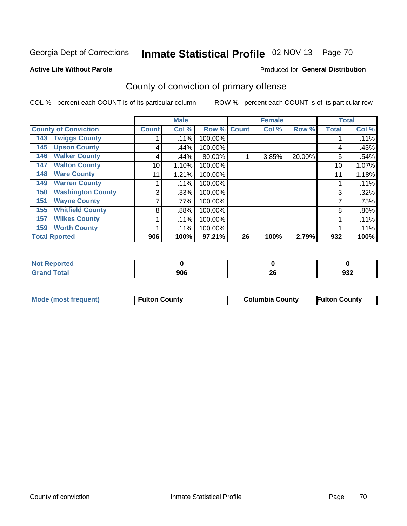### **Active Life Without Parole**

### Produced for **General Distribution**

## County of conviction of primary offense

|                                 |              | <b>Male</b> |         |              | <b>Female</b> |        |              | <b>Total</b> |
|---------------------------------|--------------|-------------|---------|--------------|---------------|--------|--------------|--------------|
| <b>County of Conviction</b>     | <b>Count</b> | Col %       | Row %   | <b>Count</b> | Col %         | Row %  | <b>Total</b> | Col %        |
| <b>Twiggs County</b><br>143     |              | .11%        | 100.00% |              |               |        |              | .11%         |
| <b>Upson County</b><br>145      | 4            | .44%        | 100.00% |              |               |        | 4            | .43%         |
| <b>Walker County</b><br>146     | 4            | .44%        | 80.00%  |              | 3.85%         | 20.00% | 5            | .54%         |
| <b>Walton County</b><br>147     | 10           | 1.10%       | 100.00% |              |               |        | 10           | 1.07%        |
| <b>Ware County</b><br>148       | 11           | 1.21%       | 100.00% |              |               |        | 11           | 1.18%        |
| <b>Warren County</b><br>149     |              | .11%        | 100.00% |              |               |        |              | .11%         |
| <b>Washington County</b><br>150 | 3            | .33%        | 100.00% |              |               |        | 3            | .32%         |
| <b>Wayne County</b><br>151      |              | .77%        | 100.00% |              |               |        | 7            | .75%         |
| <b>Whitfield County</b><br>155  | 8            | .88%        | 100.00% |              |               |        | 8            | .86%         |
| <b>Wilkes County</b><br>157     |              | .11%        | 100.00% |              |               |        |              | .11%         |
| <b>Worth County</b><br>159      |              | .11%        | 100.00% |              |               |        |              | .11%         |
| <b>Total Rported</b>            | 906          | 100%        | 97.21%  | 26           | 100%          | 2.79%  | 932          | 100%         |

| <b>rted</b>                |     |          |             |
|----------------------------|-----|----------|-------------|
| $f \wedge f \wedge f$<br>. | 906 | ^^<br>ZU | JJ∠<br>$ -$ |

|  | Mode (most frequent) | <b>Fulton County</b> | <b>Columbia County</b> | <b>Fulton County</b> |
|--|----------------------|----------------------|------------------------|----------------------|
|--|----------------------|----------------------|------------------------|----------------------|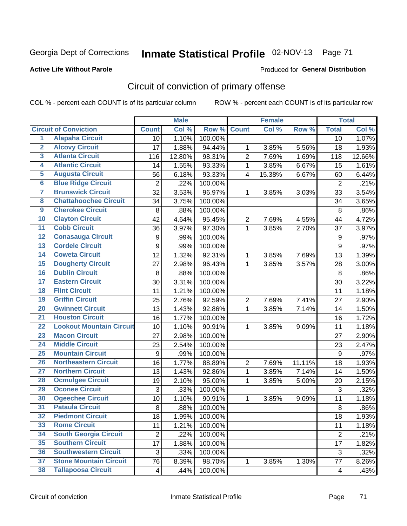### **Active Life Without Parole**

### Produced for **General Distribution**

## Circuit of conviction of primary offense

|                         |                                 |                | <b>Male</b> |         |                         | <b>Female</b> |        |                  | <b>Total</b>        |
|-------------------------|---------------------------------|----------------|-------------|---------|-------------------------|---------------|--------|------------------|---------------------|
|                         | <b>Circuit of Conviction</b>    | <b>Count</b>   | Col %       | Row %   | <b>Count</b>            | Col%          | Row %  | <b>Total</b>     | Col%                |
| 1                       | <b>Alapaha Circuit</b>          | 10             | 1.10%       | 100.00% |                         |               |        | 10               | 1.07%               |
| $\overline{2}$          | <b>Alcovy Circuit</b>           | 17             | 1.88%       | 94.44%  | 1                       | 3.85%         | 5.56%  | 18               | 1.93%               |
| $\overline{\mathbf{3}}$ | <b>Atlanta Circuit</b>          | 116            | 12.80%      | 98.31%  | $\overline{2}$          | 7.69%         | 1.69%  | 118              | 12.66%              |
| 4                       | <b>Atlantic Circuit</b>         | 14             | 1.55%       | 93.33%  | $\mathbf{1}$            | 3.85%         | 6.67%  | 15               | 1.61%               |
| $\overline{5}$          | <b>Augusta Circuit</b>          | 56             | 6.18%       | 93.33%  | $\overline{\mathbf{4}}$ | 15.38%        | 6.67%  | 60               | 6.44%               |
| $\overline{6}$          | <b>Blue Ridge Circuit</b>       | $\overline{2}$ | .22%        | 100.00% |                         |               |        | $\overline{2}$   | .21%                |
| 7                       | <b>Brunswick Circuit</b>        | 32             | 3.53%       | 96.97%  | 1                       | 3.85%         | 3.03%  | 33               | 3.54%               |
| $\overline{\mathbf{8}}$ | <b>Chattahoochee Circuit</b>    | 34             | 3.75%       | 100.00% |                         |               |        | 34               | 3.65%               |
| $\overline{9}$          | <b>Cherokee Circuit</b>         | 8              | .88%        | 100.00% |                         |               |        | 8                | .86%                |
| 10                      | <b>Clayton Circuit</b>          | 42             | 4.64%       | 95.45%  | $\overline{2}$          | 7.69%         | 4.55%  | 44               | 4.72%               |
| $\overline{11}$         | <b>Cobb Circuit</b>             | 36             | 3.97%       | 97.30%  | $\mathbf{1}$            | 3.85%         | 2.70%  | 37               | 3.97%               |
| $\overline{12}$         | <b>Conasauga Circuit</b>        | 9              | .99%        | 100.00% |                         |               |        | 9                | .97%                |
| $\overline{13}$         | <b>Cordele Circuit</b>          | 9              | .99%        | 100.00% |                         |               |        | 9                | .97%                |
| $\overline{14}$         | <b>Coweta Circuit</b>           | 12             | 1.32%       | 92.31%  | $\mathbf{1}$            | 3.85%         | 7.69%  | 13               | 1.39%               |
| $\overline{15}$         | <b>Dougherty Circuit</b>        | 27             | 2.98%       | 96.43%  | 1                       | 3.85%         | 3.57%  | 28               | 3.00%               |
| 16                      | <b>Dublin Circuit</b>           | 8              | .88%        | 100.00% |                         |               |        | 8                | .86%                |
| $\overline{17}$         | <b>Eastern Circuit</b>          | 30             | 3.31%       | 100.00% |                         |               |        | 30               | 3.22%               |
| 18                      | <b>Flint Circuit</b>            | 11             | 1.21%       | 100.00% |                         |               |        | 11               | 1.18%               |
| 19                      | <b>Griffin Circuit</b>          | 25             | 2.76%       | 92.59%  | 2                       | 7.69%         | 7.41%  | 27               | 2.90%               |
| 20                      | <b>Gwinnett Circuit</b>         | 13             | 1.43%       | 92.86%  | 1                       | 3.85%         | 7.14%  | 14               | 1.50%               |
| $\overline{21}$         | <b>Houston Circuit</b>          | 16             | 1.77%       | 100.00% |                         |               |        | 16               | 1.72%               |
| $\overline{22}$         | <b>Lookout Mountain Circuit</b> | 10             | 1.10%       | 90.91%  | $\mathbf{1}$            | 3.85%         | 9.09%  | 11               | 1.18%               |
| $\overline{23}$         | <b>Macon Circuit</b>            | 27             | 2.98%       | 100.00% |                         |               |        | 27               | 2.90%               |
| $\overline{24}$         | <b>Middle Circuit</b>           | 23             | 2.54%       | 100.00% |                         |               |        | 23               | 2.47%               |
| $\overline{25}$         | <b>Mountain Circuit</b>         | 9              | .99%        | 100.00% |                         |               |        | $\boldsymbol{9}$ | .97%                |
| 26                      | <b>Northeastern Circuit</b>     | 16             | 1.77%       | 88.89%  | $\overline{2}$          | 7.69%         | 11.11% | 18               | 1.93%               |
| $\overline{27}$         | <b>Northern Circuit</b>         | 13             | 1.43%       | 92.86%  | $\mathbf{1}$            | 3.85%         | 7.14%  | 14               | 1.50%               |
| 28                      | <b>Ocmulgee Circuit</b>         | 19             | 2.10%       | 95.00%  | 1                       | 3.85%         | 5.00%  | 20               | 2.15%               |
| 29                      | <b>Oconee Circuit</b>           | 3              | .33%        | 100.00% |                         |               |        | 3                | .32%                |
| 30                      | <b>Ogeechee Circuit</b>         | 10             | 1.10%       | 90.91%  | 1                       | 3.85%         | 9.09%  | 11               | 1.18%               |
| $\overline{31}$         | <b>Pataula Circuit</b>          | 8              | .88%        | 100.00% |                         |               |        | 8                | .86%                |
| 32                      | <b>Piedmont Circuit</b>         | 18             | 1.99%       | 100.00% |                         |               |        | 18               | 1.93%               |
| 33                      | <b>Rome Circuit</b>             | 11             | 1.21%       | 100.00% |                         |               |        | 11               | $\overline{1.18\%}$ |
| 34                      | <b>South Georgia Circuit</b>    | $\overline{2}$ | .22%        | 100.00% |                         |               |        | $\overline{2}$   | .21%                |
| 35                      | <b>Southern Circuit</b>         | 17             | 1.88%       | 100.00% |                         |               |        | 17               | 1.82%               |
| 36                      | <b>Southwestern Circuit</b>     | 3              | .33%        | 100.00% |                         |               |        | 3                | .32%                |
| 37                      | <b>Stone Mountain Circuit</b>   | 76             | 8.39%       | 98.70%  | 1                       | 3.85%         | 1.30%  | 77               | 8.26%               |
| 38                      | <b>Tallapoosa Circuit</b>       | 4              | .44%        | 100.00% |                         |               |        | 4                | .43%                |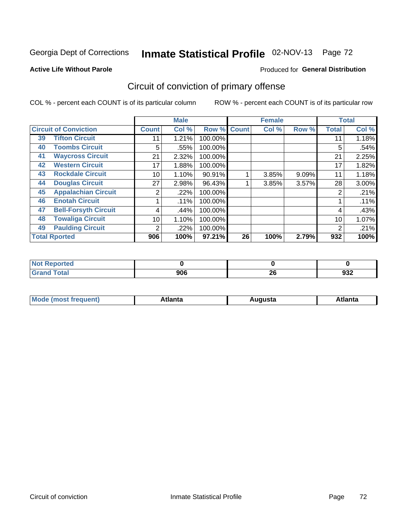### **Active Life Without Parole**

### Produced for **General Distribution**

## Circuit of conviction of primary offense

|    |                              |              | <b>Male</b> |         |              | <b>Female</b> |       |              | <b>Total</b> |
|----|------------------------------|--------------|-------------|---------|--------------|---------------|-------|--------------|--------------|
|    | <b>Circuit of Conviction</b> | <b>Count</b> | Col %       | Row %   | <b>Count</b> | Col %         | Row % | <b>Total</b> | Col %        |
| 39 | <b>Tifton Circuit</b>        | 11           | 1.21%       | 100.00% |              |               |       | 11           | 1.18%        |
| 40 | <b>Toombs Circuit</b>        | 5            | .55%        | 100.00% |              |               |       | 5            | .54%         |
| 41 | <b>Waycross Circuit</b>      | 21           | 2.32%       | 100.00% |              |               |       | 21           | 2.25%        |
| 42 | <b>Western Circuit</b>       | 17           | 1.88%       | 100.00% |              |               |       | 17           | 1.82%        |
| 43 | <b>Rockdale Circuit</b>      | 10           | 1.10%       | 90.91%  |              | 3.85%         | 9.09% | 11           | 1.18%        |
| 44 | <b>Douglas Circuit</b>       | 27           | 2.98%       | 96.43%  |              | 3.85%         | 3.57% | 28           | 3.00%        |
| 45 | <b>Appalachian Circuit</b>   | 2            | .22%        | 100.00% |              |               |       | 2            | .21%         |
| 46 | <b>Enotah Circuit</b>        |              | .11%        | 100.00% |              |               |       |              | .11%         |
| 47 | <b>Bell-Forsyth Circuit</b>  | 4            | .44%        | 100.00% |              |               |       | 4            | .43%         |
| 48 | <b>Towaliga Circuit</b>      | 10           | 1.10%       | 100.00% |              |               |       | 10           | 1.07%        |
| 49 | <b>Paulding Circuit</b>      | 2            | .22%        | 100.00% |              |               |       | 2            | .21%         |
|    | <b>Total Rported</b>         | 906          | 100%        | 97.21%  | 26           | 100%          | 2.79% | 932          | 100%         |

| eported<br>N |     |          |            |
|--------------|-----|----------|------------|
| <b>Total</b> | 906 | ጎር<br>ZU | ດາາ<br>ອວ∠ |

| М<br>. In n tr<br>.<br>.<br>wanta<br>Πū<br>31.<br>$\sim$ $\sim$ $\sim$ |
|------------------------------------------------------------------------|
|------------------------------------------------------------------------|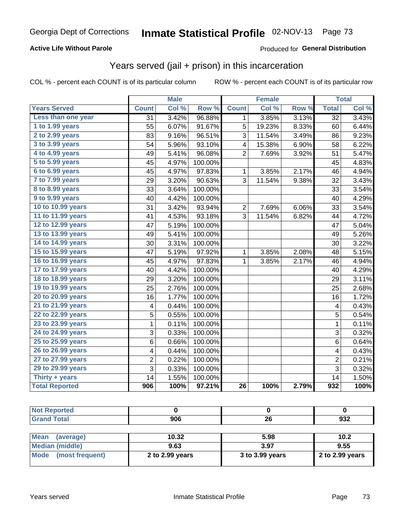#### **Active Life Without Parole**

#### Produced for **General Distribution**

### Years served (jail + prison) in this incarceration

|                       |                | <b>Male</b> |         |                 | <b>Female</b> |       |                 | <b>Total</b> |
|-----------------------|----------------|-------------|---------|-----------------|---------------|-------|-----------------|--------------|
| <b>Years Served</b>   | <b>Count</b>   | Col %       | Row %   | <b>Count</b>    | Col %         | Row % | <b>Total</b>    | Col %        |
| Less than one year    | 31             | 3.42%       | 96.88%  | 1               | 3.85%         | 3.13% | $\overline{32}$ | 3.43%        |
| 1 to 1.99 years       | 55             | 6.07%       | 91.67%  | 5               | 19.23%        | 8.33% | 60              | 6.44%        |
| 2 to 2.99 years       | 83             | 9.16%       | 96.51%  | 3               | 11.54%        | 3.49% | 86              | 9.23%        |
| 3 to 3.99 years       | 54             | 5.96%       | 93.10%  | 4               | 15.38%        | 6.90% | 58              | 6.22%        |
| 4 to 4.99 years       | 49             | 5.41%       | 96.08%  | $\overline{2}$  | 7.69%         | 3.92% | 51              | 5.47%        |
| 5 to 5.99 years       | 45             | 4.97%       | 100.00% |                 |               |       | 45              | 4.83%        |
| 6 to 6.99 years       | 45             | 4.97%       | 97.83%  | $\mathbf 1$     | 3.85%         | 2.17% | 46              | 4.94%        |
| 7 to 7.99 years       | 29             | 3.20%       | 90.63%  | 3               | 11.54%        | 9.38% | 32              | 3.43%        |
| 8 to 8.99 years       | 33             | 3.64%       | 100.00% |                 |               |       | 33              | 3.54%        |
| 9 to 9.99 years       | 40             | 4.42%       | 100.00% |                 |               |       | 40              | 4.29%        |
| 10 to 10.99 years     | 31             | 3.42%       | 93.94%  | $\overline{2}$  | 7.69%         | 6.06% | 33              | 3.54%        |
| 11 to 11.99 years     | 41             | 4.53%       | 93.18%  | 3               | 11.54%        | 6.82% | 44              | 4.72%        |
| 12 to 12.99 years     | 47             | 5.19%       | 100.00% |                 |               |       | 47              | 5.04%        |
| 13 to 13.99 years     | 49             | 5.41%       | 100.00% |                 |               |       | 49              | 5.26%        |
| 14 to 14.99 years     | 30             | 3.31%       | 100.00% |                 |               |       | 30              | 3.22%        |
| 15 to 15.99 years     | 47             | 5.19%       | 97.92%  | 1               | 3.85%         | 2.08% | 48              | 5.15%        |
| 16 to 16.99 years     | 45             | 4.97%       | 97.83%  | 1               | 3.85%         | 2.17% | 46              | 4.94%        |
| 17 to 17.99 years     | 40             | 4.42%       | 100.00% |                 |               |       | 40              | 4.29%        |
| 18 to 18.99 years     | 29             | 3.20%       | 100.00% |                 |               |       | 29              | 3.11%        |
| 19 to 19.99 years     | 25             | 2.76%       | 100.00% |                 |               |       | 25              | 2.68%        |
| 20 to 20.99 years     | 16             | 1.77%       | 100.00% |                 |               |       | 16              | 1.72%        |
| 21 to 21.99 years     | 4              | 0.44%       | 100.00% |                 |               |       | 4               | 0.43%        |
| 22 to 22.99 years     | 5              | 0.55%       | 100.00% |                 |               |       | $\overline{5}$  | 0.54%        |
| 23 to 23.99 years     | $\mathbf 1$    | 0.11%       | 100.00% |                 |               |       | $\mathbf 1$     | 0.11%        |
| 24 to 24.99 years     | 3              | 0.33%       | 100.00% |                 |               |       | 3               | 0.32%        |
| 25 to 25.99 years     | 6              | 0.66%       | 100.00% |                 |               |       | 6               | 0.64%        |
| 26 to 26.99 years     | 4              | 0.44%       | 100.00% |                 |               |       | 4               | 0.43%        |
| 27 to 27.99 years     | $\overline{c}$ | 0.22%       | 100.00% |                 |               |       | $\overline{c}$  | 0.21%        |
| 29 to 29.99 years     | 3              | 0.33%       | 100.00% |                 |               |       | 3               | 0.32%        |
| Thirty + years        | 14             | 1.55%       | 100.00% |                 |               |       | 14              | 1.50%        |
| <b>Total Reported</b> | 906            | 100%        | 97.21%  | $\overline{26}$ | 100%          | 2.79% | 932             | 100%         |

| <b>Not Reported</b>      |                 |                 |                 |
|--------------------------|-----------------|-----------------|-----------------|
| <b>Grand Total</b>       | 906             | 26              | 932             |
|                          |                 |                 |                 |
| <b>Mean</b><br>(average) | 10.32           | 5.98            | 10.2            |
| Median (middle)          | 9.63            | 3.97            | 9.55            |
| Mode (most frequent)     | 2 to 2.99 years | 3 to 3.99 years | 2 to 2.99 years |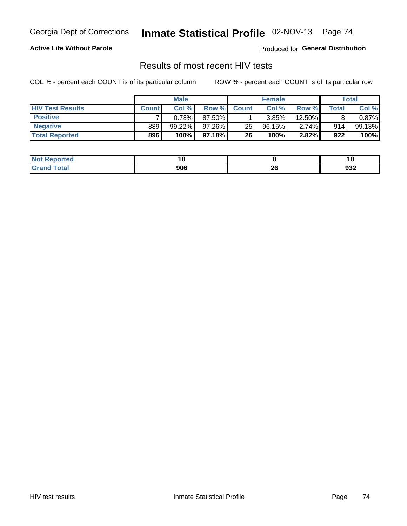#### **Active Life Without Parole**

Produced for **General Distribution**

### Results of most recent HIV tests

|                         | <b>Male</b>  |        |           | <b>Female</b> |        |          | Total |        |
|-------------------------|--------------|--------|-----------|---------------|--------|----------|-------|--------|
| <b>HIV Test Results</b> | <b>Count</b> | Col%   | Row %     | <b>Count</b>  | Col %  | Row %I   | Total | Col %  |
| <b>Positive</b>         |              | 0.78%  | 87.50%    |               | 3.85%  | 12.50%   |       | 0.87%  |
| <b>Negative</b>         | 889          | 99.22% | $97.26\%$ | 25            | 96.15% | $2.74\%$ | 914   | 99.13% |
| <b>Total Reported</b>   | 896          | 100%   | 97.18%I   | 26            | 100%   | 2.82%    | 922   | 100%   |

| <b>Not Reported</b> |     |           | . .        |
|---------------------|-----|-----------|------------|
| <b>Grand Total</b>  | 906 | nr.<br>ZU | ດລາ<br>93Z |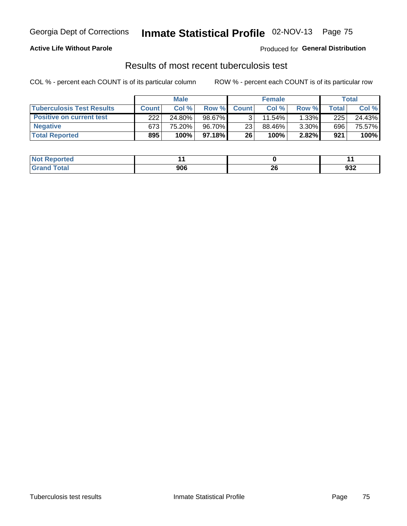#### **Active Life Without Parole**

Produced for **General Distribution**

### Results of most recent tuberculosis test

|                                  | <b>Male</b>  |        |          | <b>Female</b> |        |          | Total        |        |
|----------------------------------|--------------|--------|----------|---------------|--------|----------|--------------|--------|
| <b>Tuberculosis Test Results</b> | <b>Count</b> | Col%   | Row %I   | <b>Count</b>  | Col %  | Row %I   | <b>Total</b> | Col %  |
| <b>Positive on current test</b>  | 222          | 24.80% | 98.67%   |               | 11.54% | 1.33%    | 225          | 24.43% |
| <b>Negative</b>                  | 673          | 75.20% | 96.70%   | 23            | 88.46% | $3.30\%$ | 696          | 75.57% |
| <b>Total Reported</b>            | 895          | 100%   | 97.18% L | 26            | 100%   | $2.82\%$ | 921          | 100%   |

| <b>Not Reported</b> |     |          |     |
|---------------------|-----|----------|-----|
| <b>Total</b>        | 906 | ^^<br>ZU | 932 |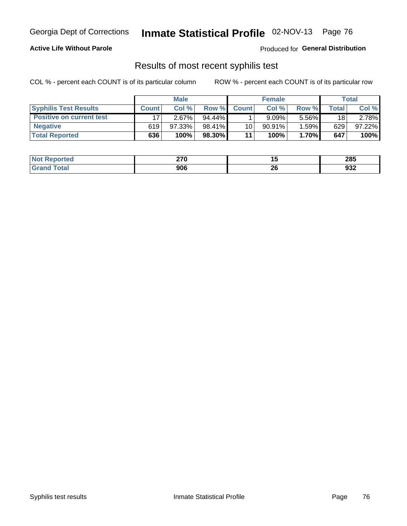#### **Active Life Without Parole**

Produced for **General Distribution**

### Results of most recent syphilis test

|                                 | <b>Male</b>  |        |           | <b>Female</b> |           |       | Total        |        |
|---------------------------------|--------------|--------|-----------|---------------|-----------|-------|--------------|--------|
| <b>Syphilis Test Results</b>    | <b>Count</b> | Col%   | Row %     | <b>Count</b>  | Col %     | Row % | <b>Total</b> | Col %  |
| <b>Positive on current test</b> |              | 2.67%  | $94.44\%$ |               | 9.09%     | 5.56% | 18           | 2.78%  |
| <b>Negative</b>                 | 619          | 97.33% | $98.41\%$ | 10            | $90.91\%$ | 1.59% | 629          | 97.22% |
| <b>Total Reported</b>           | 636          | 100%   | 98.30%    | 11            | 100%      | 1.70% | 647          | 100%   |

| <b>Not Reported</b> | חדר<br>$\mathbf{L}$ |           | 285 |
|---------------------|---------------------|-----------|-----|
| Total               | 906                 | nr.<br>ZU | 932 |